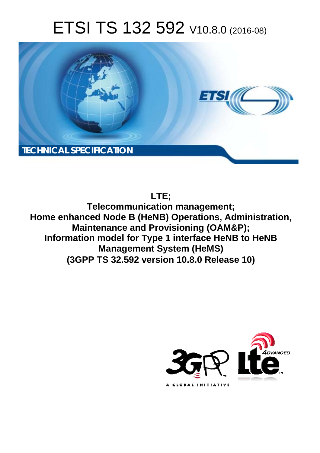# ETSI TS 132 592 V10.8.0 (2016-08)



# **LTE;**

**Telecomm munication management; Home enhanced Node B (HeNB) Operations, Administration, Maintenance and Provisioning (OAM&P); Maintenance and Provisioning (OAM&P);<br>Information model for Type 1 interface HeNB to HeNB Manage gement System (HeMS) (3GPP TS 32.5 .592 version 10.8.0 Release 10 10)** 

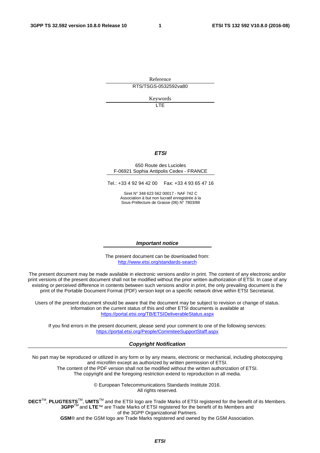Reference RTS/TSGS-0532592va80

Keywords

 $\overline{1}$ 

#### *ETSI*

#### 650 Route des Lucioles F-06921 Sophia Antipolis Cedex - FRANCE

Tel.: +33 4 92 94 42 00 Fax: +33 4 93 65 47 16

Siret N° 348 623 562 00017 - NAF 742 C Association à but non lucratif enregistrée à la Sous-Préfecture de Grasse (06) N° 7803/88

#### *Important notice*

The present document can be downloaded from: <http://www.etsi.org/standards-search>

The present document may be made available in electronic versions and/or in print. The content of any electronic and/or print versions of the present document shall not be modified without the prior written authorization of ETSI. In case of any existing or perceived difference in contents between such versions and/or in print, the only prevailing document is the print of the Portable Document Format (PDF) version kept on a specific network drive within ETSI Secretariat.

Users of the present document should be aware that the document may be subject to revision or change of status. Information on the current status of this and other ETSI documents is available at <https://portal.etsi.org/TB/ETSIDeliverableStatus.aspx>

If you find errors in the present document, please send your comment to one of the following services: <https://portal.etsi.org/People/CommiteeSupportStaff.aspx>

#### *Copyright Notification*

No part may be reproduced or utilized in any form or by any means, electronic or mechanical, including photocopying and microfilm except as authorized by written permission of ETSI.

The content of the PDF version shall not be modified without the written authorization of ETSI. The copyright and the foregoing restriction extend to reproduction in all media.

> © European Telecommunications Standards Institute 2016. All rights reserved.

**DECT**TM, **PLUGTESTS**TM, **UMTS**TM and the ETSI logo are Trade Marks of ETSI registered for the benefit of its Members. **3GPP**TM and **LTE**™ are Trade Marks of ETSI registered for the benefit of its Members and of the 3GPP Organizational Partners.

**GSM**® and the GSM logo are Trade Marks registered and owned by the GSM Association.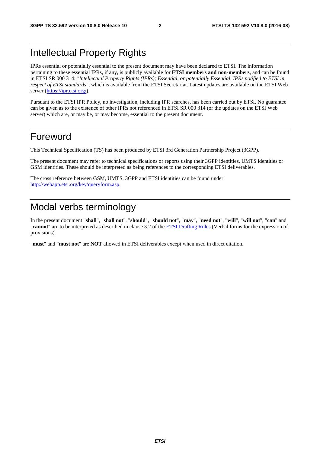# Intellectual Property Rights

IPRs essential or potentially essential to the present document may have been declared to ETSI. The information pertaining to these essential IPRs, if any, is publicly available for **ETSI members and non-members**, and can be found in ETSI SR 000 314: *"Intellectual Property Rights (IPRs); Essential, or potentially Essential, IPRs notified to ETSI in respect of ETSI standards"*, which is available from the ETSI Secretariat. Latest updates are available on the ETSI Web server [\(https://ipr.etsi.org/\)](https://ipr.etsi.org/).

Pursuant to the ETSI IPR Policy, no investigation, including IPR searches, has been carried out by ETSI. No guarantee can be given as to the existence of other IPRs not referenced in ETSI SR 000 314 (or the updates on the ETSI Web server) which are, or may be, or may become, essential to the present document.

# Foreword

This Technical Specification (TS) has been produced by ETSI 3rd Generation Partnership Project (3GPP).

The present document may refer to technical specifications or reports using their 3GPP identities, UMTS identities or GSM identities. These should be interpreted as being references to the corresponding ETSI deliverables.

The cross reference between GSM, UMTS, 3GPP and ETSI identities can be found under [http://webapp.etsi.org/key/queryform.asp.](http://webapp.etsi.org/key/queryform.asp)

# Modal verbs terminology

In the present document "**shall**", "**shall not**", "**should**", "**should not**", "**may**", "**need not**", "**will**", "**will not**", "**can**" and "**cannot**" are to be interpreted as described in clause 3.2 of the [ETSI Drafting Rules](https://portal.etsi.org/Services/editHelp!/Howtostart/ETSIDraftingRules.aspx) (Verbal forms for the expression of provisions).

"**must**" and "**must not**" are **NOT** allowed in ETSI deliverables except when used in direct citation.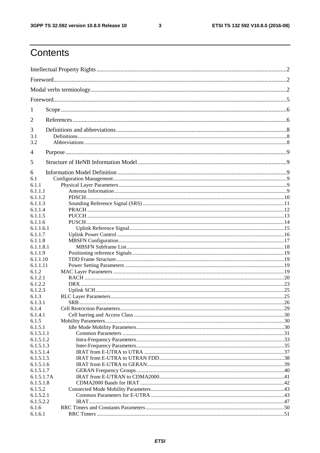$\mathbf{3}$ 

# Contents

| 1                       |  |  |  |
|-------------------------|--|--|--|
| 2                       |  |  |  |
| 3                       |  |  |  |
| 3.1                     |  |  |  |
| 3.2                     |  |  |  |
| 4                       |  |  |  |
| 5                       |  |  |  |
| 6                       |  |  |  |
| 6.1                     |  |  |  |
| 6.1.1                   |  |  |  |
| 6.1.1.1                 |  |  |  |
| 6.1.1.2                 |  |  |  |
| 6.1.1.3                 |  |  |  |
| 6.1.1.4<br>6.1.1.5      |  |  |  |
| 6.1.1.6                 |  |  |  |
| 6.1.1.6.1               |  |  |  |
| 6.1.1.7                 |  |  |  |
| 6.1.1.8                 |  |  |  |
| 6.1.1.8.1               |  |  |  |
| 6.1.1.9                 |  |  |  |
| 6.1.1.10                |  |  |  |
| 6.1.1.11                |  |  |  |
| 6.1.2                   |  |  |  |
| 6.1.2.1                 |  |  |  |
| 6.1.2.2                 |  |  |  |
| 6.1.2.3<br>6.1.3        |  |  |  |
| 6.1.3.1                 |  |  |  |
| 6.1.4                   |  |  |  |
| 6.1.4.1                 |  |  |  |
| 6.1.5                   |  |  |  |
| 6.1.5.1                 |  |  |  |
| 6.1.5.1.1               |  |  |  |
| 6.1.5.1.2               |  |  |  |
| 6.1.5.1.3               |  |  |  |
| 6.1.5.1.4               |  |  |  |
| 6.1.5.1.5               |  |  |  |
| 6.1.5.1.6               |  |  |  |
| 6.1.5.1.7<br>6.1.5.1.7A |  |  |  |
| 6.1.5.1.8               |  |  |  |
| 6.1.5.2                 |  |  |  |
| 6.1.5.2.1               |  |  |  |
| 6.1.5.2.2               |  |  |  |
| 6.1.6                   |  |  |  |
| 6.1.6.1                 |  |  |  |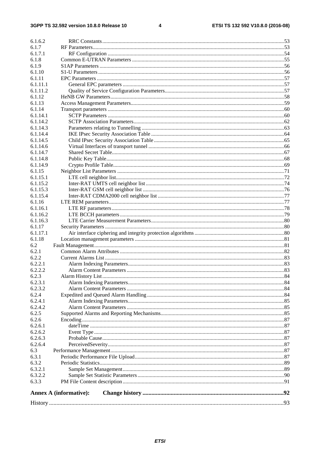#### $\overline{\mathbf{4}}$

| <b>Annex A (informative):</b> |  |  |  |  |
|-------------------------------|--|--|--|--|
|                               |  |  |  |  |
| 6.3.3                         |  |  |  |  |
| 6.3.2.1<br>6.3.2.2            |  |  |  |  |
| 6.3.2                         |  |  |  |  |
| 6.3.1                         |  |  |  |  |
| 6.3                           |  |  |  |  |
| 6.2.6.4                       |  |  |  |  |
| 6.2.6.3                       |  |  |  |  |
| 6.2.6.2                       |  |  |  |  |
| 6.2.6.1                       |  |  |  |  |
| 6.2.6                         |  |  |  |  |
| 6.2.5                         |  |  |  |  |
| 6.2.4.2                       |  |  |  |  |
| 6.2.4.1                       |  |  |  |  |
| 6.2.4                         |  |  |  |  |
| 6.2.3.2                       |  |  |  |  |
| 6.2.3.1                       |  |  |  |  |
| 6.2.3                         |  |  |  |  |
| 6.2.2.2                       |  |  |  |  |
| 6.2.2.1                       |  |  |  |  |
| 6.2.2                         |  |  |  |  |
| 6.2.1                         |  |  |  |  |
| 6.2                           |  |  |  |  |
| 6.1.18                        |  |  |  |  |
| 6.1.17.1                      |  |  |  |  |
| 6.1.17                        |  |  |  |  |
| 6.1.16.3                      |  |  |  |  |
| 6.1.16.1<br>6.1.16.2          |  |  |  |  |
| 6.1.16                        |  |  |  |  |
| 6.1.15.4                      |  |  |  |  |
| 6.1.15.3                      |  |  |  |  |
| 6.1.15.2                      |  |  |  |  |
| 6.1.15.1                      |  |  |  |  |
| 6.1.15                        |  |  |  |  |
| 6.1.14.9                      |  |  |  |  |
| 6.1.14.8                      |  |  |  |  |
| 6.1.14.7                      |  |  |  |  |
| 6.1.14.6                      |  |  |  |  |
| 6.1.14.5                      |  |  |  |  |
| 6.1.14.4                      |  |  |  |  |
| 6.1.14.3                      |  |  |  |  |
| 6.1.14.2                      |  |  |  |  |
| 6.1.14.1                      |  |  |  |  |
| 6.1.14                        |  |  |  |  |
| 6.1.13                        |  |  |  |  |
| 6.1.12                        |  |  |  |  |
| 6.1.11.2                      |  |  |  |  |
| 6.1.11.1                      |  |  |  |  |
| 6.1.11                        |  |  |  |  |
| 6.1.10                        |  |  |  |  |
| 6.1.9                         |  |  |  |  |
| 6.1.8                         |  |  |  |  |
| 6.1.7.1                       |  |  |  |  |
| 6.1.7                         |  |  |  |  |
| 6.1.6.2                       |  |  |  |  |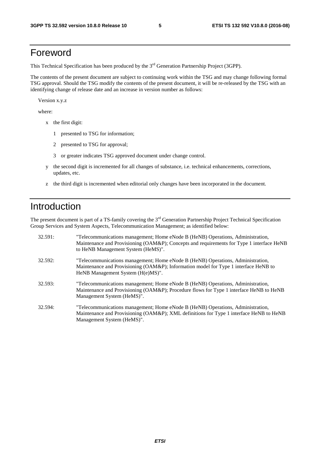# Foreword

This Technical Specification has been produced by the 3<sup>rd</sup> Generation Partnership Project (3GPP).

The contents of the present document are subject to continuing work within the TSG and may change following formal TSG approval. Should the TSG modify the contents of the present document, it will be re-released by the TSG with an identifying change of release date and an increase in version number as follows:

Version x.y.z

where:

- x the first digit:
	- 1 presented to TSG for information;
	- 2 presented to TSG for approval;
	- 3 or greater indicates TSG approved document under change control.
- y the second digit is incremented for all changes of substance, i.e. technical enhancements, corrections, updates, etc.
- z the third digit is incremented when editorial only changes have been incorporated in the document.

# Introduction

The present document is part of a TS-family covering the 3<sup>rd</sup> Generation Partnership Project Technical Specification Group Services and System Aspects, Telecommunication Management; as identified below:

| 32.591: | "Telecommunications management; Home eNode B (HeNB) Operations, Administration,<br>Maintenance and Provisioning (OAM&P); Concepts and requirements for Type 1 interface HeNB<br>to HeNB Management System (HeMS)". |
|---------|--------------------------------------------------------------------------------------------------------------------------------------------------------------------------------------------------------------------|
| 32.592: | "Telecommunications management; Home eNode B (HeNB) Operations, Administration,<br>Maintenance and Provisioning (OAM&P); Information model for Type 1 interface HeNB to<br>HeNB Management System (H(e)MS)".       |
| 32.593: | "Telecommunications management; Home eNode B (HeNB) Operations, Administration,<br>Maintenance and Provisioning (OAM&P); Procedure flows for Type 1 interface HeNB to HeNB<br>Management System (HeMS)".           |
| 32.594: | "Telecommunications management; Home eNode B (HeNB) Operations, Administration,<br>Maintenance and Provisioning (OAM&P); XML definitions for Type 1 interface HeNB to HeNB<br>Management System (HeMS)".           |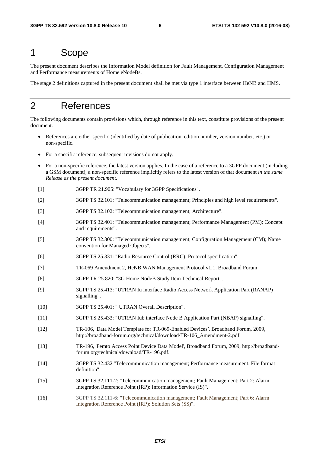# 1 Scope

The present document describes the Information Model definition for Fault Management, Configuration Management and Performance measurements of Home eNodeBs.

The stage 2 definitions captured in the present document shall be met via type 1 interface between HeNB and HMS.

# 2 References

The following documents contain provisions which, through reference in this text, constitute provisions of the present document.

- References are either specific (identified by date of publication, edition number, version number, etc.) or non-specific.
- For a specific reference, subsequent revisions do not apply.
- For a non-specific reference, the latest version applies. In the case of a reference to a 3GPP document (including a GSM document), a non-specific reference implicitly refers to the latest version of that document *in the same Release as the present document*.
- [1] 3GPP TR 21.905: "Vocabulary for 3GPP Specifications".
- [2] 3GPP TS 32.101: "Telecommunication management; Principles and high level requirements".
- [3] 3GPP TS 32.102: "Telecommunication management; Architecture".
- [4] 3GPP TS 32.401: "Telecommunication management; Performance Management (PM); Concept and requirements".
- [5] 3GPP TS 32.300: "Telecommunication management; Configuration Management (CM); Name convention for Managed Objects".
- [6] 3GPP TS 25.331: "Radio Resource Control (RRC); Protocol specification".
- [7] TR-069 Amendment 2, HeNB WAN Management Protocol v1.1, Broadband Forum
- [8] 3GPP TR 25.820: "3G Home NodeB Study Item Technical Report".
- [9] 3GPP TS 25.413: "UTRAN Iu interface Radio Access Network Application Part (RANAP) signalling".
- [10] 3GPP TS 25.401: " UTRAN Overall Description".
- [11] 3GPP TS 25.433: "UTRAN Iub interface Node B Application Part (NBAP) signalling".
- [12] TR-106, 'Data Model Template for TR-069-Enabled Devices*'*, Broadband Forum, 2009, http://broadband-forum.org/technical/download/TR-106\_Amendment-2.pdf.
- [13] TR-196, 'Femto Access Point Device Data Model', Broadband Forum, 2009, http://broadbandforum.org/technical/download/TR-196.pdf.
- [14] 3GPP TS 32.432 "Telecommunication management; Performance measurement: File format definition".
- [15] 3GPP TS 32.111-2: "Telecommunication management; Fault Management; Part 2: Alarm Integration Reference Point (IRP): Information Service (IS)".
- [16] 3GPP TS 32.111-6: "Telecommunication management; Fault Management; Part 6: Alarm Integration Reference Point (IRP): Solution Sets (SS)".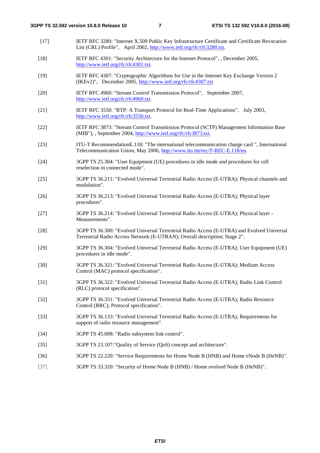- [17] IETF RFC 3280: "Internet X.509 Public Key Infrastructure Certificate and Certificate Revocation List (CRL) Profile", April 2002, [http://www.ietf.org/rfc/rfc3280.txt.](http://www.ietf.org/rfc/rfc3280.txt)
- [18] IETF RFC 4301: "Security Architecture for the Internet Protocol", , December 2005, [http://www.ietf.org/rfc/rfc4301.txt.](http://www.ietf.org/rfc/rfc4301.txt)
- [19] IETF RFC 4307: "Cryptographic Algorithms for Use in the Internet Key Exchange Version 2 (IKEv2)", December 2005,<http://www.ietf.org/rfc/rfc4307.txt>
- [20] IETF RFC 4960: "Stream Control Transmission Protocol", September 2007, [http://www.ietf.org/rfc/rfc4960.txt.](http://www.ietf.org/rfc/rfc4960.txt)
- [21] IETF RFC 3550: "RTP: A Transport Protocol for Real-Time Applications", July 2003, [http://www.ietf.org/rfc/rfc3550.txt.](http://www.ietf.org/rfc/rfc3550.txt)
- [22] IETF RFC 3873: "Stream Control Transmission Protocol (SCTP) Management Information Base (MIB"), , September 2004, [http://www.ietf.org/rfc/rfc3873.txt.](http://www.ietf.org/rfc/rfc3873.txt)
- [23] ITU-T RecommendationE.118: "The international telecommunication charge card ", International Telecommunication Union, May 2006, [http://www.itu.int/rec/T-REC-E.118/en.](http://www.itu.int/rec/T-REC-E.118/en)
- [24] 3GPP TS 25.304: "User Equipment (UE) procedures in idle mode and procedures for cell reselection in connected mode".
- [25] 3GPP TS 36.211: "Evolved Universal Terrestrial Radio Access (E-UTRA); Physical channels and modulation".
- [26] 3GPP TS 36.213: "Evolved Universal Terrestrial Radio Access (E-UTRA); Physical layer procedures".
- [27] 3GPP TS 36.214: "Evolved Universal Terrestrial Radio Access (E-UTRA); Physical layer Measurements".
- [28] 3GPP TS 36.300: "Evolved Universal Terrestrial Radio Access (E-UTRA) and Evolved Universal Terrestrial Radio Access Network (E-UTRAN); Overall description; Stage 2".
- [29] 3GPP TS 36.304: "Evolved Universal Terrestrial Radio Access (E-UTRA); User Equipment (UE) procedures in idle mode".
- [30] 3GPP TS 36.321: "Evolved Universal Terrestrial Radio Access (E-UTRA); Medium Access Control (MAC) protocol specification".
- [31] 3GPP TS 36.322: "Evolved Universal Terrestrial Radio Access (E-UTRA); Radio Link Control (RLC) protocol specification".
- [32] 3GPP TS 36.331: "Evolved Universal Terrestrial Radio Access (E-UTRA); Radio Resource Control (RRC); Protocol specification".
- [33] 3GPP TS 36.133: "Evolved Universal Terrestrial Radio Access (E-UTRA); Requirements for support of radio resource management".
- [34] 3GPP TS 45.008: "Radio subsystem link control".
- [35] 3GPP TS 23.107:"Quality of Service (QoS) concept and architecture".
- [36] 3GPP TS 22.220: "Service Requirements for Home Node B (HNB) and Home eNode B (HeNB)".
- [37] 3GPP TS 33.320: "Security of Home Node B (HNB) / Home evolved Node B (HeNB)".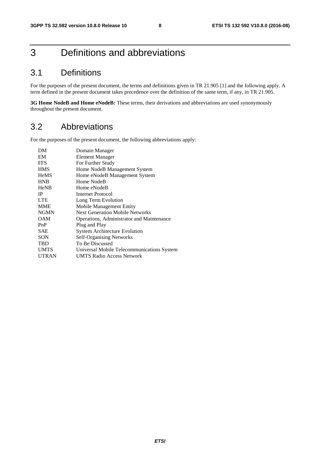# 3 Definitions and abbreviations

# 3.1 Definitions

For the purposes of the present document, the terms and definitions given in TR 21.905 [1] and the following apply. A term defined in the present document takes precedence over the definition of the same term, if any, in TR 21.905.

**3G Home NodeB and Home eNodeB:** These terms, their derivations and abbreviations are used synonymously throughout the present document.

# 3.2 Abbreviations

For the purposes of the present document, the following abbreviations apply:

| DM           | Domain Manager                             |
|--------------|--------------------------------------------|
| EM           | <b>Element Manager</b>                     |
| <b>FFS</b>   | For Further Study                          |
| <b>HMS</b>   | Home NodeB Management System               |
| <b>HeMS</b>  | Home eNodeB Management System              |
| <b>HNB</b>   | Home NodeB                                 |
| <b>HeNB</b>  | Home eNodeB                                |
| <b>IP</b>    | Internet Protocol                          |
| <b>LTE</b>   | Long Term Evolution                        |
| <b>MME</b>   | Mobile Management Entity                   |
| <b>NGMN</b>  | <b>Next Generation Mobile Networks</b>     |
| <b>OAM</b>   | Operations, Administrator and Maintenance  |
| PnP          | Plug and Play                              |
| SAE          | <b>System Architecture Evolution</b>       |
| <b>SON</b>   | <b>Self-Organising Networks</b>            |
| <b>TBD</b>   | To Be Discussed                            |
| <b>UMTS</b>  | Universal Mobile Telecommunications System |
| <b>UTRAN</b> | UMTS Radio Access Network                  |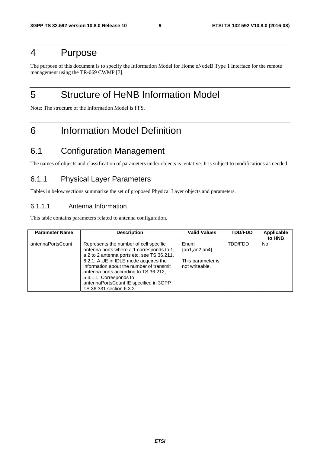# 4 Purpose

The purpose of this document is to specify the Information Model for Home eNodeB Type 1 Interface for the remote management using the TR-069 CWMP [7].

# 5 Structure of HeNB Information Model

Note: The structure of the Information Model is FFS.

# 6 Information Model Definition

# 6.1 Configuration Management

The names of objects and classification of parameters under objects is tentative. It is subject to modifications as needed.

#### 6.1.1 Physical Layer Parameters

Tables in below sections summarize the set of proposed Physical Layer objects and parameters.

#### 6.1.1.1 Antenna Information

This table contains parameters related to antenna configuration.

| <b>Parameter Name</b> | <b>Description</b>                                                                                                                                                                                                                                                                                                                                               | <b>Valid Values</b>                                                | <b>TDD/FDD</b> | Applicable<br>to HNB |
|-----------------------|------------------------------------------------------------------------------------------------------------------------------------------------------------------------------------------------------------------------------------------------------------------------------------------------------------------------------------------------------------------|--------------------------------------------------------------------|----------------|----------------------|
| antennaPortsCount     | Represents the number of cell specific<br>antenna ports where a 1 corresponds to 1,<br>a 2 to 2 antenna ports etc. see TS 36.211,<br>6.2.1. A UE in IDLE mode acquires the<br>information about the number of transmit<br>antenna ports according to TS 36.212,<br>5.3.1.1. Corresponds to<br>antennaPortsCount IE specified in 3GPP<br>TS 36.331 section 6.3.2. | Enum<br>$\{an1, an2, an4\}$<br>This parameter is<br>not writeable. | TDD/FDD        | No.                  |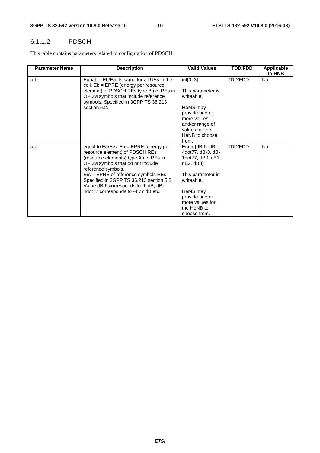#### 6.1.1.2 PDSCH

This table contains parameters related to configuration of PDSCH.

| <b>Parameter Name</b> | <b>Description</b>                                                                                                                                                             | <b>Valid Values</b>                                                  | <b>TDD/FDD</b> | Applicable<br>to HNB |
|-----------------------|--------------------------------------------------------------------------------------------------------------------------------------------------------------------------------|----------------------------------------------------------------------|----------------|----------------------|
| p-b                   | Equal to Eb/Ea. Is same for all UEs in the<br>cell. $Eb = EPRE$ (energy per resource<br>element) of PDSCH REs type B i.e. REs in                                               | int[03]<br>This parameter is                                         | TDD/FDD        | <b>No</b>            |
|                       | OFDM symbols that include reference<br>symbols. Specified in 3GPP TS 36.213                                                                                                    | writeable.                                                           |                |                      |
|                       | section 5.2.                                                                                                                                                                   | HeMS may<br>provide one or                                           |                |                      |
|                       |                                                                                                                                                                                | more values                                                          |                |                      |
|                       |                                                                                                                                                                                | and/or range of<br>values for the                                    |                |                      |
|                       |                                                                                                                                                                                | HeNB to choose<br>from.                                              |                |                      |
| p-a                   | equal to $Ea/Ers.$ Ea = EPRE (energy per<br>resource element) of PDSCH REs<br>(resource elements) type A i.e. REs in<br>OFDM symbols that do not include<br>reference symbols. | Enum{dB-6, dB-<br>4dot77, dB-3, dB-<br>1dot77, dB0, dB1,<br>dB2, dB3 | TDD/FDD        | <b>No</b>            |
|                       | Ers = EPRE of reference symbols REs.<br>Specified in 3GPP TS 36.213 section 5.2.<br>Value dB-6 corresponds to -6 dB, dB-                                                       | This parameter is<br>writeable.                                      |                |                      |
|                       | 4dot77 corresponds to -4.77 dB etc.                                                                                                                                            | HeMS may<br>provide one or<br>more values for                        |                |                      |
|                       |                                                                                                                                                                                | the HeNB to<br>choose from.                                          |                |                      |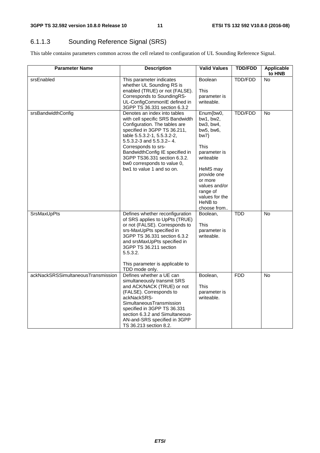### 6.1.1.3 Sounding Reference Signal (SRS)

This table contains parameters common across the cell related to configuration of UL Sounding Reference Signal.

| <b>Parameter Name</b>              | <b>Description</b>                                                                                                                                                                                                                                                                                                                                          | <b>Valid Values</b>                                                                                                                                                                                         | <b>TDD/FDD</b> | Applicable<br>to HNB |
|------------------------------------|-------------------------------------------------------------------------------------------------------------------------------------------------------------------------------------------------------------------------------------------------------------------------------------------------------------------------------------------------------------|-------------------------------------------------------------------------------------------------------------------------------------------------------------------------------------------------------------|----------------|----------------------|
| srsEnabled                         | This parameter indicates<br>whether UL Sounding RS is<br>enabled (TRUE) or not (FALSE).<br>Corresponds to SoundingRS-<br>UL-ConfigCommonIE defined in<br>3GPP TS 36.331 section 6.3.2                                                                                                                                                                       | Boolean<br>This<br>parameter is<br>writeable.                                                                                                                                                               | TDD/FDD        | <b>No</b>            |
| srsBandwidthConfig                 | Denotes an index into tables<br>with cell specific SRS Bandwidth<br>Configuration. The tables are<br>specified in 3GPP TS 36.211,<br>table 5.5.3.2-1, 5.5.3.2-2,<br>$5.5.3.2 - 3$ and $5.5.3.2 - 4$ .<br>Corresponds to srs-<br>BandwidthConfig IE specified in<br>3GPP TS36.331 section 6.3.2.<br>bw0 corresponds to value 0,<br>bw1 to value 1 and so on. | Enum{bw0,<br>bw1, bw2,<br>bw3, bw4,<br>bw5, bw6,<br>bw7<br>This<br>parameter is<br>writeable<br>HeMS may<br>provide one<br>or more<br>values and/or<br>range of<br>values for the<br>HeNB to<br>choose from | <b>TDD/FDD</b> | <b>No</b>            |
| <b>SrsMaxUpPts</b>                 | Defines whether reconfiguration<br>of SRS applies to UpPts (TRUE)<br>or not (FALSE). Corresponds to<br>srs-MaxUpPts specified in<br>3GPP TS 36.331 section 6.3.2<br>and srsMaxUpPts specified in<br>3GPP TS 36.211 section<br>5.5.3.2.<br>This parameter is applicable to<br>TDD mode only.                                                                 | Boolean,<br><b>This</b><br>parameter is<br>writeable.                                                                                                                                                       | <b>TDD</b>     | $\overline{N}$       |
| ackNackSRSSimultaneousTransmission | Defines whether a UE can<br>simultaneously transmit SRS<br>and ACK/NACK (TRUE) or not<br>(FALSE). Corresponds to<br>ackNackSRS-<br>SimultaneousTransmission<br>specified in 3GPP TS 36.331<br>section 6.3.2 and Simultaneous-<br>AN-and-SRS specified in 3GPP<br>TS 36.213 section 8.2.                                                                     | Boolean,<br>This<br>parameter is<br>writeable.                                                                                                                                                              | <b>FDD</b>     | No                   |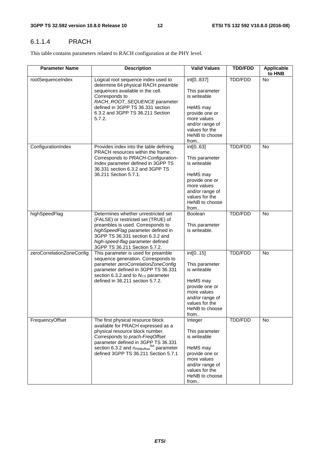#### 6.1.1.4 PRACH

This table contains parameters related to RACH configuration at the PHY level.

| <b>Parameter Name</b>     | <b>Description</b>                                                                                                                                                                                                                                                               | <b>Valid Values</b>                                                                                                                                     | <b>TDD/FDD</b> | Applicable<br>to HNB |
|---------------------------|----------------------------------------------------------------------------------------------------------------------------------------------------------------------------------------------------------------------------------------------------------------------------------|---------------------------------------------------------------------------------------------------------------------------------------------------------|----------------|----------------------|
| rootSequenceIndex         | Logical root sequence index used to<br>determine 64 physical RACH preamble<br>sequences available in the cell.<br>Corresponds to<br>RACH_ROOT_SEQUENCE parameter<br>defined in 3GPP TS 36.331 section<br>6.3.2 and 3GPP TS 36.211 Section<br>5.7.2.                              | int[0837]<br>This parameter<br>is writeable<br>HeMS may<br>provide one or<br>more values<br>and/or range of<br>values for the<br>HeNB to choose<br>from | TDD/FDD        | No                   |
| ConfigurationIndex        | Provides index into the table defining<br>PRACH resources within the frame.<br>Corresponds to PRACH-Configuration-<br>Index parameter defined in 3GPP TS<br>36.331 section 6.3.2 and 3GPP TS<br>36.211 Section 5.7.1.                                                            | int[063]<br>This parameter<br>is writeable<br>HeMS may<br>provide one or<br>more values<br>and/or range of<br>values for the<br>HeNB to choose<br>from  | TDD/FDD        | <b>No</b>            |
| highSpeedFlag             | Determines whether unrestricted set<br>(FALSE) or restricted set (TRUE) of<br>preambles is used. Corresponds to<br>highSpeedFlag parameter defined in<br>3GPP TS 36.331 section 6.3.2 and<br>high-speed-flag parameter defined<br>3GPP TS 36.211 Section 5.7.2.                  | Boolean<br>This parameter<br>is writeable.                                                                                                              | <b>TDD/FDD</b> | <b>No</b>            |
| zeroCorrelationZoneConfig | This parameter is used for preamble<br>sequence generation. Corresponds to<br>parameter zeroCorrelationZoneConfig<br>parameter defined in 3GPP TS 36.331<br>section 6.3.2.and to $N_{CS}$ parameter<br>defined in 36.211 section 5.7.2.                                          | int[015]<br>This parameter<br>is writeable<br>HeMS may<br>provide one or<br>more values<br>and/or range of<br>values for the<br>HeNB to choose<br>from  | TDD/FDD        | No                   |
| FrequencyOffset           | The first physical resource block<br>available for PRACH expressed as a<br>physical resource block number.<br>Corresponds to prach-FreqOffset<br>parameter defined in 3GPP TS 36.331<br>section 6.3.2 and $n_{PRBoffset}^{RA}$ parameter<br>defined 3GPP TS 36.211 Section 5.7.1 | Integer<br>This parameter<br>is writeable<br>HeMS may<br>provide one or<br>more values<br>and/or range of<br>values for the<br>HeNB to choose<br>from   | TDD/FDD        | No                   |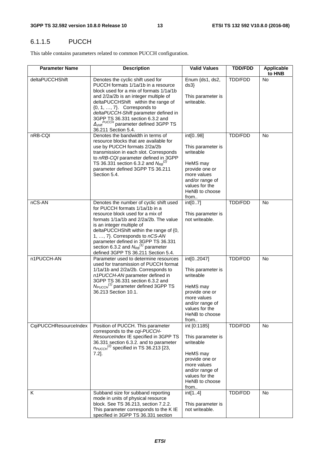#### 6.1.1.5 PUCCH

This table contains parameters related to common PUCCH configuration.

| <b>Parameter Name</b> | <b>Description</b>                                                                                                                                                                                                                                                                                                                                                                                             | <b>Valid Values</b>                                                                                                                                        | <b>TDD/FDD</b> | <b>Applicable</b><br>to HNB |
|-----------------------|----------------------------------------------------------------------------------------------------------------------------------------------------------------------------------------------------------------------------------------------------------------------------------------------------------------------------------------------------------------------------------------------------------------|------------------------------------------------------------------------------------------------------------------------------------------------------------|----------------|-----------------------------|
| deltaPUCCHShift       | Denotes the cyclic shift used for<br>PUCCH formats 1/1a/1b in a resource<br>block used for a mix of formats 1/1a/1b<br>and 2/2a/2b is an integer multiple of<br>deltaPUCCHShift within the range of<br>$\{0, 1, \ldots, 7\}$ . Corresponds to<br>deltaPUCCH-Shift parameter defined in<br>3GPP TS 36.331 section 6.3.2 and<br>$\Delta_{\text{shift}}^{PUCCH}$ parameter defined 3GPP TS<br>36.211 Section 5.4. | Enum {ds1, ds2,<br>ds3<br>This parameter is<br>writeable.                                                                                                  | TDD/FDD        | No                          |
| nRB-CQI               | Denotes the bandwidth in terms of<br>resource blocks that are available for<br>use by PUCCH formats 2/2a/2b<br>transmission in each slot. Corresponds<br>to nRB-CQI parameter defined in 3GPP<br>TS 36.331 section 6.3.2 and $N_{RB}^{(2)}$<br>parameter defined 3GPP TS 36.211<br>Section 5.4.                                                                                                                | int[098]<br>This parameter is<br>writeable<br>HeMS may<br>provide one or<br>more values<br>and/or range of<br>values for the<br>HeNB to choose<br>from     | TDD/FDD        | <b>No</b>                   |
| nCS-AN                | Denotes the number of cyclic shift used<br>for PUCCH formats 1/1a/1b in a<br>resource block used for a mix of<br>formats 1/1a/1b and 2/2a/2b. The value<br>is an integer multiple of<br>deltaPUCCHShift within the range of {0,<br>1, , 7}. Corresponds to nCS-AN<br>parameter defined in 3GPP TS 36.331<br>section 6.3.2 and $N_{RB}^{(1)}$ parameter<br>defined 3GPP TS 36.211 Section 5.4.                  | int[07]<br>This parameter is<br>not writeable.                                                                                                             | TDD/FDD        | <b>No</b>                   |
| n1PUCCH-AN            | Parameter used to determine resources<br>used for transmission of PUCCH format<br>1/1a/1b and 2/2a/2b. Corresponds to<br>n1PUCCH-AN parameter defined in<br>3GPP TS 36.331 section 6.3.2 and<br>$N_{PUCCH}^{(1)}$ parameter defined 3GPP TS<br>36.213 Section 10.1.                                                                                                                                            | int[02047]<br>This parameter is<br>writeable<br>HeMS may<br>provide one or<br>more values<br>and/or range of<br>values for the<br>HeNB to choose<br>from   | TDD/FDD        | <b>No</b>                   |
| CqiPUCCHResourceIndex | Position of PUCCH. This parameter<br>corresponds to the cqi-PUCCH-<br>ResourceIndex IE specified in 3GPP TS<br>36.331 section 6.3.2. and to parameter<br>$n_{\text{PUCCH}}^{(2)}$ specified in TS 36.213 [23,<br>$7.2$ ].                                                                                                                                                                                      | int [0:1185]<br>This parameter is<br>writeable<br>HeMS may<br>provide one or<br>more values<br>and/or range of<br>values for the<br>HeNB to choose<br>from | TDD/FDD        | No.                         |
| K                     | Subband size for subband reporting<br>mode in units of physical resource<br>block. See TS 36.213, section 7.2.2.<br>This parameter corresponds to the K IE<br>specified in 3GPP TS 36.331 section                                                                                                                                                                                                              | int[14]<br>This parameter is<br>not writeable.                                                                                                             | TDD/FDD        | <b>No</b>                   |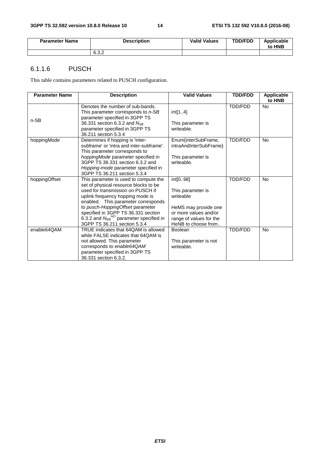| <b>Parameter Name</b> | <b>Description</b> | <b>Valid Values</b> | <b>TDD/FDD</b> | <b>Applicable</b><br>to HNB |
|-----------------------|--------------------|---------------------|----------------|-----------------------------|
|                       | 6.3.2              |                     |                |                             |

#### 6.1.1.6 PUSCH

This table contains parameters related to PUSCH configuration.

| <b>Parameter Name</b> | <b>Description</b>                                                                                                                                                                                                                                                                                                                                          | <b>Valid Values</b>                                                                                                                           | <b>TDD/FDD</b> | Applicable<br>to HNB |
|-----------------------|-------------------------------------------------------------------------------------------------------------------------------------------------------------------------------------------------------------------------------------------------------------------------------------------------------------------------------------------------------------|-----------------------------------------------------------------------------------------------------------------------------------------------|----------------|----------------------|
| n-SB                  | Denotes the number of sub-bands.<br>This parameter corresponds to n-SB<br>parameter specified in 3GPP TS<br>36.331 section 6.3.2 and N <sub>SB</sub><br>parameter specified in 3GPP TS<br>36.211 section 5.3.4                                                                                                                                              | int[14]<br>This parameter is<br>writeable.                                                                                                    | <b>TDD/FDD</b> | <b>No</b>            |
| hoppingMode           | Determines if hopping is 'inter-<br>subframe' or 'intra and inter-subframe'.<br>This parameter corresponds to<br>hoppingMode parameter specified in<br>3GPP TS 36.331 section 6.3.2 and<br>Hopping-mode parameter specified in<br>3GPP TS 36.211 section 5.3.4                                                                                              | Enum{interSubFrame,<br>intraAndInterSubFrame}<br>This parameter is<br>writeable.                                                              | TDD/FDD        | <b>No</b>            |
| hoppingOffset         | This parameter is used to compute the<br>set of physical resource blocks to be<br>used for transmission on PUSCH if<br>uplink frequency hopping mode is<br>enabled. This parameter corresponds<br>to pusch-HoppingOffset parameter<br>specified in 3GPP TS 36.331 section<br>6.3.2 and $N_{RB}^{HO}$ parameter specified in<br>3GPP TS 36.211 section 5.3.4 | int[098]<br>This parameter is<br>writeable<br>HeMS may provide one<br>or more values and/or<br>range of values for the<br>HeNB to choose from | <b>TDD/FDD</b> | <b>No</b>            |
| enable64QAM           | TRUE indicates that 64QAM is allowed<br>while FALSE indicates that 64QAM is<br>not allowed. This parameter<br>corresponds to enable64QAM<br>parameter specified in 3GPP TS<br>36.331 section 6.3.2.                                                                                                                                                         | <b>Boolean</b><br>This parameter is not<br>writeable.                                                                                         | <b>TDD/FDD</b> | <b>No</b>            |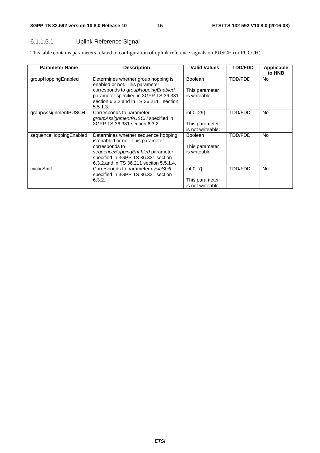#### 6.1.1.6.1 Uplink Reference Signal

This table contains parameters related to configuration of uplink reference signals on PUSCH (or PUCCH).

| <b>Parameter Name</b>  | <b>Description</b>                                                                                                                                                                                               | <b>Valid Values</b>                               | <b>TDD/FDD</b> | Applicable<br>to HNB |
|------------------------|------------------------------------------------------------------------------------------------------------------------------------------------------------------------------------------------------------------|---------------------------------------------------|----------------|----------------------|
| groupHoppingEnabled    | Determines whether group hopping is<br>enabled or not. This parameter<br>corresponds to groupHoppingEnabled<br>parameter specified in 3GPP TS 36.331<br>section 6.3.2. and in TS 36.211 section<br>5.5.1.3.      | <b>Boolean</b><br>This parameter<br>is writeable. | TDD/FDD        | No.                  |
| groupAssignmentPUSCH   | Corresponds to parameter<br>groupAssignmentPUSCH specified in<br>3GPP TS 36.331 section 6.3.2.                                                                                                                   | int[029]<br>This parameter<br>is not writeable.   | TDD/FDD        | <b>No</b>            |
| sequenceHoppingEnabled | Determines whether sequence hopping<br>is enabled or not. This parameter<br>corresponds to<br>sequenceHoppingEnabled parameter<br>specified in 3GPP TS 36.331 section<br>6.3.2.and in TS 36.211 section 5.5.1.4. | <b>Boolean</b><br>This parameter<br>is writeable. | TDD/FDD        | No.                  |
| cyclicShift            | Corresponds to parameter cyclcShift<br>specified in 3GPP TS 36.331 section<br>6.3.2.                                                                                                                             | int[07]<br>This parameter<br>is not writeable.    | TDD/FDD        | No.                  |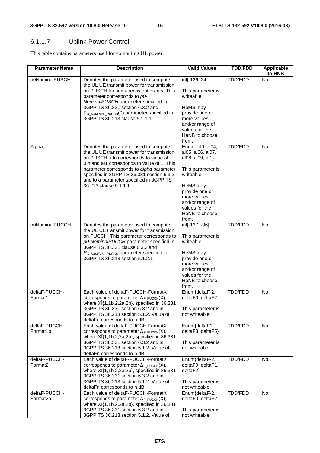### 6.1.1.7 Uplink Power Control

This table contains parameters used for computing UL power.

| <b>Parameter Name</b>                 | <b>Description</b>                                                                                                                                                                                                                                                                                                                              | <b>Valid Values</b>                                                                                                                                                                                     | <b>TDD/FDD</b> | <b>Applicable</b><br>to HNB |
|---------------------------------------|-------------------------------------------------------------------------------------------------------------------------------------------------------------------------------------------------------------------------------------------------------------------------------------------------------------------------------------------------|---------------------------------------------------------------------------------------------------------------------------------------------------------------------------------------------------------|----------------|-----------------------------|
| p0NominalPUSCH                        | Denotes the parameter used to compute<br>the UL UE transmit power for transmission<br>on PUSCH for semi-persistent grants. This<br>parameter corresponds to p0-<br>NominalPUSCH parameter specified in<br>3GPP TS 36.331 section 6.3.2 and<br>PO_NOMINAL_PUSCH(0) parameter specified in<br>3GPP TS 36.213 clause 5.1.1.1                       | int[-12624]<br>This parameter is<br>writeable<br>HeMS may<br>provide one or<br>more values<br>and/or range of<br>values for the<br>HeNB to choose<br>from                                               | TDD/FDD        | No                          |
| Alpha                                 | Denotes the parameter used to compute<br>the UL UE transmit power for transmission<br>on PUSCH. aln corresponds to value of<br>0.n and al1 corresponds to value of 1. This<br>parameter corresponds to alpha parameter<br>specified in 3GPP TS 36.331 section 6.3.2<br>and to $\alpha$ parameter specified in 3GPP TS<br>36.213 clause 5.1.1.1. | Enum {al0, al04,<br>al05, al06, al07,<br>al08, al09, al1}<br>This parameter is<br>writeable<br>HeMS may<br>provide one or<br>more values<br>and/or range of<br>values for the<br>HeNB to choose<br>from | <b>TDD/FDD</b> | <b>No</b>                   |
| p0NominalPUCCH                        | Denotes the parameter used to compute<br>the UL UE transmit power for transmission<br>on PUCCH. This parameter corresponds to<br>p0-NominalPUCCH parameter specified in<br>3GPP TS 36.331 clause 6.3.2 and<br>P <sub>O_NOMINAL_PUCCH</sub> parameter specified in<br>3GPP TS 36.213 section 5.1.2.1                                             | int[-127-96]<br>This parameter is<br>writeable<br>HeMS may<br>provide one or<br>more values<br>and/or range of<br>values for the<br>HeNB to choose<br>from                                              | <b>TDD/FDD</b> | No                          |
| deltaF-PUCCH-<br>Format1              | Each value of deltaF-PUCCH-FormatX<br>corresponds to parameter $\Delta_{F_PUCCH}(X)$ ,<br>where $X_1^2$ [1,1b,2,2a,2b], specified in 36.331<br>3GPP TS 36.331 section 6.3.2 and in<br>3GPP TS 36.213 section 5.1.2. Value of<br>deltaFn corresponds to n dB.                                                                                    | Enum{deltaF-2,<br>deltaF0, deltaF2}<br>This parameter is<br>not writeable.                                                                                                                              | TDD/FDD        | No                          |
| deltaF-PUCCH-<br>Format1b             | Each value of deltaF-PUCCH-FormatX<br>corresponds to parameter $\Delta_{F_PUCCH}(X)$ ,<br>where $X_1^2$ [1,1b,2,2a,2b], specified in 36.331<br>3GPP TS 36.331 section 6.3.2 and in<br>3GPP TS 36.213 section 5.1.2. Value of<br>deltaFn corresponds to n dB.                                                                                    | Enum{deltaF1,<br>deltaF3, deltaF5}<br>This parameter is<br>not writeable.                                                                                                                               | TDD/FDD        | <b>No</b>                   |
| deltaF-PUCCH-<br>Format <sub>2</sub>  | Each value of deltaF-PUCCH-FormatX<br>corresponds to parameter $\Delta_F$ PUCCH(X),<br>where $X_1^2$ [1,1b,2,2a,2b], specified in 36.331<br>3GPP TS 36.331 section 6.3.2 and in<br>3GPP TS 36.213 section 5.1.2. Value of<br>deltaFn corresponds to n dB.                                                                                       | Enum{deltaF-2,<br>deltaF0, deltaF1,<br>delaF2<br>This parameter is<br>not writeable.                                                                                                                    | TDD/FDD        | <b>No</b>                   |
| deltaF-PUCCH-<br>Format <sub>2a</sub> | Each value of deltaF-PUCCH-FormatX<br>corresponds to parameter $\Delta_{F_PUCCH}(X)$ ,<br>where $X_1^2$ {1,1b,2,2a,2b}, specified in 36.331<br>3GPP TS 36.331 section 6.3.2 and in<br>3GPP TS 36.213 section 5.1.2. Value of                                                                                                                    | Enum{deltaF-2,<br>deltaF0, deltaF2}<br>This parameter is<br>not writeable.                                                                                                                              | TDD/FDD        | <b>No</b>                   |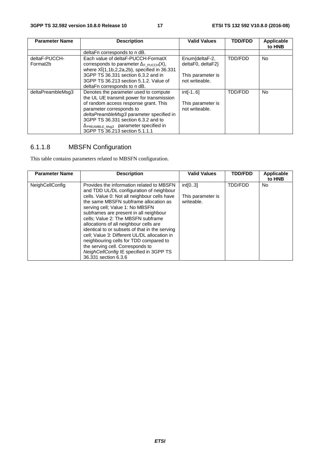| <b>Parameter Name</b>     | <b>Description</b>                                                                                                                                                                                                                      | <b>Valid Values</b>                 | <b>TDD/FDD</b> | Applicable<br>to HNB |
|---------------------------|-----------------------------------------------------------------------------------------------------------------------------------------------------------------------------------------------------------------------------------------|-------------------------------------|----------------|----------------------|
|                           | deltaFn corresponds to n dB.                                                                                                                                                                                                            |                                     |                |                      |
| deltaF-PUCCH-<br>Format2b | Each value of deltaF-PUCCH-FormatX<br>corresponds to parameter $\Delta_F$ PUCCH(X),<br>where $X_1^2$ [1,1b,2,2a,2b], specified in 36.331                                                                                                | Enum{deltaF-2,<br>deltaF0, deltaF2} | TDD/FDD        | No.                  |
|                           | 3GPP TS 36.331 section 6.3.2 and in<br>3GPP TS 36.213 section 5.1.2. Value of<br>deltaFn corresponds to n dB.                                                                                                                           | This parameter is<br>not writeable. |                |                      |
| deltaPreambleMsq3         | Denotes the parameter used to compute<br>the UL UE transmit power for transmission                                                                                                                                                      | $int[-16]$                          | TDD/FDD        | <b>No</b>            |
|                           | of random access response grant. This<br>parameter corresponds to<br>deltaPreambleMsg3 parameter specified in<br>3GPP TS 36.331 section 6.3.2 and to<br>$\Delta$ PREAMBLE_Msg3 parameter specified in<br>3GPP TS 36.213 section 5.1.1.1 | This parameter is<br>not writeable. |                |                      |

# 6.1.1.8 MBSFN Configuration

This table contains parameters related to MBSFN configuration.

| <b>Parameter Name</b>  | <b>Description</b>                                                                                                                                                             | <b>Valid Values</b>          | <b>TDD/FDD</b> | <b>Applicable</b><br>to HNB |
|------------------------|--------------------------------------------------------------------------------------------------------------------------------------------------------------------------------|------------------------------|----------------|-----------------------------|
| <b>NeighCellConfig</b> | Provides the information related to MBSFN<br>and TDD UL/DL configuration of neighbour<br>cells. Value 0: Not all neighbour cells have                                          | int[03]<br>This parameter is | TDD/FDD        | No.                         |
|                        | the same MBSFN subframe allocation as<br>serving cell; Value 1: No MBSFN<br>subframes are present in all neighbour                                                             | writeable.                   |                |                             |
|                        | cells; Value 2: The MBSFN subframe<br>allocations of all neighbour cells are<br>identical to or subsets of that in the serving<br>cell; Value 3: Different UL/DL allocation in |                              |                |                             |
|                        | neighbouring cells for TDD compared to<br>the serving cell. Corresponds to<br>NeighCellConfig IE specified in 3GPP TS<br>36.331 section 6.3.6                                  |                              |                |                             |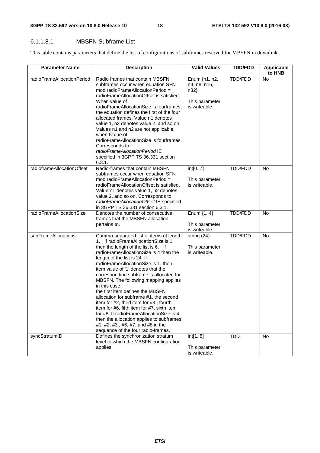#### 6.1.1.8.1 MBSFN Subframe List

This table contains parameters that define the list of configurations of subframes reserved for MBSFN in downlink.

| <b>Parameter Name</b>      | <b>Description</b>                                                                                                                                                                                                                                                                                                                                                                                                                                                                                                                                                                                                                                                                                                          | <b>Valid Values</b>                                                        | <b>TDD/FDD</b> | Applicable<br>to HNB |
|----------------------------|-----------------------------------------------------------------------------------------------------------------------------------------------------------------------------------------------------------------------------------------------------------------------------------------------------------------------------------------------------------------------------------------------------------------------------------------------------------------------------------------------------------------------------------------------------------------------------------------------------------------------------------------------------------------------------------------------------------------------------|----------------------------------------------------------------------------|----------------|----------------------|
| radioFrameAllocationPeriod | Radio frames that contain MBSFN<br>subframes occur when equation SFN<br>mod radioFrameAllocationPeriod =<br>radioFrameAllocationOffset is satisfied.<br>When value of<br>radioFrameAllocationSize is fourframes,<br>the equation defines the first of the four<br>allocated frames. Value n1 denotes<br>value 1, n2 denotes value 2, and so on.<br>Values n1 and n2 are not applicable<br>when fvalue of<br>radioFrameAllocationSize is fourframes.<br>Corresponds to<br>radioFrameAllocationPeriod IE<br>specified in 3GPP TS 36.331 section<br>6.3.1.                                                                                                                                                                     | Enum $\{n1, n2,$<br>n4, n8, n16,<br>n32<br>This parameter<br>is writeable. | TDD/FDD        | <b>No</b>            |
| radioframeAllocationOffset | Radio-frames that contain MBSFN<br>subframes occur when equation SFN<br>mod radioFrameAllocationPeriod =<br>radioFrameAllocationOffset is satisfied.<br>Value n1 denotes value 1, n2 denotes<br>value 2, and so on. Corresponds to<br>radioFrameAllocationOffset IE specified<br>in 3GPP TS 36.331 section 6.3.1.                                                                                                                                                                                                                                                                                                                                                                                                           | int[07]<br>This parameter<br>is writeable.                                 | TDD/FDD        | <b>No</b>            |
| radioFrameAllocationSize   | Denotes the number of consecutive<br>frames that the MBSFN allocation<br>pertains to.                                                                                                                                                                                                                                                                                                                                                                                                                                                                                                                                                                                                                                       | Enum $\{1, 4\}$<br>This parameter<br>is writeable.                         | <b>TDD/FDD</b> | <b>No</b>            |
| subFrameAllocations        | Comma-separated list of items of length<br>1. If radioFrameAllocationSize is 1<br>then the length of the list is 6. If<br>radioFrameAllocationSize is 4 then the<br>length of the list is 24. If<br>radioFrameAllocationSize is 1, then<br>item value of '1' denotes that the<br>corresponding subframe is allocated for<br>MBSFN. The following mapping applies<br>in this case:<br>the first item defines the MBSFN<br>allocation for subframe #1, the second<br>item for #2, third item for #3, fourth<br>item for #6, fifth item for #7, sixth item<br>for #8. If radioFrameAllocationSize is 4,<br>then the allocation applies to subframes<br>#1, #2, #3, #6, #7, and #8 in the<br>sequence of the four radio-frames. | string (24)<br>This parameter<br>is writeable.                             | <b>TDD/FDD</b> | <b>No</b>            |
| syncStratumID              | Defines the synchronization stratum<br>level to which the MBSFN configuration<br>applies.                                                                                                                                                                                                                                                                                                                                                                                                                                                                                                                                                                                                                                   | int[18]<br>This parameter<br>is writeable.                                 | <b>TDD</b>     | No                   |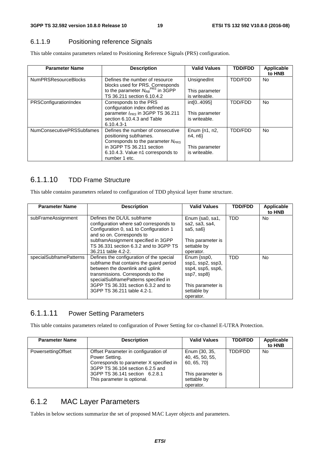#### 6.1.1.9 Positioning reference Signals

This table contains parameters related to Positioning Reference Signals (PRS) configuration.

| <b>Parameter Name</b>       | <b>Description</b>                           | <b>Valid Values</b> | <b>TDD/FDD</b> | Applicable |
|-----------------------------|----------------------------------------------|---------------------|----------------|------------|
|                             |                                              |                     |                | to HNB     |
| <b>NumPRSResourceBlocks</b> | Defines the number of resource               | UnsignedInt         | TDD/FDD        | No.        |
|                             | blocks used for PRS. Corresponds             |                     |                |            |
|                             | to the parameter $N_{RB}^{PRS}$ in 3GPP      | This parameter      |                |            |
|                             | TS 36.211 section 6.10.4.2                   | is writeable.       |                |            |
| PRSConfigurationIndex       | Corresponds to the PRS                       | int[04095]          | <b>TDD/FDD</b> | <b>No</b>  |
|                             | configuration index defined as               |                     |                |            |
|                             | parameter I <sub>PRS</sub> in 3GPP TS 36.211 | This parameter      |                |            |
|                             | section 6.10.4.3 and Table                   | is writeable.       |                |            |
|                             | $6.10.4.3 - 1$                               |                     |                |            |
| NumConsecutivePRSSubfames   | Defines the number of consecutive            | Enum {n1, n2,       | TDD/FDD        | <b>No</b>  |
|                             | positioning subframes.                       | n4, n6              |                |            |
|                             | Corresponds to the parameter $N_{PRS}$       |                     |                |            |
|                             | in 3GPP TS 36.211 section                    | This parameter      |                |            |
|                             | 6.10.4.3. Value n1 corresponds to            | is writeable.       |                |            |
|                             | number 1 etc.                                |                     |                |            |

#### 6.1.1.10 TDD Frame Structure

This table contains parameters related to configuration of TDD physical layer frame structure.

| <b>Parameter Name</b>   | <b>Description</b>                                                                                                                                                                                                                                                        | <b>Valid Values</b>                                                                                                   | <b>TDD/FDD</b> | Applicable<br>to HNB |
|-------------------------|---------------------------------------------------------------------------------------------------------------------------------------------------------------------------------------------------------------------------------------------------------------------------|-----------------------------------------------------------------------------------------------------------------------|----------------|----------------------|
| subFrameAssignment      | Defines the DL/UL subframe<br>configuration where sa0 corresponds to<br>Configuration 0, sa1 to Configuration 1<br>and so on. Corresponds to                                                                                                                              | Enum $\{sa0, sa1,$<br>sa2, sa3, sa4,<br>sa5, sa $6$                                                                   | <b>TDD</b>     | No.                  |
|                         | subframAssignment specified in 3GPP<br>TS 36.331 section 6.3.2 and to 3GPP TS<br>36.211 table 4.2-2.                                                                                                                                                                      | This parameter is<br>settable by<br>operator.                                                                         |                |                      |
| specialSubframePatterns | Defines the configuration of the special<br>subframe that contains the quard period<br>between the downlink and uplink<br>transmissions. Corresponds to the<br>specialSubframePatterns specified in<br>3GPP TS 36.331 section 6.3.2 and to<br>3GPP TS 36.211 table 4.2-1. | Enum {ssp0,<br>ssp1, ssp2, ssp3,<br>ssp4, ssp5, ssp6,<br>ssp7, ssp8}<br>This parameter is<br>settable by<br>operator. | <b>TDD</b>     | No.                  |

#### 6.1.1.11 Power Setting Parameters

This table contains parameters related to configuration of Power Setting for co-channel E-UTRA Protection.

| <b>Parameter Name</b> | <b>Description</b>                                                                                                                                                                                     | <b>Valid Values</b>                                                                             | <b>TDD/FDD</b> | Applicable<br>to HNB |
|-----------------------|--------------------------------------------------------------------------------------------------------------------------------------------------------------------------------------------------------|-------------------------------------------------------------------------------------------------|----------------|----------------------|
| PowersettingOffset    | Offset Parameter in configuration of<br>Power Setting.<br>Corresponds to parameter X specified in<br>3GPP TS 36.104 section 6.2.5 and<br>3GPP TS 36.141 section 6.2.8.1<br>This parameter is optional. | Enum (30, 35,<br>40, 45, 50, 55,<br>60, 65, 70<br>This parameter is<br>settable by<br>operator. | TDD/FDD        | No                   |

# 6.1.2 MAC Layer Parameters

Tables in below sections summarize the set of proposed MAC Layer objects and parameters.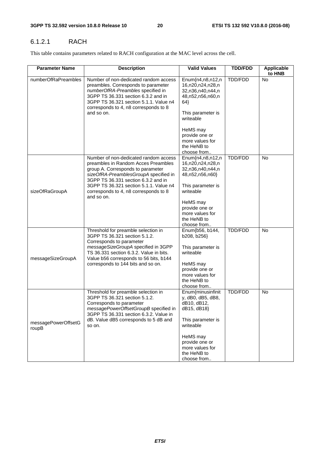#### 6.1.2.1 RACH

This table contains parameters related to RACH configuration at the MAC level across the cell.

| <b>Parameter Name</b>        | <b>Description</b>                                                                                                                                                                                                                          | <b>Valid Values</b>                                                                    | <b>TDD/FDD</b> | Applicable<br>to HNB |
|------------------------------|---------------------------------------------------------------------------------------------------------------------------------------------------------------------------------------------------------------------------------------------|----------------------------------------------------------------------------------------|----------------|----------------------|
| numberOfRaPreambles          | Number of non-dedicated random access<br>preambles. Corresponds to parameter<br>numberOfRA-Preambles specified in<br>3GPP TS 36.331 section 6.3.2 and in<br>3GPP TS 36.321 section 5.1.1. Value n4<br>corresponds to 4, n8 corresponds to 8 | Enum{n4,n8,n12,n<br>16,n20,n24,n28,n<br>32,n36,n40,n44,n<br>48, n52, n56, n60, n<br>64 | TDD/FDD        | <b>No</b>            |
|                              | and so on.                                                                                                                                                                                                                                  | This parameter is<br>writeable                                                         |                |                      |
|                              |                                                                                                                                                                                                                                             | HeMS may<br>provide one or<br>more values for<br>the HeNB to                           |                |                      |
|                              |                                                                                                                                                                                                                                             | choose from                                                                            |                |                      |
|                              | Number of non-dedicated random access<br>preambles in Random Acces Preambles<br>group A. Corresponds to parameter<br>sizeOfRA-PreamblesGroupA specified in<br>3GPP TS 36.331 section 6.3.2 and in                                           | Enum{n4,n8,n12,n<br>16,n20,n24,n28,n<br>32, n 36, n 40, n 44, n<br>48,n52,n56,n60}     | TDD/FDD        | No                   |
| sizeOfRaGroupA               | 3GPP TS 36.321 section 5.1.1. Value n4<br>corresponds to 4, n8 corresponds to 8<br>and so on.                                                                                                                                               | This parameter is<br>writeable                                                         |                |                      |
|                              |                                                                                                                                                                                                                                             | HeMS may                                                                               |                |                      |
|                              |                                                                                                                                                                                                                                             | provide one or<br>more values for                                                      |                |                      |
|                              |                                                                                                                                                                                                                                             | the HeNB to                                                                            |                |                      |
|                              | Threshold for preamble selection in                                                                                                                                                                                                         | choose from<br>Enum{b56, b144,                                                         | <b>TDD/FDD</b> | <b>No</b>            |
|                              | 3GPP TS 36.321 section 5.1.2.<br>Corresponds to parameter                                                                                                                                                                                   | b208, b256}                                                                            |                |                      |
| messageSizeGroupA            | messageSizeGroupA specified in 3GPP<br>TS 36.331 section 6.3.2. Value in bits.<br>Value b56 corresponds to 56 bits, b144                                                                                                                    | This parameter is<br>writeable                                                         |                |                      |
|                              | corresponds to 144 bits and so on.                                                                                                                                                                                                          | HeMS may                                                                               |                |                      |
|                              |                                                                                                                                                                                                                                             | provide one or                                                                         |                |                      |
|                              |                                                                                                                                                                                                                                             | more values for<br>the HeNB to                                                         |                |                      |
|                              |                                                                                                                                                                                                                                             | choose from                                                                            |                |                      |
|                              | Threshold for preamble selection in<br>3GPP TS 36.321 section 5.1.2.<br>Corresponds to parameter<br>messagePowerOffsetGroupB specified in<br>3GPP TS 36.331 section 6.3.2. Value in                                                         | Enum{minusinfinit<br>y, dB0, dB5, dB8,<br>dB10, dB12,<br>dB15, dB18}                   | TDD/FDD        | <b>No</b>            |
| messagePowerOffsetG<br>roupB | dB. Value dB5 corresponds to 5 dB and<br>so on.                                                                                                                                                                                             | This parameter is<br>writeable                                                         |                |                      |
|                              |                                                                                                                                                                                                                                             | HeMS may<br>provide one or<br>more values for<br>the HeNB to<br>choose from            |                |                      |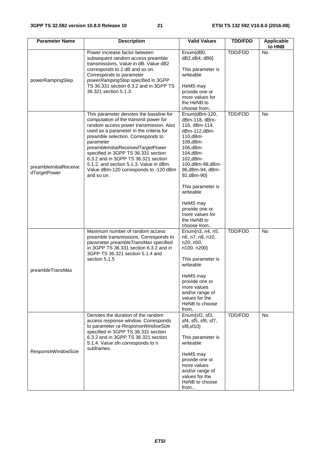| <b>Parameter Name</b>                  | <b>Description</b>                                                                                                                                                                                                                                                                                                                                                                                                                             | <b>Valid Values</b>                                                                                                                                                                                                                                                                              | <b>TDD/FDD</b> | Applicable<br>to HNB |
|----------------------------------------|------------------------------------------------------------------------------------------------------------------------------------------------------------------------------------------------------------------------------------------------------------------------------------------------------------------------------------------------------------------------------------------------------------------------------------------------|--------------------------------------------------------------------------------------------------------------------------------------------------------------------------------------------------------------------------------------------------------------------------------------------------|----------------|----------------------|
| powerRampingStep                       | Power increase factor between<br>subsequent random access preamble<br>transmissions. Value in dB. Value dB2<br>corresponds to 2 dB and so on.<br>Corresponds to parameter<br>powerRampingStep specified in 3GPP<br>TS 36.331 section 6.3.2 and in 3GPP TS<br>36.321 section 5.1.3.                                                                                                                                                             | Enum{dB0,<br>dB2,dB4, dB6}<br>This parameter is<br>writeable<br>HeMS may<br>provide one or<br>more values for<br>the HeNB to<br>choose from                                                                                                                                                      | TDD/FDD        | No                   |
| preambleInitialReceive<br>dTargetPower | This parameter denotes the baseline for<br>computation of the transmit power for<br>random access power transmission. Also<br>used as a parameter in the criteria for<br>preamble selection. Corresponds to<br>parameter<br>preambleInitialReceivedTargetPower<br>specified in 3GPP TS 36.331 section<br>6.3.2 and in 3GPP TS 36.321 section<br>5.1.2. and section 5.1.3. Value in dBm.<br>Value dBm-120 corresponds to -120 dBm<br>and so on. | Enum{dBm-120,<br>dBm-118, dBm-<br>116, dBm-114,<br>dBm-112,dBm-<br>110,dBm-<br>108,dBm-<br>106,dBm-<br>104,dBm-<br>102,dBm-<br>100,dBm-98,dBm-<br>96,dBm-94, dBm-<br>92,dBm-90}<br>This parameter is<br>writeable<br>HeMS may<br>provide one or<br>more values for<br>the HeNB to<br>choose from | <b>TDD/FDD</b> | <b>No</b>            |
| preambleTransMax                       | Maximum number of random access<br>preamble transmissions. Corresponds to<br>parameter preambleTransMax specified<br>in 3GPP TS 36.331 section 6.3.2 and in<br>3GPP TS 36.321 section 5.1.4 and<br>section 5.1.5                                                                                                                                                                                                                               | Enum{n3, n4, n5,<br>n6, n7, n8, n10,<br>n20, n50,<br>n100, n200}<br>This parameter is<br>writeable<br>HeMS may<br>provide one or<br>more values<br>and/or range of<br>values for the<br>HeNB to choose<br>from                                                                                   | <b>TDD/FDD</b> | No                   |
| ResponseWindowSize                     | Denotes the duration of the random<br>access response window. Corresponds<br>to parameter ra-ResponseWindowSize<br>specified in 3GPP TS 36.331 section<br>6.3.2 and in 3GPP TS 36.321 section<br>5.1.4. Value sfn corresponds to n<br>subframes.                                                                                                                                                                                               | Enum{sf2, sf3,<br>sf4, sf5, sf6, sf7,<br>sf8, sf10<br>This parameter is<br>writeable<br>HeMS may<br>provide one or<br>more values<br>and/or range of<br>values for the<br>HeNB to choose<br>from                                                                                                 | <b>TDD/FDD</b> | <b>No</b>            |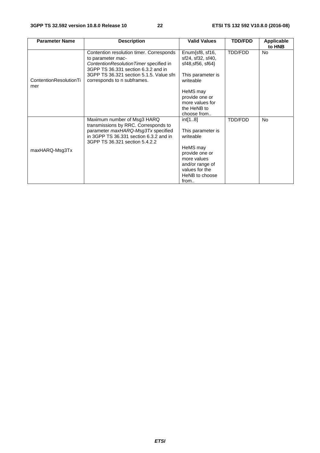| <b>Parameter Name</b>         | <b>Description</b>                                                                                                                                                                    | <b>Valid Values</b>                                                                              | <b>TDD/FDD</b> | Applicable<br>to HNB |
|-------------------------------|---------------------------------------------------------------------------------------------------------------------------------------------------------------------------------------|--------------------------------------------------------------------------------------------------|----------------|----------------------|
|                               | Contention resolution timer. Corresponds<br>to parameter mac-<br>ContentionResolutionTimer specified in<br>3GPP TS 36.331 section 6.3.2 and in                                        | Enum{sf8, sf16,<br>sf24, sf32, sf40,<br>sf48, sf56, sf64}                                        | TDD/FDD        | <b>No</b>            |
| ContentionResolutionTi<br>mer | 3GPP TS 36.321 section 5.1.5. Value sfn<br>corresponds to n subframes.                                                                                                                | This parameter is<br>writeable                                                                   |                |                      |
|                               |                                                                                                                                                                                       | HeMS may<br>provide one or<br>more values for                                                    |                |                      |
|                               |                                                                                                                                                                                       | the HeNB to<br>choose from                                                                       |                |                      |
|                               | Maximum number of Msg3 HARQ<br>transmissions by RRC. Corresponds to<br>parameter maxHARQ-Msg3Tx specified<br>in 3GPP TS 36.331 section 6.3.2 and in<br>3GPP TS 36.321 section 5.4.2.2 | int[18]<br>This parameter is<br>writeable                                                        | TDD/FDD        | <b>No</b>            |
| maxHARQ-Msg3Tx                |                                                                                                                                                                                       | HeMS may<br>provide one or<br>more values<br>and/or range of<br>values for the<br>HeNB to choose |                |                      |
|                               |                                                                                                                                                                                       | from                                                                                             |                |                      |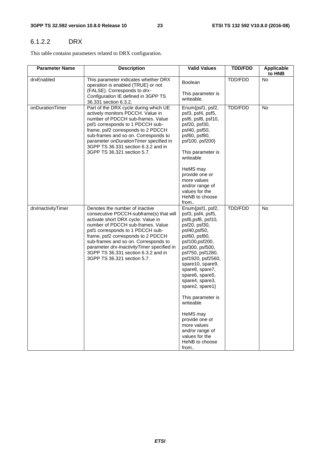#### 6.1.2.2 DRX

This table contains parameters related to DRX configuration.

| <b>Parameter Name</b> | <b>Description</b>                                                                                                                                                                                                                                                                                                                                                                         | <b>Valid Values</b>                                                                                                                                                                                                                                                                        | <b>TDD/FDD</b> | Applicable<br>to HNB |
|-----------------------|--------------------------------------------------------------------------------------------------------------------------------------------------------------------------------------------------------------------------------------------------------------------------------------------------------------------------------------------------------------------------------------------|--------------------------------------------------------------------------------------------------------------------------------------------------------------------------------------------------------------------------------------------------------------------------------------------|----------------|----------------------|
| drxEnabled            | This parameter indicates whether DRX<br>operation is enabled (TRUE) or not<br>(FALSE). Corresponds to drx-<br>Configuration IE defined in 3GPP TS<br>36.331 section 6.3.2.                                                                                                                                                                                                                 | Boolean<br>This parameter is<br>writeable.                                                                                                                                                                                                                                                 | TDD/FDD        | <b>No</b>            |
| onDurationTimer       | Part of the DRX cycle during which UE<br>actively monitors PDCCH. Value in<br>number of PDCCH sub-frames. Value<br>psf1 corresponds to 1 PDCCH sub-<br>frame, psf2 corresponds to 2 PDCCH<br>sub-frames and so on. Corresponds to<br>parameter onDurationTimer specified in<br>3GPP TS 36.331 section 6.3.2 and in<br>3GPP TS 36.321 section 5.7.                                          | Enum{psf1, psf2,<br>psf3, psf4, psf5,<br>psf6, psf8, psf10,<br>psf20, psf30,<br>psf40, psf50,<br>psf60, psf80,<br>psf100, psf200}<br>This parameter is<br>writeable                                                                                                                        | TDD/FDD        | No                   |
|                       |                                                                                                                                                                                                                                                                                                                                                                                            | HeMS may<br>provide one or<br>more values<br>and/or range of<br>values for the<br>HeNB to choose<br>from                                                                                                                                                                                   |                |                      |
| drxInactivityTimer    | Denotes the number of inactive<br>consecutive PDCCH-subframe(s) that will<br>activate short DRX cycle. Value in<br>number of PDCCH sub-frames. Value<br>psf1 corresponds to 1 PDCCH sub-<br>frame, psf2 corresponds to 2 PDCCH<br>sub-frames and so on. Corresponds to<br>parameter drx-InactivityTimer specified in<br>3GPP TS 36.331 section 6.3.2 and in<br>3GPP TS 36.321 section 5.7. | Enum{psf1, psf2,<br>psf3, psf4, psf5,<br>psf6,psf8, psf10,<br>psf20, psf30,<br>psf40,psf50,<br>psf60, psf80,<br>psf100,psf200,<br>psf300, psf500,<br>psf750, psf1280,<br>psf1920, psf2560,<br>spare10, spare9,<br>spare8, spare7,<br>spare6, spare5,<br>spare4, spare3,<br>spare2, spare1} | TDD/FDD        | No                   |
|                       |                                                                                                                                                                                                                                                                                                                                                                                            | This parameter is<br>writeable<br>HeMS may<br>provide one or<br>more values<br>and/or range of<br>values for the<br>HeNB to choose<br>from                                                                                                                                                 |                |                      |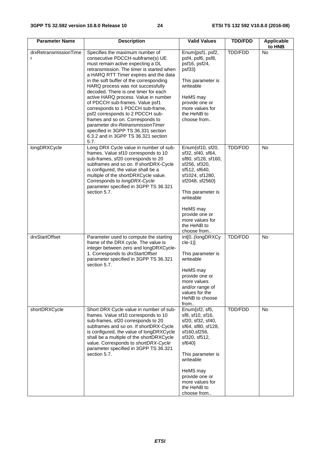| <b>Parameter Name</b>      | <b>Description</b>                                                                                                                                                                                                                                                                                                                                                                                                                                                                                                                                                                                                                        | <b>Valid Values</b>                                                                                                                                                                                                                                   | <b>TDD/FDD</b> | <b>Applicable</b><br>to HNB |
|----------------------------|-------------------------------------------------------------------------------------------------------------------------------------------------------------------------------------------------------------------------------------------------------------------------------------------------------------------------------------------------------------------------------------------------------------------------------------------------------------------------------------------------------------------------------------------------------------------------------------------------------------------------------------------|-------------------------------------------------------------------------------------------------------------------------------------------------------------------------------------------------------------------------------------------------------|----------------|-----------------------------|
| drxRetransmissionTime<br>r | Specifies the maximum number of<br>consecutive PDCCH-subframe(s) UE<br>must remain active expecting a DL<br>retransmission. The timer is started when<br>a HARQ RTT Timer expires and the data<br>in the soft buffer of the corresponding<br>HARQ process was not successfully<br>decoded. There is one timer for each<br>active HARQ process. Value in number<br>of PDCCH sub-frames. Value psf1<br>corresponds to 1 PDCCH sub-frame,<br>psf2 corresponds to 2 PDCCH sub-<br>frames and so on. Corresponds to<br>parameter drx-RetransmissionTimer<br>specified in 3GPP TS 36.331 section<br>6.3.2 and in 3GPP TS 36.321 section<br>5.7. | Enum{psf1, psf2,<br>psf4, psf6, psf8,<br>psf16, psf24,<br>psf33<br>This parameter is<br>writeable<br>HeMS may<br>provide one or<br>more values for<br>the HeNB to<br>choose from                                                                      | TDD/FDD        | <b>No</b>                   |
| longDRXCycle               | Long DRX Cycle value in number of sub-<br>frames. Value sf10 corresponds to 10<br>sub-frames, sf20 corresponds to 20<br>subframes and so on. If shortDRX-Cycle<br>is configured, the value shall be a<br>multiple of the shortDRXCycle value.<br>Corresponds to longDRX-Cycle<br>parameter specified in 3GPP TS 36.321<br>section 5.7.                                                                                                                                                                                                                                                                                                    | Enum{sf10, sf20,<br>sf32, sf40, sf64,<br>sf80, sf128, sf160,<br>sf256, sf320,<br>sf512, sf640,<br>sf1024, sf1280,<br>sf2048, sf2560}<br>This parameter is<br>writeable<br>HeMS may<br>provide one or<br>more values for<br>the HeNB to<br>choose from | TDD/FDD        | <b>No</b>                   |
| drxStartOffset             | Parameter used to compute the starting<br>frame of the DRX cycle. The value is<br>integer between zero and longDRXCycle-<br>1. Corresponds to drxStartOffset<br>parameter specified in 3GPP TS 36.321<br>section 5.7.                                                                                                                                                                                                                                                                                                                                                                                                                     | int[0(longDRXCy<br>$cle-1)$ ]<br>This parameter is<br>writeable<br>HeMS may<br>provide one or<br>more values<br>and/or range of<br>values for the<br>HeNB to choose<br>from                                                                           | TDD/FDD        | <b>No</b>                   |
| shortDRXCycle              | Short DRX Cycle value in number of sub-<br>frames. Value sf10 corresponds to 10<br>sub-frames, sf20 corresponds to 20<br>subframes and so on. If shortDRX-Cycle<br>is configured, the value of longDRXCycle<br>shall be a multiple of the shortDRXCycle<br>value. Corresponds to shortDRX-Cycle<br>parameter specified in 3GPP TS 36.321<br>section 5.7.                                                                                                                                                                                                                                                                                  | Enum{sf2, sf5,<br>sf8, sf10, sf16,<br>sf20, sf32, sf40,<br>sf64, sf80, sf128,<br>sf160, sf256,<br>sf320, sf512,<br>sf640<br>This parameter is<br>writeable<br>HeMS may<br>provide one or<br>more values for<br>the HeNB to<br>choose from             | TDD/FDD        | <b>No</b>                   |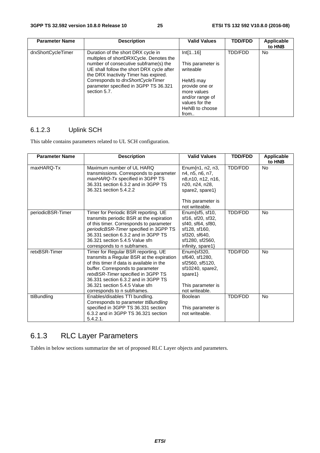| <b>Parameter Name</b> | <b>Description</b>                                                                                                          | <b>Valid Values</b>                                          | <b>TDD/FDD</b> | Applicable<br>to HNB |
|-----------------------|-----------------------------------------------------------------------------------------------------------------------------|--------------------------------------------------------------|----------------|----------------------|
| drxShortCycleTimer    | Duration of the short DRX cycle in<br>multiples of shortDRXCycle. Denotes the                                               | Int[116]                                                     | TDD/FDD        | No.                  |
|                       | number of consecutive subframe(s) the<br>UE shall follow the short DRX cycle after<br>the DRX Inactivity Timer has expired. | This parameter is<br>writeable                               |                |                      |
|                       | Corresponds to drxShortCycleTimer<br>parameter specified in 3GPP TS 36.321<br>section 5.7.                                  | HeMS may<br>provide one or<br>more values<br>and/or range of |                |                      |
|                       |                                                                                                                             | values for the<br>HeNB to choose<br>from                     |                |                      |

# 6.1.2.3 Uplink SCH

This table contains parameters related to UL SCH configuration.

| <b>Parameter Name</b> | <b>Description</b>                                                                                                                                                                                                                                                                                              | <b>Valid Values</b>                                                                                                                 | <b>TDD/FDD</b> | <b>Applicable</b><br>to HNB |
|-----------------------|-----------------------------------------------------------------------------------------------------------------------------------------------------------------------------------------------------------------------------------------------------------------------------------------------------------------|-------------------------------------------------------------------------------------------------------------------------------------|----------------|-----------------------------|
| maxHARQ-Tx            | Maximum number of UL HARQ<br>transmissions. Corresponds to parameter<br>maxHARQ-Tx specified in 3GPP TS<br>36.331 section 6.3.2 and in 3GPP TS<br>36.321 section 5.4.2.2                                                                                                                                        | Enum $\{n1, n2, n3\}$<br>n4, n5, n6, n7,<br>n8,n10, n12, n16,<br>n20, n24, n28,<br>spare2, spare1}<br>This parameter is             | TDD/FDD        | <b>No</b>                   |
|                       |                                                                                                                                                                                                                                                                                                                 | not writeable.                                                                                                                      |                |                             |
| periodicBSR-Timer     | Timer for Periodic BSR reporting. UE<br>transmits periodic BSR at the expiration<br>of this timer. Corresponds to parameter<br>periodicBSR-Timer specified in 3GPP TS<br>36.331 section 6.3.2 and in 3GPP TS<br>36.321 section 5.4.5 Value sfn<br>corresponds to n subframes.                                   | Enum{sf5, sf10,<br>sf16, sf20, sf32,<br>sf40, sf64, sf80,<br>sf128, sf160,<br>sf320, sf640,<br>sf1280, sf2560,<br>infinity, spare1} | TDD/FDD        | <b>No</b>                   |
| retxBSR-Timer         | Timer for Regular BSR reporting. UE<br>transmits a Regular BSR at the expiration<br>of this timer if data is available in the<br>buffer. Corresponds to parameter<br>retxBSR-Timer specified in 3GPP TS<br>36.331 section 6.3.2 and in 3GPP TS<br>36.321 section 5.4.5 Value sfn<br>corresponds to n subframes. | Enum{sf320,<br>sf640, sf1280,<br>sf2560, sf5120,<br>sf10240, spare2,<br>spare $1$ }<br>This parameter is<br>not writeable.          | <b>TDD/FDD</b> | No                          |
| ttiBundling           | Enables/disables TTI bundling.<br>Corresponds to parameter ttiBundling<br>specified in 3GPP TS 36.331 section<br>6.3.2 and in 3GPP TS 36.321 section<br>5.4.2.1.                                                                                                                                                | <b>Boolean</b><br>This parameter is<br>not writeable.                                                                               | TDD/FDD        | No                          |

# 6.1.3 RLC Layer Parameters

Tables in below sections summarize the set of proposed RLC Layer objects and parameters.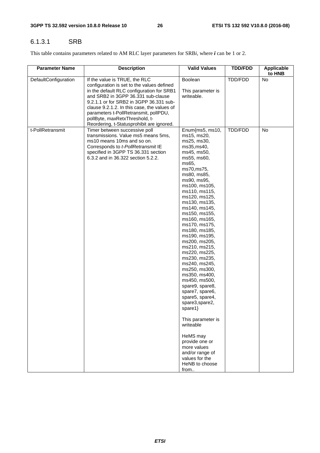#### 6.1.3.1 SRB

This table contains parameters related to AM RLC layer parameters for SRB*i*, where *i* can be 1 or 2.

| <b>Parameter Name</b> | <b>Description</b>                                                                                                                                                                                                                                                                                                                                                               | <b>Valid Values</b>                                                                                                                                                                                                                                                                                                                                                                                                                                                                                                                                                                                                                                                                                         | <b>TDD/FDD</b> | <b>Applicable</b><br>to HNB |
|-----------------------|----------------------------------------------------------------------------------------------------------------------------------------------------------------------------------------------------------------------------------------------------------------------------------------------------------------------------------------------------------------------------------|-------------------------------------------------------------------------------------------------------------------------------------------------------------------------------------------------------------------------------------------------------------------------------------------------------------------------------------------------------------------------------------------------------------------------------------------------------------------------------------------------------------------------------------------------------------------------------------------------------------------------------------------------------------------------------------------------------------|----------------|-----------------------------|
| DefaultConfiguration  | If the value is TRUE, the RLC<br>configuration is set to the values defined<br>in the default RLC configuration for SRB1<br>and SRB2 in 3GPP 36.331 sub-clause<br>9.2.1.1 or for SRB2 in 3GPP 36.331 sub-<br>clause 9.2.1.2. In this case, the values of<br>parameters t-PollRetransmit, pollPDU,<br>pollByte, maxRetxThreshold, t-<br>Reordering, t-Statusprohibit are ignored. | Boolean<br>This parameter is<br>writeable.                                                                                                                                                                                                                                                                                                                                                                                                                                                                                                                                                                                                                                                                  | TDD/FDD        | <b>No</b>                   |
| t-PollRetransmit      | Timer between successive poll<br>transmissions. Value ms5 means 5ms,<br>ms10 means 10ms and so on.<br>Corresponds to t-PollRetransmit IE<br>specified in 3GPP TS 36.331 section<br>6.3.2 and in 36.322 section 5.2.2.                                                                                                                                                            | Enum{ms5, ms10,<br>ms15, ms20,<br>ms25, ms30,<br>ms35, ms40,<br>ms45, ms50,<br>ms55, ms60,<br>ms65,<br>ms70, ms75,<br>ms80, ms85,<br>ms90, ms95,<br>ms100, ms105,<br>ms110, ms115,<br>ms120, ms125,<br>ms130, ms135,<br>ms140, ms145,<br>ms150, ms155,<br>ms160, ms165,<br>ms170, ms175,<br>ms180, ms185,<br>ms190, ms195,<br>ms200, ms205,<br>ms210, ms215,<br>ms220, ms225,<br>ms230, ms235,<br>ms240, ms245,<br>ms250, ms300,<br>ms350, ms400,<br>ms450, ms500,<br>spare9, spare8,<br>spare7, spare6,<br>spare5, spare4,<br>spare3, spare2,<br>spare1 $\}$<br>This parameter is<br>writeable<br>HeMS may<br>provide one or<br>more values<br>and/or range of<br>values for the<br>HeNB to choose<br>from | TDD/FDD        | No                          |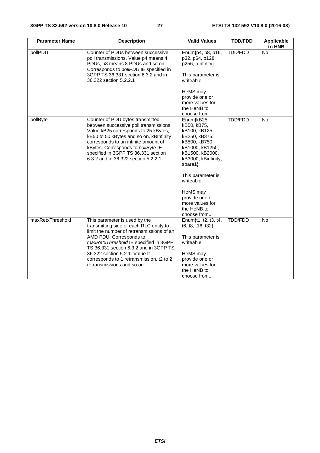| <b>Parameter Name</b> | <b>Description</b>                                                                                                                                                                                                                                                                                                        | <b>Valid Values</b>                                                                                                                                                                                                                         | <b>TDD/FDD</b> | <b>Applicable</b><br>to HNB |
|-----------------------|---------------------------------------------------------------------------------------------------------------------------------------------------------------------------------------------------------------------------------------------------------------------------------------------------------------------------|---------------------------------------------------------------------------------------------------------------------------------------------------------------------------------------------------------------------------------------------|----------------|-----------------------------|
| pollPDU               | Counter of PDUs between successive<br>poll transmissions. Value p4 means 4<br>PDUs, p8 means 8 PDUs and so on.<br>Corresponds to pollPDU IE specified in                                                                                                                                                                  | Enum{p4, p8, p16,<br>p32, p64, p128,<br>p256, plnfinity}                                                                                                                                                                                    | <b>TDD/FDD</b> | <b>No</b>                   |
|                       | 3GPP TS 36.331 section 6.3.2 and in<br>36.322 section 5.2.2.1                                                                                                                                                                                                                                                             | This parameter is<br>writeable                                                                                                                                                                                                              |                |                             |
|                       |                                                                                                                                                                                                                                                                                                                           | HeMS may<br>provide one or<br>more values for<br>the HeNB to<br>choose from                                                                                                                                                                 |                |                             |
| pollByte              | Counter of PDU bytes transmitted<br>between successive poll transmissions.<br>Value kB25 corresponds to 25 kBytes,<br>kB50 to 50 kBytes and so on. kBInfinity<br>corresponds to an infinite amount of<br>kBytes. Corresponds to pollByte IE<br>specified in 3GPP TS 36.331 section<br>6.3.2 and in 36.322 section 5.2.2.1 | Enum{kB25,<br>kB50, kB75,<br>kB100, kB125,<br>kB250, kB375,<br>kB500, kB750,<br>kB1000, kB1250,<br>kB1500, kB2000,<br>kB3000, kBinfinity,<br>spare1 $\}$<br>This parameter is<br>writeable<br>HeMS may<br>provide one or<br>more values for | TDD/FDD        | No                          |
| maxRetxThreshold      | This parameter is used by the                                                                                                                                                                                                                                                                                             | the HeNB to<br>choose from<br>Enum{t1, t2, t3, t4,                                                                                                                                                                                          | <b>TDD/FDD</b> | No                          |
|                       | transmitting side of each RLC entity to<br>limit the number of retransmissions of an                                                                                                                                                                                                                                      | t6, t8, t16, t32}                                                                                                                                                                                                                           |                |                             |
|                       | AMD PDU. Corresponds to<br>maxRetxThreshold IE specified in 3GPP<br>TS 36.331 section 6.3.2 and in 3GPP TS                                                                                                                                                                                                                | This parameter is<br>writeable                                                                                                                                                                                                              |                |                             |
|                       | 36.322 section 5.2.1. Value t1<br>corresponds to 1 retransmission, t2 to 2                                                                                                                                                                                                                                                | HeMS may<br>provide one or                                                                                                                                                                                                                  |                |                             |
|                       | retransmissions and so on.                                                                                                                                                                                                                                                                                                | more values for<br>the HeNB to                                                                                                                                                                                                              |                |                             |
|                       |                                                                                                                                                                                                                                                                                                                           | choose from                                                                                                                                                                                                                                 |                |                             |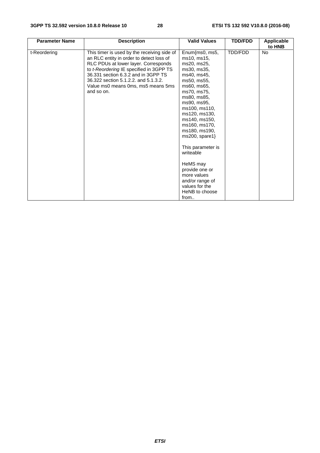| <b>Parameter Name</b> | <b>Description</b>                                                                                                                                                                                                                                                                                            | <b>Valid Values</b>                                                                                                                                                                                                                                                                                                                                                                                           | <b>TDD/FDD</b> | <b>Applicable</b><br>to HNB |
|-----------------------|---------------------------------------------------------------------------------------------------------------------------------------------------------------------------------------------------------------------------------------------------------------------------------------------------------------|---------------------------------------------------------------------------------------------------------------------------------------------------------------------------------------------------------------------------------------------------------------------------------------------------------------------------------------------------------------------------------------------------------------|----------------|-----------------------------|
| t-Reordering          | This timer is used by the receiving side of<br>an RLC entity in order to detect loss of<br>RLC PDUs at lower layer. Corresponds<br>to t-Reordering IE specified in 3GPP TS<br>36.331 section 6.3.2 and in 3GPP TS<br>36.322 section 5.1.2.2. and 5.1.3.2.<br>Value ms0 means 0ms, ms5 means 5ms<br>and so on. | Enum{ms0, ms5,<br>ms10, ms15,<br>ms20, ms25,<br>ms30, ms35,<br>ms40, ms45,<br>ms50, ms55,<br>ms60, ms65,<br>ms70, ms75,<br>ms80, ms85,<br>ms90, ms95,<br>ms100, ms110,<br>ms120, ms130,<br>ms140, ms150,<br>ms160, ms170,<br>ms180, ms190,<br>$ms200$ , spare1}<br>This parameter is<br>writeable<br>HeMS may<br>provide one or<br>more values<br>and/or range of<br>values for the<br>HeNB to choose<br>from | TDD/FDD        | No                          |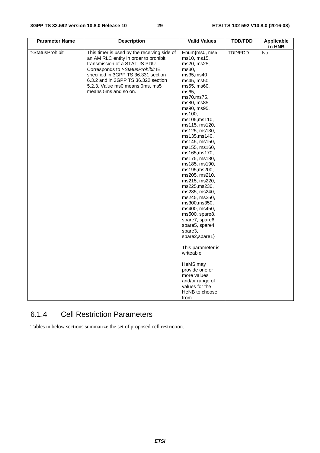| <b>Parameter Name</b> | <b>Description</b>                                                                                                                                                                                                                                                                                   | <b>Valid Values</b>                                                                                                                                                                                                                                                                                                                                                                                                                                                                                                                                                                                                                                                                                | <b>TDD/FDD</b> | Applicable<br>to HNB |
|-----------------------|------------------------------------------------------------------------------------------------------------------------------------------------------------------------------------------------------------------------------------------------------------------------------------------------------|----------------------------------------------------------------------------------------------------------------------------------------------------------------------------------------------------------------------------------------------------------------------------------------------------------------------------------------------------------------------------------------------------------------------------------------------------------------------------------------------------------------------------------------------------------------------------------------------------------------------------------------------------------------------------------------------------|----------------|----------------------|
| t-StatusProhibit      | This timer is used by the receiving side of<br>an AM RLC entity in order to prohibit<br>transmission of a STATUS PDU.<br>Corresponds to t-StatusProhibit IE<br>specified in 3GPP TS 36.331 section<br>6.3.2 and in 3GPP TS 36.322 section<br>5.2.3. Value ms0 means 0ms, ms5<br>means 5ms and so on. | Enum{ms0, ms5,<br>ms10, ms15,<br>ms20, ms25,<br>ms30,<br>ms35, ms40,<br>ms45, ms50,<br>ms55, ms60,<br>ms65.<br>ms70, ms75,<br>ms80, ms85,<br>ms90, ms95,<br>ms100,<br>ms105,ms110,<br>ms115, ms120,<br>ms125, ms130,<br>ms135,ms140,<br>ms145, ms150,<br>ms155, ms160,<br>ms165,ms170,<br>ms175, ms180,<br>ms185, ms190,<br>ms195, ms200,<br>ms205, ms210,<br>ms215, ms220,<br>ms225,ms230,<br>ms235, ms240,<br>ms245, ms250,<br>ms300, ms350,<br>ms400, ms450,<br>ms500, spare8,<br>spare7, spare6,<br>spare5, spare4,<br>spare3,<br>spare2,spare1}<br>This parameter is<br>writeable<br>HeMS may<br>provide one or<br>more values<br>and/or range of<br>values for the<br>HeNB to choose<br>from | TDD/FDD        | <b>No</b>            |

# 6.1.4 Cell Restriction Parameters

Tables in below sections summarize the set of proposed cell restriction.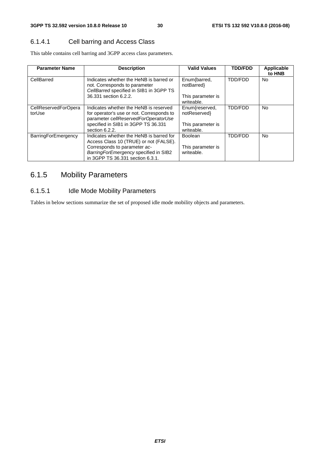#### 6.1.4.1 Cell barring and Access Class

This table contains cell barring and 3GPP access class parameters.

| <b>Parameter Name</b>          | <b>Description</b>                                                                                                          | <b>Valid Values</b>             | <b>TDD/FDD</b> | <b>Applicable</b><br>to HNB |
|--------------------------------|-----------------------------------------------------------------------------------------------------------------------------|---------------------------------|----------------|-----------------------------|
| CellBarred                     | Indicates whether the HeNB is barred or<br>not. Corresponds to parameter<br>CellBarred specified in SIB1 in 3GPP TS         | Enum{barred,<br>notBarred       | <b>TDD/FDD</b> | No.                         |
|                                | 36.331 section 6.2.2.                                                                                                       | This parameter is<br>writeable. |                |                             |
| CellReservedForOpera<br>torUse | Indicates whether the HeNB is reserved<br>for operator's use or not. Corresponds to<br>parameter cellReservedForOperatorUse | Enum{reserved,<br>notReserved}  | <b>TDD/FDD</b> | No.                         |
|                                | specified in SIB1 in 3GPP TS 36.331<br>section 6.2.2.                                                                       | This parameter is<br>writeable. |                |                             |
| <b>BarringForEmergency</b>     | Indicates whether the HeNB is barred for<br>Access Class 10 (TRUE) or not (FALSE).                                          | Boolean                         | <b>TDD/FDD</b> | No.                         |
|                                | Corresponds to parameter ac-<br>Barring For Emergency specified in SIB2<br>in 3GPP TS 36.331 section 6.3.1.                 | This parameter is<br>writeable. |                |                             |

# 6.1.5 Mobility Parameters

#### 6.1.5.1 Idle Mode Mobility Parameters

Tables in below sections summarize the set of proposed idle mode mobility objects and parameters.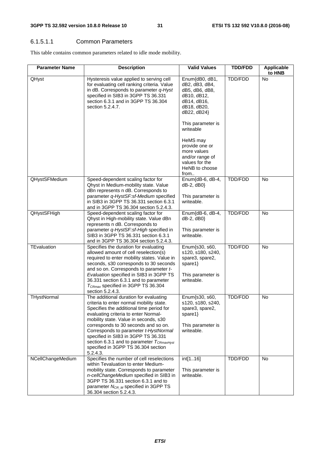#### 6.1.5.1.1 Common Parameters

This table contains common parameters related to idle mode mobility.

| <b>Parameter Name</b> | <b>Description</b>                                                                                                                                                                                                                                                                                                                                                                                                                           | <b>Valid Values</b>                                                                                            | <b>TDD/FDD</b> | <b>Applicable</b><br>to HNB |
|-----------------------|----------------------------------------------------------------------------------------------------------------------------------------------------------------------------------------------------------------------------------------------------------------------------------------------------------------------------------------------------------------------------------------------------------------------------------------------|----------------------------------------------------------------------------------------------------------------|----------------|-----------------------------|
| QHyst                 | Hysteresis value applied to serving cell<br>for evaluating cell ranking criteria. Value<br>in dB. Corresponds to parameter q-Hyst<br>specified in SIB3 in 3GPP TS 36.331<br>section 6.3.1 and in 3GPP TS 36.304<br>section 5.2.4.7.                                                                                                                                                                                                          | Enum{dB0, dB1,<br>dB2, dB3, dB4,<br>dB5, dB6, dB8,<br>dB10, dB12,<br>dB14, dB16,<br>dB18, dB20,<br>dB22, dB24} | TDD/FDD        | <b>No</b>                   |
|                       |                                                                                                                                                                                                                                                                                                                                                                                                                                              | This parameter is<br>writeable                                                                                 |                |                             |
|                       |                                                                                                                                                                                                                                                                                                                                                                                                                                              | HeMS may<br>provide one or<br>more values<br>and/or range of<br>values for the<br>HeNB to choose<br>from       |                |                             |
| QHystSFMedium         | Speed-dependent scaling factor for<br>Qhyst in Medium-mobility state. Value<br>dBn represents n dB. Corresponds to<br>parameter q-HystSF:sf-Medium specified<br>in SIB3 in 3GPP TS 36.331 section 6.3.1<br>and in 3GPP TS 36.304 section 5.2.4.3.                                                                                                                                                                                            | Enum{dB-6, dB-4,<br>dB-2, dB0}<br>This parameter is<br>writeable.                                              | TDD/FDD        | No                          |
| <b>QHystSFHigh</b>    | Speed-dependent scaling factor for<br>Qhyst in High-mobility state. Value dBn<br>represents n dB. Corresponds to<br>parameter q-HystSF:sf-High specified in<br>SIB3 in 3GPP TS 36.331 section 6.3.1<br>and in 3GPP TS 36.304 section 5.2.4.3.                                                                                                                                                                                                | Enum{dB-6, dB-4,<br>$dB-2, dB0$<br>This parameter is<br>writeable.                                             | TDD/FDD        | No                          |
| TEvaluation           | Specifies the duration for evaluating<br>allowed amount of cell reselection(s)<br>required to enter mobility states. Value in<br>seconds, s30 corresponds to 30 seconds<br>and so on. Corresponds to parameter t-<br>Evaluation specified in SIB3 in 3GPP TS<br>36.331 section 6.3.1 and to parameter<br>$T_{CRmax}$ specified in 3GPP TS 36.304<br>section 5.2.4.3.                                                                         | Enum{s30, s60,<br>s120, s180, s240,<br>spare3, spare2,<br>spare1}<br>This parameter is<br>writeable.           | TDD/FDD        | <b>No</b>                   |
| THystNormal           | The additional duration for evaluating<br>criteria to enter normal mobility state.<br>Specifies the additional time period for<br>evaluating criteria to enter Normal-<br>mobility state. Value in seconds, s30<br>corresponds to 30 seconds and so on.<br>Corresponds to parameter t-HystNormal<br>specified in SIB3 in 3GPP TS 36.331<br>section 6.3.1 and to parameter $T_{CRmaxHyst}$<br>specified in 3GPP TS 36.304 section<br>5.2.4.3. | Enum{s30, s60,<br>s120, s180, s240,<br>spare3, spare2,<br>spare1}<br>This parameter is<br>writeable.           | TDD/FDD        | No                          |
| NCellChangeMedium     | Specifies the number of cell reselections<br>within Tevaluation to enter Medium-<br>mobility state. Corresponds to parameter<br>n-cellChangeMedium specified in SIB3 in<br>3GPP TS 36.331 section 6.3.1 and to<br>parameter N <sub>CR_M</sub> specified in 3GPP TS<br>36.304 section 5.2.4.3.                                                                                                                                                | int[116]<br>This parameter is<br>writeable.                                                                    | TDD/FDD        | No                          |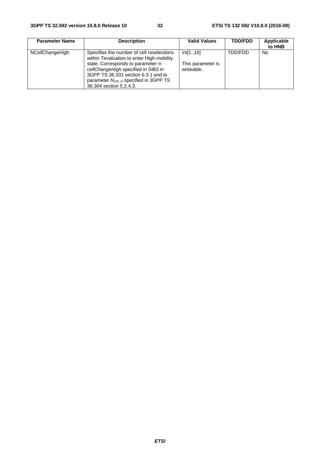| <b>Parameter Name</b> | <b>Description</b>                                                                                                                                                                                                                                                                    | <b>Valid Values</b>                         | <b>TDD/FDD</b> | Applicable<br>to HNB |
|-----------------------|---------------------------------------------------------------------------------------------------------------------------------------------------------------------------------------------------------------------------------------------------------------------------------------|---------------------------------------------|----------------|----------------------|
| NCellChangeHigh       | Specifies the number of cell reselections<br>within Tevaluation to enter High-mobility<br>state. Corresponds to parameter n-<br>cellChangeHigh specified in SIB3 in<br>3GPP TS 36.331 section 6.3.1 and to<br>parameter $N_{CR}$ $_H$ specified in 3GPP TS<br>36.304 section 5.2.4.3. | int[116]<br>This parameter is<br>writeable. | TDD/FDD        | No                   |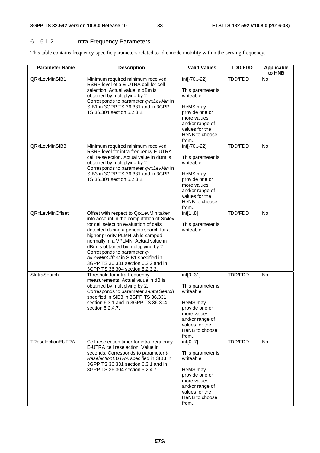#### 6.1.5.1.2 Intra-Frequency Parameters

This table contains frequency-specific parameters related to idle mode mobility within the serving frequency.

| <b>Parameter Name</b>  | <b>Description</b>                                                                                                                                                                                                                                                                                                                                                                                                                            | <b>Valid Values</b>                                                                                                                                       | <b>TDD/FDD</b> | <b>Applicable</b><br>to HNB |
|------------------------|-----------------------------------------------------------------------------------------------------------------------------------------------------------------------------------------------------------------------------------------------------------------------------------------------------------------------------------------------------------------------------------------------------------------------------------------------|-----------------------------------------------------------------------------------------------------------------------------------------------------------|----------------|-----------------------------|
| QRxLevMinSIB1          | Minimum required minimum received<br>RSRP level of a E-UTRA cell for cell<br>selection. Actual value in dBm is<br>obtained by multiplying by 2.<br>Corresponds to parameter q-rxLevMin in<br>SIB1 in 3GPP TS 36.331 and in 3GPP<br>TS 36.304 section 5.2.3.2.                                                                                                                                                                                 | int[-70-22]<br>This parameter is<br>writeable<br>HeMS may<br>provide one or<br>more values<br>and/or range of<br>values for the<br>HeNB to choose<br>from | TDD/FDD        | <b>No</b>                   |
| QRxLevMinSIB3          | Minimum required minimum received<br>RSRP level for intra-frequency E-UTRA<br>cell re-selection. Actual value in dBm is<br>obtained by multiplying by 2.<br>Corresponds to parameter q-rxLevMin in<br>SIB3 in 3GPP TS 36.331 and in 3GPP<br>TS 36.304 section 5.2.3.2.                                                                                                                                                                        | int[-70-22]<br>This parameter is<br>writeable<br>HeMS may<br>provide one or<br>more values<br>and/or range of<br>values for the<br>HeNB to choose<br>from | TDD/FDD        | <b>No</b>                   |
| <b>QRxLevMinOffset</b> | Offset with respect to QrxLevMin taken<br>into account in the computation of Srxlev<br>for cell selection evaluation of cells<br>detected during a periodic search for a<br>higher priority PLMN while camped<br>normally in a VPLMN. Actual value in<br>dBm is obtained by multiplying by 2.<br>Corresponds to parameter q-<br>rxLevMinOffset in SIB1 specified in<br>3GPP TS 36.331 section 6.2.2 and in<br>3GPP TS 36.304 section 5.2.3.2. | int[18]<br>This parameter is<br>writeable.                                                                                                                | TDD/FDD        | No                          |
| SIntraSearch           | Threshold for intra-frequency<br>measurements. Actual value in dB is<br>obtained by multiplying by 2.<br>Corresponds to parameter s-IntraSearch<br>specified in SIB3 in 3GPP TS 36.331<br>section 6.3.1 and in 3GPP TS 36.304<br>section 5.2.4.7.                                                                                                                                                                                             | int[031]<br>This parameter is<br>writeable<br>HeMS may<br>provide one or<br>more values<br>and/or range of<br>values for the<br>HeNB to choose<br>from    | TDD/FDD        | <b>No</b>                   |
| TReselectionEUTRA      | Cell reselection timer for intra frequency<br>E-UTRA cell reselection. Value in<br>seconds. Corresponds to parameter t-<br>ReselectionEUTRA specified in SIB3 in<br>3GPP TS 36.331 section 6.3.1 and in<br>3GPP TS 36.304 section 5.2.4.7.                                                                                                                                                                                                    | $int{07}$<br>This parameter is<br>writeable<br>HeMS may<br>provide one or<br>more values<br>and/or range of<br>values for the<br>HeNB to choose<br>from   | TDD/FDD        | <b>No</b>                   |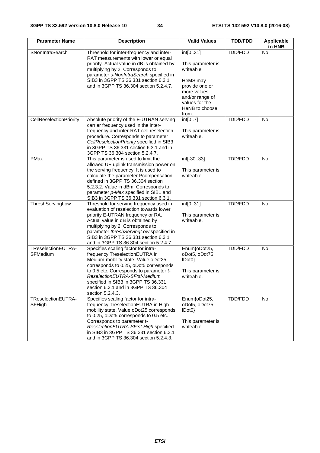| <b>Parameter Name</b>          | <b>Description</b>                                                                                                                                                                                                                                                                                                                   | <b>Valid Values</b>                                                                                                                                    | <b>TDD/FDD</b> | <b>Applicable</b><br>to HNB |
|--------------------------------|--------------------------------------------------------------------------------------------------------------------------------------------------------------------------------------------------------------------------------------------------------------------------------------------------------------------------------------|--------------------------------------------------------------------------------------------------------------------------------------------------------|----------------|-----------------------------|
| SNonIntraSearch                | Threshold for inter-frequency and inter-<br>RAT measurements with lower or equal<br>priority. Actual value in dB is obtained by<br>multiplying by 2. Corresponds to<br>parameter s-NonIntraSearch specified in<br>SIB3 in 3GPP TS 36.331 section 6.3.1<br>and in 3GPP TS 36.304 section 5.2.4.7.                                     | int[031]<br>This parameter is<br>writeable<br>HeMS may<br>provide one or<br>more values<br>and/or range of<br>values for the<br>HeNB to choose<br>from | TDD/FDD        | No                          |
| CellReselectionPriority        | Absolute priority of the E-UTRAN serving<br>carrier frequency used in the inter-<br>frequency and inter-RAT cell reselection<br>procedure. Corresponds to parameter<br>CellReselectionPriority specified in SIB3<br>in 3GPP TS 36.331 section 6.3.1 and in<br>3GPP TS 36.304 section 5.2.4.7.                                        | int[07]<br>This parameter is<br>writeable.                                                                                                             | TDD/FDD        | <b>No</b>                   |
| PMax                           | This parameter is used to limit the<br>allowed UE uplink transmission power on<br>the serving frequency. It is used to<br>calculate the parameter Pcompensation<br>defined in 3GPP TS 36.304 section<br>5.2.3.2. Value in dBm. Corresponds to<br>parameter p-Max specified in SIB1 and<br>SIB3 in 3GPP TS 36.331 section 6.3.1.      | int[-3033]<br>This parameter is<br>writeable.                                                                                                          | TDD/FDD        | <b>No</b>                   |
| ThreshServingLow               | Threshold for serving frequency used in<br>evaluation of reselection towards lower<br>priority E-UTRAN frequency or RA.<br>Actual value in dB is obtained by<br>multiplying by 2. Corresponds to<br>parameter threshServingLow specified in<br>SIB3 in 3GPP TS 36.331 section 6.3.1<br>and in 3GPP TS 36.304 section 5.2.4.7.        | int[031]<br>This parameter is<br>writeable.                                                                                                            | TDD/FDD        | <b>No</b>                   |
| TReselectionEUTRA-<br>SFMedium | Specifies scaling factor for intra-<br>frequency TreselectionEUTRA in<br>Medium-mobility state. Value oDot25<br>corresponds to 0.25, oDot5 corresponds<br>to 0.5 etc. Corresponds to parameter t-<br>ReselectionEUTRA-SF:sf-Medium<br>specified in SIB3 in 3GPP TS 36.331<br>section 6.3.1 and in 3GPP TS 36.304<br>section 5.2.4.3. | Enum{oDot25,<br>oDot5, oDot75,<br>$ Dot{0}$ }<br>This parameter is<br>writeable.                                                                       | TDD/FDD        | <b>No</b>                   |
| TReselectionEUTRA-<br>SFHigh   | Specifies scaling factor for intra-<br>frequency TreselectionEUTRA in High-<br>mobility state. Value oDot25 corresponds<br>to 0.25, oDot5 corresponds to 0.5 etc.<br>Corresponds to parameter t-<br>ReselectionEUTRA-SF:sf-High specified<br>in SIB3 in 3GPP TS 36.331 section 6.3.1<br>and in 3GPP TS 36.304 section 5.2.4.3.       | Enum{oDot25,<br>oDot5, oDot75,<br>IDot0<br>This parameter is<br>writeable.                                                                             | TDD/FDD        | No                          |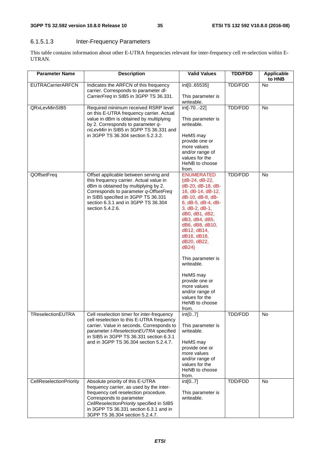### 6.1.5.1.3 Inter-Frequency Parameters

This table contains information about other E-UTRA frequencies relevant for inter-frequency cell re-selection within E-UTRAN.

| <b>Parameter Name</b>    | <b>Description</b>                                                                                                                                                                                                                                                          | <b>Valid Values</b>                                                                                                                                                                                                                                                                                                                                                                              | <b>TDD/FDD</b> | Applicable<br>to HNB |
|--------------------------|-----------------------------------------------------------------------------------------------------------------------------------------------------------------------------------------------------------------------------------------------------------------------------|--------------------------------------------------------------------------------------------------------------------------------------------------------------------------------------------------------------------------------------------------------------------------------------------------------------------------------------------------------------------------------------------------|----------------|----------------------|
| <b>EUTRACarrierARFCN</b> | Indicates the ARFCN of this frequency<br>carrier. Corresponds to parameter dl-<br>CarrierFreq in SIB5 in 3GPP TS 36.331.                                                                                                                                                    | int[065535]<br>This parameter is                                                                                                                                                                                                                                                                                                                                                                 | TDD/FDD        | No                   |
| QRxLevMinSIB5            | Required minimum received RSRP level<br>on this E-UTRA frequency carrier. Actual<br>value in dBm is obtained by multiplying                                                                                                                                                 | writeable.<br>int[-70-22]<br>This parameter is                                                                                                                                                                                                                                                                                                                                                   | <b>TDD/FDD</b> | No                   |
|                          | by 2. Corresponds to parameter q-<br>rxLevMin in SIB5 in 3GPP TS 36.331 and<br>in 3GPP TS 36.304 section 5.2.3.2.                                                                                                                                                           | writeable.<br>HeMS may                                                                                                                                                                                                                                                                                                                                                                           |                |                      |
|                          |                                                                                                                                                                                                                                                                             | provide one or<br>more values<br>and/or range of                                                                                                                                                                                                                                                                                                                                                 |                |                      |
|                          |                                                                                                                                                                                                                                                                             | values for the<br>HeNB to choose<br>from.                                                                                                                                                                                                                                                                                                                                                        |                |                      |
| QOffsetFreq              | Offset applicable between serving and<br>this frequency carrier. Actual value in<br>dBm is obtained by multiplying by 2.<br>Corresponds to parameter q-OffsetFreq<br>in SIB5 specified in 3GPP TS 36.331<br>section 6.3.1 and in 3GPP TS 36.304<br>section 5.4.2.6.         | <b>ENUMERATED</b><br>${dB-24, dB-22}$<br>dB-20, dB-18, dB-<br>16, dB-14, dB-12,<br>dB-10, dB-8, dB-<br>6, dB-5, dB-4, dB-<br>$3,$ dB-2, dB-1,<br>dB0, dB1, dB2,<br>dB3, dB4, dB5,<br>dB6, dB8, dB10,<br>dB12, dB14,<br>dB16, dB18,<br>dB20, dB22,<br>dB24<br>This parameter is<br>writeable.<br>HeMS may<br>provide one or<br>more values<br>and/or range of<br>values for the<br>HeNB to choose | TDD/FDD        | No                   |
| TReselectionEUTRA        | Cell reselection timer for inter-frequency<br>cell reselection to this E-UTRA frequency                                                                                                                                                                                     | from.<br>$int{07}$                                                                                                                                                                                                                                                                                                                                                                               | TDD/FDD        | No                   |
|                          | carrier. Value in seconds. Corresponds to<br>parameter t-ReselectionEUTRA specified<br>in SIB5 in 3GPP TS 36.331 section 6.3.1                                                                                                                                              | This parameter is<br>writeable.                                                                                                                                                                                                                                                                                                                                                                  |                |                      |
|                          | and in 3GPP TS 36.304 section 5.2.4.7.                                                                                                                                                                                                                                      | HeMS may<br>provide one or<br>more values<br>and/or range of<br>values for the                                                                                                                                                                                                                                                                                                                   |                |                      |
|                          |                                                                                                                                                                                                                                                                             | HeNB to choose<br>from.                                                                                                                                                                                                                                                                                                                                                                          |                |                      |
| CellReselectionPriority  | Absolute priority of this E-UTRA<br>frequency carrier, as used by the inter-<br>frequency cell reselection procedure.<br>Corresponds to parameter<br>CellReselectionPriority specified in SIB5<br>in 3GPP TS 36.331 section 6.3.1 and in<br>3GPP TS 36.304 section 5.2.4.7. | int[07]<br>This parameter is<br>writeable.                                                                                                                                                                                                                                                                                                                                                       | TDD/FDD        | <b>No</b>            |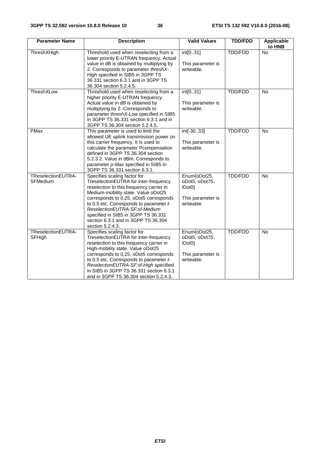| <b>Parameter Name</b>          | <b>Description</b>                                                                                                                                                                                                                                                                                                                                                               | <b>Valid Values</b>                                                        | <b>TDD/FDD</b> | Applicable<br>to HNB |
|--------------------------------|----------------------------------------------------------------------------------------------------------------------------------------------------------------------------------------------------------------------------------------------------------------------------------------------------------------------------------------------------------------------------------|----------------------------------------------------------------------------|----------------|----------------------|
| ThreshXHigh                    | Threshold used when reselecting from a<br>lower priority E-UTRAN frequency. Actual<br>value in dB is obtained by multiplying by<br>2. Corresponds to parameter threshX-<br>High specified in SIB5 in 3GPP TS<br>36.331 section 6.3.1 and in 3GPP TS<br>36.304 section 5.2.4.5.                                                                                                   | int[031]<br>This parameter is<br>writeable.                                | TDD/FDD        | No                   |
| ThreshXLow                     | Threshold used when reselecting from a<br>higher priority E-UTRAN frequency.<br>Actual value in dB is obtained by<br>multiplying by 2. Corresponds to<br>parameter threshX-Low specified in SIB5<br>in 3GPP TS 36.331 section 6.3.1 and in<br>3GPP TS 36.304 section 5.2.4.5.                                                                                                    | int[031]<br>This parameter is<br>writeable.                                | <b>TDD/FDD</b> | No                   |
| PMax                           | This parameter is used to limit the<br>allowed UE uplink transmission power on<br>this carrier frequency. It is used to<br>calculate the parameter Pcompensation<br>defined in 3GPP TS 36.304 section<br>5.2.3.2. Value in dBm. Corresponds to<br>parameter p-Max specified in SIB5 in<br>3GPP TS 36.331 section 6.3.1.                                                          | int[-3033]<br>This parameter is<br>writeable.                              | <b>TDD/FDD</b> | No                   |
| TReselectionEUTRA-<br>SFMedium | Specifies scaling factor for<br>TreselectionEUTRA for inter-frequency<br>reselection to this frequency carrier in<br>Medium-mobility state. Value oDot25<br>corresponds to 0.25, oDot5 corresponds<br>to 0.5 etc. Corresponds to parameter t-<br>ReselectionEUTRA-SF:sf-Medium<br>specified in SIB5 in 3GPP TS 36.331<br>section 6.3.1 and in 3GPP TS 36.304<br>section 5.2.4.3. | Enum{oDot25,<br>oDot5, oDot75,<br>IDot0<br>This parameter is<br>writeable. | <b>TDD/FDD</b> | No                   |
| TReselectionEUTRA-<br>SFHigh   | Specifies scaling factor for<br>TreselectionEUTRA for inter-frequency<br>reselection to this frequency carrier in<br>High-mobility state. Value oDot25<br>corresponds to 0.25, oDot5 corresponds<br>to 0.5 etc. Corresponds to parameter t-<br>ReselectionEUTRA-SF:sf-High specified<br>in SIB5 in 3GPP TS 36.331 section 6.3.1<br>and in 3GPP TS 36.304 section 5.2.4.3.        | Enum{oDot25,<br>oDot5, oDot75,<br>IDot0<br>This parameter is<br>writeable. | <b>TDD/FDD</b> | <b>No</b>            |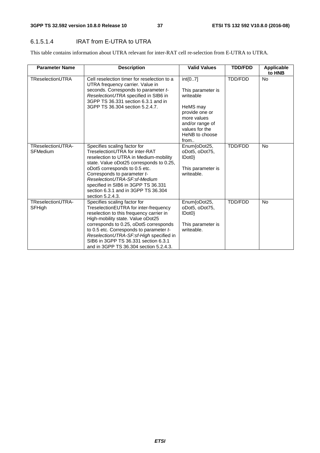#### 6.1.5.1.4 IRAT from E-UTRA to UTRA

This table contains information about UTRA relevant for inter-RAT cell re-selection from E-UTRA to UTRA.

| <b>Parameter Name</b>                | <b>Description</b>                                                                                                                                                                                                                                                                                                                                                       | <b>Valid Values</b>                                                                                                                                     | <b>TDD/FDD</b> | Applicable<br>to HNB |
|--------------------------------------|--------------------------------------------------------------------------------------------------------------------------------------------------------------------------------------------------------------------------------------------------------------------------------------------------------------------------------------------------------------------------|---------------------------------------------------------------------------------------------------------------------------------------------------------|----------------|----------------------|
| TReselectionUTRA                     | Cell reselection timer for reselection to a<br>UTRA frequency carrier. Value in<br>seconds. Corresponds to parameter t-<br>ReselectionUTRA specified in SIB6 in<br>3GPP TS 36.331 section 6.3.1 and in<br>3GPP TS 36.304 section 5.2.4.7.                                                                                                                                | $int{07}$<br>This parameter is<br>writeable<br>HeMS may<br>provide one or<br>more values<br>and/or range of<br>values for the<br>HeNB to choose<br>from | TDD/FDD        | <b>No</b>            |
| TReselectionUTRA-<br><b>SFMedium</b> | Specifies scaling factor for<br>TreselectionUTRA for inter-RAT<br>reselection to UTRA in Medium-mobility<br>state. Value oDot25 corresponds to 0.25,<br>oDot5 corresponds to 0.5 etc.<br>Corresponds to parameter t-<br>ReselectionUTRA-SF:sf-Medium<br>specified in SIB6 in 3GPP TS 36.331<br>section 6.3.1 and in 3GPP TS 36.304<br>section 5.2.4.3.                   | Enum{oDot25,<br>oDot5, oDot75,<br>IDot0<br>This parameter is<br>writeable.                                                                              | <b>TDD/FDD</b> | <b>No</b>            |
| TReselectionUTRA-<br>SFHigh          | Specifies scaling factor for<br>TreselectionEUTRA for inter-frequency<br>reselection to this frequency carrier in<br>High-mobility state. Value oDot25<br>corresponds to 0.25, oDot5 corresponds<br>to 0.5 etc. Corresponds to parameter t-<br>ReselectionUTRA-SF:sf-High specified in<br>SIB6 in 3GPP TS 36.331 section 6.3.1<br>and in 3GPP TS 36.304 section 5.2.4.3. | Enum{oDot25,<br>oDot5, oDot75,<br>$ Dot{0}$ }<br>This parameter is<br>writeable.                                                                        | <b>TDD/FDD</b> | <b>No</b>            |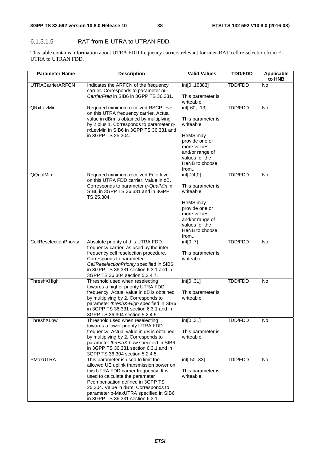#### 6.1.5.1.5 IRAT from E-UTRA to UTRAN FDD

This table contains information about UTRA FDD frequency carriers relevant for inter-RAT cell re-selection from E-UTRA to UTRAN FDD.

| <b>Parameter Name</b>   | <b>Description</b>                                                                                                                                                                                                                                                                                                   | <b>Valid Values</b>                                                                                                                                           | <b>TDD/FDD</b> | <b>Applicable</b><br>to HNB |
|-------------------------|----------------------------------------------------------------------------------------------------------------------------------------------------------------------------------------------------------------------------------------------------------------------------------------------------------------------|---------------------------------------------------------------------------------------------------------------------------------------------------------------|----------------|-----------------------------|
| <b>UTRACarrierARFCN</b> | Indicates the ARFCN of the frequency<br>carrier. Corresponds to parameter dl-<br>CarrierFreq in SIB6 in 3GPP TS 36.331.                                                                                                                                                                                              | int[016383]<br>This parameter is<br>writeable.                                                                                                                | TDD/FDD        | No                          |
| QRxLevMin               | Required minimum received RSCP level<br>on this UTRA frequency carrier. Actual<br>value in dBm is obtained by multiplying<br>by 2 plus 1. Corresponds to parameter q-<br>rxLevMin in SIB6 in 3GPP TS 36.331 and<br>in 3GPP TS 25.304.                                                                                | $int[-60, -13]$<br>This parameter is<br>writeable<br>HeMS may<br>provide one or<br>more values<br>and/or range of<br>values for the<br>HeNB to choose<br>from | TDD/FDD        | <b>No</b>                   |
| QQualMin                | Required minimum received Eclo level<br>on this UTRA FDD carrier. Value in dB.<br>Corresponds to parameter q-QualMin in<br>SIB6 in 3GPP TS 36.331 and in 3GPP<br>TS 25.304.                                                                                                                                          | int[-24,0]<br>This parameter is<br>writeable<br>HeMS may<br>provide one or<br>more values<br>and/or range of<br>values for the<br>HeNB to choose<br>from      | <b>TDD/FDD</b> | <b>No</b>                   |
| CellReselectionPriority | Absolute priority of this UTRA FDD<br>frequency carrier, as used by the inter-<br>frequency cell reselection procedure.<br>Corresponds to parameter<br>CellReselectionPriority specified in SIB6<br>in 3GPP TS 36.331 section 6.3.1 and in<br>3GPP TS 36.304 section 5.2.4.7.                                        | int[07]<br>This parameter is<br>writeable.                                                                                                                    | <b>TDD/FDD</b> | No                          |
| <b>Thresh</b> XHigh     | Threshold used when reselecting<br>towards a higher priority UTRA FDD<br>frequency. Actual value in dB is obtained<br>by multiplying by 2. Corresponds to<br>parameter threshX-High specified in SIB6<br>in 3GPP TS 36.331 section 6.3.1 and in<br>3GPP TS 36.304 section 5.2.4.5.                                   | int[031]<br>This parameter is<br>writeable.                                                                                                                   | <b>TDD/FDD</b> | <b>No</b>                   |
| ThreshXLow              | Threshold used when reselecting<br>towards a lower priority UTRA FDD<br>frequency. Actual value in dB is obtained<br>by multiplying by 2. Corresponds to<br>parameter threshX-Low specified in SIB6<br>in 3GPP TS 36.331 section 6.3.1 and in<br>3GPP TS 36.304 section 5.2.4.5.                                     | int[031]<br>This parameter is<br>writeable.                                                                                                                   | TDD/FDD        | <b>No</b>                   |
| PMaxUTRA                | This parameter is used to limit the<br>allowed UE uplink transmission power on<br>this UTRA FDD carrier frequency. It is<br>used to calculate the parameter<br>Pcompensation defined in 3GPP TS<br>25.304. Value in dBm. Corresponds to<br>parameter p-MaxUTRA specified in SIB6<br>in 3GPP TS 36.331 section 6.3.1. | int[-5033]<br>This parameter is<br>writeable.                                                                                                                 | TDD/FDD        | No                          |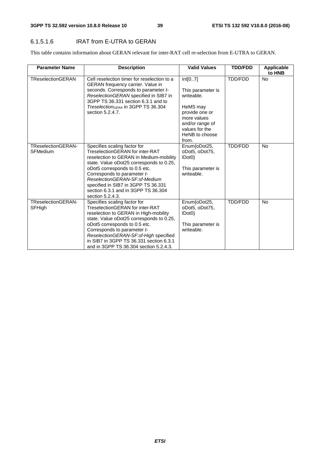#### 6.1.5.1.6 IRAT from E-UTRA to GERAN

This table contains information about GERAN relevant for inter-RAT cell re-selection from E-UTRA to GERAN.

| <b>Parameter Name</b>                        | <b>Description</b>                                                                                                                                                                                                                                                                                                                                        | <b>Valid Values</b>                                                                                                                                     | <b>TDD/FDD</b> | <b>Applicable</b><br>to HNB |
|----------------------------------------------|-----------------------------------------------------------------------------------------------------------------------------------------------------------------------------------------------------------------------------------------------------------------------------------------------------------------------------------------------------------|---------------------------------------------------------------------------------------------------------------------------------------------------------|----------------|-----------------------------|
| <b>TReselectionGERAN</b>                     | Cell reselection timer for reselection to a<br><b>GERAN</b> frequency carrier. Value in<br>seconds. Corresponds to parameter t-<br>Reselection GERAN specified in SIB7 in<br>3GPP TS 36.331 section 6.3.1 and to<br>Treselection <sub>GERA</sub> in 3GPP TS 36.304<br>section 5.2.4.7.                                                                    | int[07]<br>This parameter is<br>writeable.<br>HeMS may<br>provide one or<br>more values<br>and/or range of<br>values for the<br>HeNB to choose<br>from. | TDD/FDD        | No                          |
| <b>TReselectionGERAN-</b><br><b>SFMedium</b> | Specifies scaling factor for<br>TreselectionGERAN for inter-RAT<br>reselection to GERAN in Medium-mobility<br>state. Value oDot25 corresponds to 0.25,<br>oDot5 corresponds to 0.5 etc.<br>Corresponds to parameter t-<br>ReselectionGERAN-SF:sf-Medium<br>specified in SIB7 in 3GPP TS 36.331<br>section 6.3.1 and in 3GPP TS 36.304<br>section 5.2.4.3. | Enum{oDot25,<br>oDot5, oDot75,<br>IDot0<br>This parameter is<br>writeable.                                                                              | TDD/FDD        | <b>No</b>                   |
| TReselectionGERAN-<br>SFHigh                 | Specifies scaling factor for<br>TreselectionGERAN for inter-RAT<br>reselection to GERAN in High-mobility<br>state. Value oDot25 corresponds to 0.25,<br>oDot5 corresponds to 0.5 etc.<br>Corresponds to parameter t-<br>ReselectionGERAN-SF:sf-High specified<br>in SIB7 in 3GPP TS 36.331 section 6.3.1<br>and in 3GPP TS 36.304 section 5.2.4.3.        | Enum{oDot25,<br>oDot5, oDot75,<br>IDot0<br>This parameter is<br>writeable.                                                                              | <b>TDD/FDD</b> | <b>No</b>                   |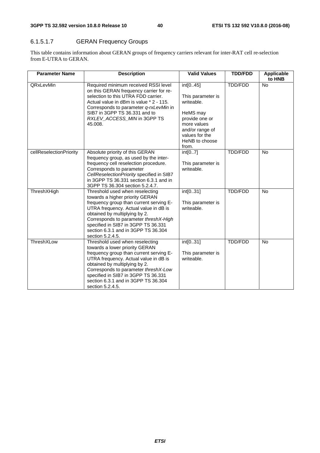## 6.1.5.1.7 GERAN Frequency Groups

This table contains information about GERAN groups of frequency carriers relevant for inter-RAT cell re-selection from E-UTRA to GERAN.

| <b>Parameter Name</b>   | <b>Description</b>                                                                                                                                                                                                                                                                                                                 | <b>Valid Values</b>                                                                                                                             | <b>TDD/FDD</b> | Applicable<br>to HNB |
|-------------------------|------------------------------------------------------------------------------------------------------------------------------------------------------------------------------------------------------------------------------------------------------------------------------------------------------------------------------------|-------------------------------------------------------------------------------------------------------------------------------------------------|----------------|----------------------|
| QRxLevMin               | Required minimum received RSSI level<br>on this GERAN frequency carrier for re-<br>selection to this UTRA FDD carrier.<br>Actual value in dBm is value * 2 - 115.<br>Corresponds to parameter q-rxLevMin in<br>SIB7 in 3GPP TS 36.331 and to<br>RXLEV_ACCESS_MIN in 3GPP TS<br>45.008.                                             | int[045]<br>This parameter is<br>writeable.<br>HeMS may<br>provide one or<br>more values<br>and/or range of<br>values for the<br>HeNB to choose | TDD/FDD        | <b>No</b>            |
| cellReselectionPriority | Absolute priority of this GERAN<br>frequency group, as used by the inter-<br>frequency cell reselection procedure.<br>Corresponds to parameter<br>CellReselectionPriority specified in SIB7<br>in 3GPP TS 36.331 section 6.3.1 and in<br>3GPP TS 36.304 section 5.2.4.7.                                                           | from.<br>int[07]<br>This parameter is<br>writeable.                                                                                             | TDD/FDD        | <b>No</b>            |
| ThreshXHigh             | Threshold used when reselecting<br>towards a higher priority GERAN<br>frequency group than current serving E-<br>UTRA frequency. Actual value in dB is<br>obtained by multiplying by 2.<br>Corresponds to parameter threshX-High<br>specified in SIB7 in 3GPP TS 36.331<br>section 6.3.1 and in 3GPP TS 36.304<br>section 5.2.4.5. | int[031]<br>This parameter is<br>writeable.                                                                                                     | TDD/FDD        | <b>No</b>            |
| ThreshXLow              | Threshold used when reselecting<br>towards a lower priority GERAN<br>frequency group than current serving E-<br>UTRA frequency. Actual value in dB is<br>obtained by multiplying by 2.<br>Corresponds to parameter threshX-Low<br>specified in SIB7 in 3GPP TS 36.331<br>section 6.3.1 and in 3GPP TS 36.304<br>section 5.2.4.5.   | int[031]<br>This parameter is<br>writeable.                                                                                                     | TDD/FDD        | <b>No</b>            |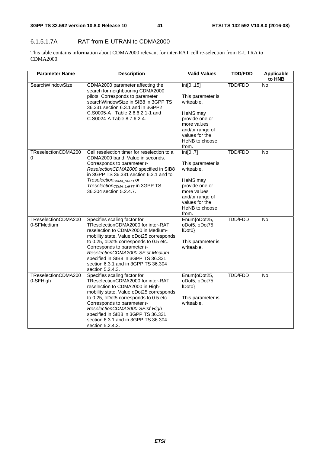#### 6.1.5.1.7A IRAT from E-UTRAN to CDMA2000

This table contains information about CDMA2000 relevant for inter-RAT cell re-selection from E-UTRA to CDMA2000.

| <b>Parameter Name</b>             | <b>Description</b>                                                                                                                                                                                                                                                                                                                                                  | <b>Valid Values</b>                                                                                                                                      | <b>TDD/FDD</b> | <b>Applicable</b><br>to HNB |
|-----------------------------------|---------------------------------------------------------------------------------------------------------------------------------------------------------------------------------------------------------------------------------------------------------------------------------------------------------------------------------------------------------------------|----------------------------------------------------------------------------------------------------------------------------------------------------------|----------------|-----------------------------|
| SearchWindowSize                  | CDMA2000 parameter affecting the<br>search for neighbouring CDMA2000<br>pilots. Corresponds to parameter<br>searchWindowSize in SIB8 in 3GPP TS<br>36.331 section 6.3.1 and in 3GPP2<br>C.S0005-A Table 2.6.6.2.1-1 and<br>C.S0024-A Table 8.7.6.2-4.                                                                                                               | int[015]<br>This parameter is<br>writeable.<br>HeMS may<br>provide one or<br>more values<br>and/or range of<br>values for the<br>HeNB to choose<br>from. | TDD/FDD        | No                          |
| TReselectionCDMA200<br>0          | Cell reselection timer for reselection to a<br>CDMA2000 band. Value in seconds.<br>Corresponds to parameter t-<br>ReselectionCDMA2000 specified in SIB8<br>in 3GPP TS 36.331 section 6.3.1 and to<br>Treselection <sub>CDMA_HRPD</sub> or<br>Treselection <sub>CDMA_1xRTT</sub> in 3GPP TS<br>36.304 section 5.2.4.7.                                               | int[07]<br>This parameter is<br>writeable.<br>HeMS may<br>provide one or<br>more values<br>and/or range of<br>values for the<br>HeNB to choose<br>from.  | TDD/FDD        | No                          |
| TReselectionCDMA200<br>0-SFMedium | Specifies scaling factor for<br>TReselectionCDMA2000 for inter-RAT<br>reselection to CDMA2000 in Medium-<br>mobility state. Value oDot25 corresponds<br>to 0.25, oDot5 corresponds to 0.5 etc.<br>Corresponds to parameter t-<br>ReselectionCDMA2000-SF:sf-Medium<br>specified in SIB8 in 3GPP TS 36.331<br>section 6.3.1 and in 3GPP TS 36.304<br>section 5.2.4.3. | Enum{oDot25,<br>oDot5, oDot75,<br>IDot0<br>This parameter is<br>writeable.                                                                               | <b>TDD/FDD</b> | No                          |
| TReselectionCDMA200<br>0-SFHigh   | Specifies scaling factor for<br>TReselectionCDMA2000 for inter-RAT<br>reselection to CDMA2000 in High-<br>mobility state. Value oDot25 corresponds<br>to 0.25, oDot5 corresponds to 0.5 etc.<br>Corresponds to parameter t-<br>ReselectionCDMA2000-SF:sf-High<br>specified in SIB8 in 3GPP TS 36.331<br>section 6.3.1 and in 3GPP TS 36.304<br>section 5.2.4.3.     | Enum{oDot25,<br>oDot5, oDot75,<br>$ Dot{0}$ }<br>This parameter is<br>writeable.                                                                         | TDD/FDD        | No                          |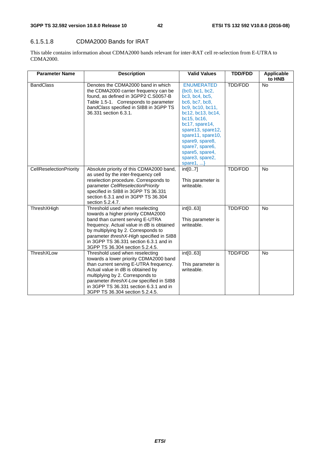#### 6.1.5.1.8 CDMA2000 Bands for IRAT

This table contains information about CDMA2000 bands relevant for inter-RAT cell re-selection from E-UTRA to CDMA2000.

| <b>Parameter Name</b>   | <b>Description</b>                                                                                                                                                                                                                                                                                                     | <b>Valid Values</b>                                                                                                                                                                                                                                                                        | <b>TDD/FDD</b> | Applicable<br>to HNB |
|-------------------------|------------------------------------------------------------------------------------------------------------------------------------------------------------------------------------------------------------------------------------------------------------------------------------------------------------------------|--------------------------------------------------------------------------------------------------------------------------------------------------------------------------------------------------------------------------------------------------------------------------------------------|----------------|----------------------|
| <b>BandClass</b>        | Denotes the CDMA2000 band in which<br>the CDMA2000 carrier frequency can be<br>found, as defined in 3GPP2 C.S0057-B<br>Table 1.5-1. Corresponds to parameter<br>bandClass specified in SIB8 in 3GPP TS<br>36.331 section 6.3.1.                                                                                        | <b>ENUMERATED</b><br>${bc0, bc1, bc2}$<br>bc3, bc4, bc5,<br>bc6, bc7, bc8,<br>bc9, bc10, bc11,<br>bc12, bc13, bc14,<br>bc15, bc16,<br>bc17, spare14,<br>spare13, spare12,<br>spare11, spare10,<br>spare9, spare8,<br>spare7, spare6,<br>spare5, spare4,<br>spare3, spare2,<br>spare1, $\}$ | <b>TDD/FDD</b> | <b>No</b>            |
| CellReselectionPriority | Absolute priority of this CDMA2000 band,<br>as used by the inter-frequency cell<br>reselection procedure. Corresponds to<br>parameter CellReselectionPriority<br>specified in SIB8 in 3GPP TS 36.331<br>section 6.3.1 and in 3GPP TS 36.304<br>section 5.2.4.7.                                                        | int[07]<br>This parameter is<br>writeable.                                                                                                                                                                                                                                                 | <b>TDD/FDD</b> | No                   |
| ThreshXHigh             | Threshold used when reselecting<br>towards a higher priority CDMA2000<br>band than current serving E-UTRA<br>frequency. Actual value in dB is obtained<br>by multiplying by 2. Corresponds to<br>parameter threshX-High specified in SIB8<br>in 3GPP TS 36.331 section 6.3.1 and in<br>3GPP TS 36.304 section 5.2.4.5. | int[063]<br>This parameter is<br>writeable.                                                                                                                                                                                                                                                | <b>TDD/FDD</b> | No                   |
| ThreshXLow              | Threshold used when reselecting<br>towards a lower priority CDMA2000 band<br>than current serving E-UTRA frequency.<br>Actual value in dB is obtained by<br>multiplying by 2. Corresponds to<br>parameter threshX-Low specified in SIB8<br>in 3GPP TS 36.331 section 6.3.1 and in<br>3GPP TS 36.304 section 5.2.4.5.   | int[063]<br>This parameter is<br>writeable.                                                                                                                                                                                                                                                | TDD/FDD        | No                   |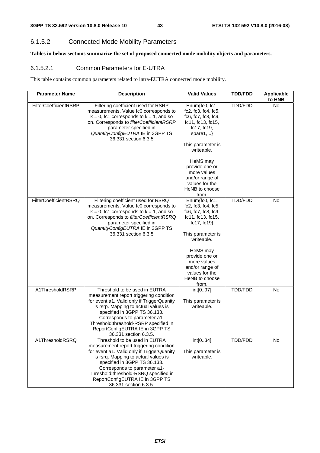#### 6.1.5.2 Connected Mode Mobility Parameters

**Tables in below sections summarize the set of proposed connected mode mobility objects and parameters.** 

#### 6.1.5.2.1 Common Parameters for E-UTRA

This table contains common parameters related to intra-EUTRA connected mode mobility.

| <b>Parameter Name</b> | <b>Description</b>                                                                                                                                                                                                                                                                                                                  | <b>Valid Values</b>                                                                                                                                                                                                                                              | <b>TDD/FDD</b> | Applicable<br>to HNB |
|-----------------------|-------------------------------------------------------------------------------------------------------------------------------------------------------------------------------------------------------------------------------------------------------------------------------------------------------------------------------------|------------------------------------------------------------------------------------------------------------------------------------------------------------------------------------------------------------------------------------------------------------------|----------------|----------------------|
| FilterCoefficientRSRP | Filtering coefficient used for RSRP<br>measurements. Value fc0 corresponds to<br>$k = 0$ , fc1 corresponds to $k = 1$ , and so<br>on. Corresponds to filterCoefficientRSRP<br>parameter specified in<br>QuantityConfigEUTRA IE in 3GPP TS<br>36.331 section 6.3.5                                                                   | Enum{fc0, fc1,<br>fc2, fc3, fc4, fc5,<br>fc6, fc7, fc8, fc9,<br>fc11, fc13, fc15,<br>fc17, fc19,<br>spare $1,$ }<br>This parameter is<br>writeable.<br>HeMS may<br>provide one or<br>more values<br>and/or range of<br>values for the<br>HeNB to choose<br>from. | <b>TDD/FDD</b> | <b>No</b>            |
| FilterCoefficientRSRQ | Filtering coefficient used for RSRQ<br>measurements. Value fc0 corresponds to<br>$k = 0$ , fc1 corresponds to $k = 1$ , and so<br>on. Corresponds to filterCoefficientRSRQ<br>parameter specified in<br>QuantityConfigEUTRA IE in 3GPP TS<br>36.331 section 6.3.5                                                                   | Enum{fc0, fc1,<br>fc2, fc3, fc4, fc5,<br>fc6, fc7, fc8, fc9,<br>fc11, fc13, fc15,<br>fc17, fc19 $\}$<br>This parameter is<br>writeable.<br>HeMS may<br>provide one or<br>more values<br>and/or range of<br>values for the<br>HeNB to choose<br>from.             | TDD/FDD        | <b>No</b>            |
| A1ThresholdRSRP       | Threshold to be used in EUTRA<br>measurement report triggering condition<br>for event a1. Valid only if TriggerQuanity<br>is rsrp. Mapping to actual values is<br>specified in 3GPP TS 36.133.<br>Corresponds to parameter a1-<br>Threshold:threshold-RSRP specified in<br>ReportConfigEUTRA IE in 3GPP TS<br>36.331 section 6.3.5. | int[097]<br>This parameter is<br>writeable.                                                                                                                                                                                                                      | TDD/FDD        | No                   |
| A1ThresholdRSRQ       | Threshold to be used in EUTRA<br>measurement report triggering condition<br>for event a1. Valid only if TriggerQuanity<br>is rsrq. Mapping to actual values is<br>specified in 3GPP TS 36.133.<br>Corresponds to parameter a1-<br>Threshold:threshold-RSRQ specified in<br>ReportConfigEUTRA IE in 3GPP TS<br>36.331 section 6.3.5. | int[034]<br>This parameter is<br>writeable.                                                                                                                                                                                                                      | TDD/FDD        | <b>No</b>            |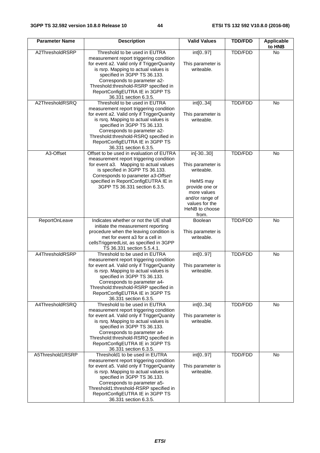| <b>Parameter Name</b> | <b>Description</b>                                                                                                                                                                                                                                                                                                                    | <b>Valid Values</b>                                                                                                                                       | <b>TDD/FDD</b> | <b>Applicable</b><br>to HNB |
|-----------------------|---------------------------------------------------------------------------------------------------------------------------------------------------------------------------------------------------------------------------------------------------------------------------------------------------------------------------------------|-----------------------------------------------------------------------------------------------------------------------------------------------------------|----------------|-----------------------------|
| A2ThresholdRSRP       | Threshold to be used in EUTRA<br>measurement report triggering condition<br>for event a2. Valid only if TriggerQuanity<br>is rsrp. Mapping to actual values is<br>specified in 3GPP TS 36.133.<br>Corresponds to parameter a2-<br>Threshold:threshold-RSRP specified in<br>ReportConfigEUTRA IE in 3GPP TS<br>36.331 section 6.3.5.   | int[097]<br>This parameter is<br>writeable.                                                                                                               | <b>TDD/FDD</b> | No                          |
| A2ThresholdRSRQ       | Threshold to be used in EUTRA<br>measurement report triggering condition<br>for event a2. Valid only if TriggerQuanity<br>is rsrq. Mapping to actual values is<br>specified in 3GPP TS 36.133.<br>Corresponds to parameter a2-<br>Threshold:threshold-RSRQ specified in<br>ReportConfigEUTRA IE in 3GPP TS<br>36.331 section 6.3.5.   | int[034]<br>This parameter is<br>writeable.                                                                                                               | TDD/FDD        | No                          |
| A3-Offset             | Offset to be used in evaluation of EUTRA<br>measurement report triggering condition<br>for event a3. Mapping to actual values<br>is specified in 3GPP TS 36.133.<br>Corresponds to parameter a3-Offset<br>specified in ReportConfigEUTRA IE in<br>3GPP TS 36.331 section 6.3.5.                                                       | in[-3030]<br>This parameter is<br>writeable.<br>HeMS may<br>provide one or<br>more values<br>and/or range of<br>values for the<br>HeNB to choose<br>from. | TDD/FDD        | No                          |
| ReportOnLeave         | Indicates whether or not the UE shall<br>initiate the measurement reporting<br>procedure when the leaving condition is<br>met for event a3 for a cell in<br>cellsTriggeredList, as specified in 3GPP<br>TS 36.331 section 5.5.4.1.                                                                                                    | Boolean<br>This parameter is<br>writeable.                                                                                                                | <b>TDD/FDD</b> | <b>No</b>                   |
| A4ThresholdRSRP       | Threshold to be used in EUTRA<br>measurement report triggering condition<br>for event a4. Valid only if TriggerQuanity<br>is rsrp. Mapping to actual values is<br>specified in 3GPP TS 36.133.<br>Corresponds to parameter a4-<br>Threshold:threshold-RSRP specified in<br>ReportConfigEUTRA IE in 3GPP TS<br>36.331 section 6.3.5.   | int[097]<br>This parameter is<br>writeable.                                                                                                               | TDD/FDD        | No                          |
| A4ThresholdRSRQ       | Threshold to be used in EUTRA<br>measurement report triggering condition<br>for event a4. Valid only if TriggerQuanity<br>is rsrq. Mapping to actual values is<br>specified in 3GPP TS 36.133.<br>Corresponds to parameter a4-<br>Threshold:threshold-RSRQ specified in<br>ReportConfigEUTRA IE in 3GPP TS<br>36.331 section 6.3.5.   | int[034]<br>This parameter is<br>writeable.                                                                                                               | <b>TDD/FDD</b> | <b>No</b>                   |
| A5Threshold1RSRP      | Threshold1 to be used in EUTRA<br>measurement report triggering condition<br>for event a5. Valid only if TriggerQuanity<br>is rsrp. Mapping to actual values is<br>specified in 3GPP TS 36.133.<br>Corresponds to parameter a5-<br>Threshold1:threshold-RSRP specified in<br>ReportConfigEUTRA IE in 3GPP TS<br>36.331 section 6.3.5. | int[097]<br>This parameter is<br>writeable.                                                                                                               | TDD/FDD        | No                          |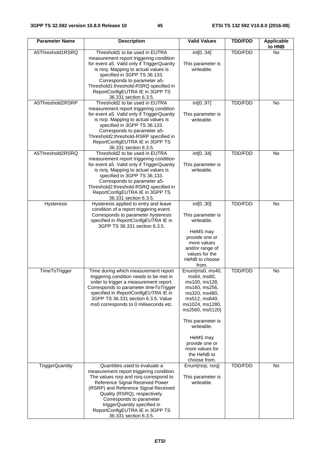| <b>Parameter Name</b>  | <b>Description</b>                                                                                                                                                                                                                                                                                                                                      | <b>Valid Values</b>                                                                                                                                                                                                                                         | <b>TDD/FDD</b> | <b>Applicable</b><br>to HNB |
|------------------------|---------------------------------------------------------------------------------------------------------------------------------------------------------------------------------------------------------------------------------------------------------------------------------------------------------------------------------------------------------|-------------------------------------------------------------------------------------------------------------------------------------------------------------------------------------------------------------------------------------------------------------|----------------|-----------------------------|
| A5Threshold1RSRQ       | Threshold1 to be used in EUTRA<br>measurement report triggering condition                                                                                                                                                                                                                                                                               | int[034]                                                                                                                                                                                                                                                    | <b>TDD/FDD</b> | No                          |
|                        | for event a5. Valid only if TriggerQuanity<br>is rsrq. Mapping to actual values is<br>specified in 3GPP TS 36.133.                                                                                                                                                                                                                                      | This parameter is<br>writeable.                                                                                                                                                                                                                             |                |                             |
|                        | Corresponds to parameter a5-<br>Threshold1:threshold-RSRQ specified in<br>ReportConfigEUTRA IE in 3GPP TS<br>36.331 section 6.3.5.                                                                                                                                                                                                                      |                                                                                                                                                                                                                                                             |                |                             |
| A5Threshold2RSRP       | Threshold2 to be used in EUTRA                                                                                                                                                                                                                                                                                                                          | int[097]                                                                                                                                                                                                                                                    | TDD/FDD        | <b>No</b>                   |
|                        | measurement report triggering condition<br>for event a5. Valid only if TriggerQuanity<br>is rsrp. Mapping to actual values is<br>specified in 3GPP TS 36.133.<br>Corresponds to parameter a5-<br>Threshold2:threshold-RSRP specified in<br>ReportConfigEUTRA IE in 3GPP TS<br>36.331 section 6.3.5.                                                     | This parameter is<br>writeable.                                                                                                                                                                                                                             |                |                             |
| A5Threshold2RSRQ       | Threshold2 to be used in EUTRA<br>measurement report triggering condition<br>for event a5. Valid only if TriggerQuanity<br>is rsrq. Mapping to actual values is<br>specified in 3GPP TS 36.133.<br>Corresponds to parameter a5-<br>Threshold2:threshold-RSRQ specified in<br>ReportConfigEUTRA IE in 3GPP TS<br>36.331 section 6.3.5.                   | int[034]<br>This parameter is<br>writeable.                                                                                                                                                                                                                 | TDD/FDD        | No                          |
| Hysteresis             | Hysteresis applied to entry and leave<br>condition of a report triggering event.<br>Corresponds to parameter hysteresis<br>specified in ReportConfigEUTRA IE in<br>3GPP TS 36.331 section 6.3.5.                                                                                                                                                        | int[030]<br>This parameter is<br>writeable.<br>HeMS may<br>provide one or<br>more values<br>and/or range of<br>values for the<br>HeNB to choose<br>from.                                                                                                    | TDD/FDD        | <b>No</b>                   |
| TimeToTrigger          | Time during which measurement report<br>triggering condition needs to be met in<br>order to trigger a measurement report.<br>Corresponds to parameter time To Trigger<br>specified in ReportConfigEUTRA IE in<br>3GPP TS 36.331 section 6.3.5. Value<br>ms0 corresponds to 0 miliseconds etc.                                                           | Enum{ms0, ms40,<br>ms64, ms80,<br>ms100, ms128,<br>ms160, ms256,<br>ms320, ms480,<br>ms512, ms640,<br>ms1024, ms1280,<br>ms2560, ms5120}<br>This parameter is<br>writeable.<br>HeMS may<br>provide one or<br>more values for<br>the HeNB to<br>choose from. | TDD/FDD        | No                          |
| <b>TriggerQuantity</b> | Quantities used to evaluate a<br>measurement report triggering condition.<br>The values rsrp and rsrq correspond to<br>Reference Signal Received Power<br>(RSRP) and Reference Signal Received<br>Quality (RSRQ), respectively.<br>Corresponds to parameter<br>triggerQuantity specified in<br>ReportConfigEUTRA IE in 3GPP TS<br>36.331 section 6.3.5. | Enum{rsrp, rsrq}<br>This parameter is<br>writeable.                                                                                                                                                                                                         | TDD/FDD        | No                          |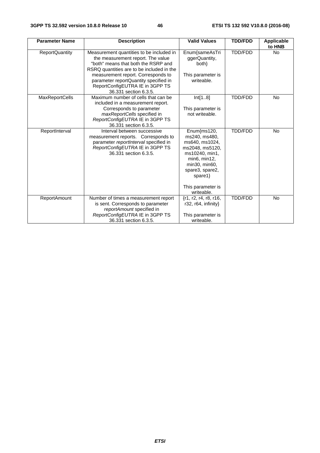| <b>Parameter Name</b> | <b>Description</b>                                                                                                                                                                              | <b>Valid Values</b>                                                                                                                                                                       | <b>TDD/FDD</b> | <b>Applicable</b><br>to HNB |
|-----------------------|-------------------------------------------------------------------------------------------------------------------------------------------------------------------------------------------------|-------------------------------------------------------------------------------------------------------------------------------------------------------------------------------------------|----------------|-----------------------------|
| <b>ReportQuantity</b> | Measurement quantities to be included in<br>the measurement report. The value<br>"both" means that both the RSRP and<br>RSRQ quantities are to be included in the                               | Enum{sameAsTri<br>ggerQuantity,<br>both}                                                                                                                                                  | TDD/FDD        | <b>No</b>                   |
|                       | measurement report. Corresponds to<br>parameter reportQuantity specified in<br>ReportConfigEUTRA IE in 3GPP TS<br>36.331 section 6.3.5.                                                         | This parameter is<br>writeable.                                                                                                                                                           |                |                             |
| <b>MaxReportCells</b> | Maximum number of cells that can be<br>included in a measurement report.<br>Corresponds to parameter<br>maxReportCells specified in<br>ReportConfigEUTRA IE in 3GPP TS<br>36.331 section 6.3.5. | Int[18]<br>This parameter is<br>not writeable.                                                                                                                                            | <b>TDD/FDD</b> | <b>No</b>                   |
| ReportInterval        | Interval between successive<br>measurement reports. Corresponds to<br>parameter reportInterval specified in<br>ReportConfigEUTRA IE in 3GPP TS<br>36.331 section 6.3.5.                         | Enum{ms120,<br>ms240, ms480,<br>ms640, ms1024,<br>ms2048, ms5120,<br>ms10240, min1,<br>min6, min12,<br>min30, min60,<br>spare3, spare2,<br>spare1 $\}$<br>This parameter is<br>writeable. | TDD/FDD        | <b>No</b>                   |
| <b>ReportAmount</b>   | Number of times a measurement report<br>is sent. Corresponds to parameter<br>reportAmount specified in<br>ReportConfigEUTRA IE in 3GPP TS<br>36.331 section 6.3.5.                              | {r1, r2, r4, r8, r16,<br>r32, r64, infinity}<br>This parameter is<br>writeable.                                                                                                           | <b>TDD/FDD</b> | <b>No</b>                   |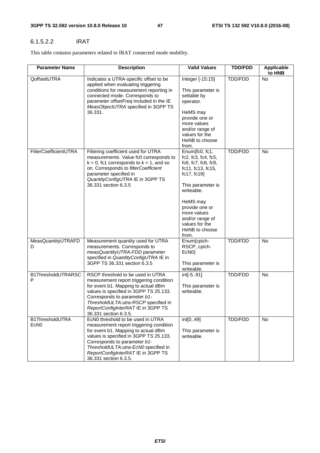#### 6.1.5.2.2 IRAT

This table contains parameters related to IRAT connected mode mobility.

| <b>Parameter Name</b>               | <b>Description</b>                                                                                                                                                                                                                                                                                   | <b>Valid Values</b>                                                                                                                                                                                                                                         | <b>TDD/FDD</b> | Applicable<br>to HNB |
|-------------------------------------|------------------------------------------------------------------------------------------------------------------------------------------------------------------------------------------------------------------------------------------------------------------------------------------------------|-------------------------------------------------------------------------------------------------------------------------------------------------------------------------------------------------------------------------------------------------------------|----------------|----------------------|
| QoffsettUTRA                        | Indicates a UTRA-specific offset to be<br>applied when evaluating triggering<br>conditions for measurement reporting in<br>connected mode. Corresponds to<br>parameter offsetFreq included in the IE<br>MeasObjectUTRA specified in 3GPP TS<br>36.331.                                               | Integer [-15:15]<br>This parameter is<br>settable by<br>operator.<br>HeMS may<br>provide one or<br>more values<br>and/or range of<br>values for the<br>HeNB to choose<br>from.                                                                              | TDD/FDD        | <b>No</b>            |
| FilterCoefficientUTRA               | Filtering coefficient used for UTRA<br>measurements. Value fc0 corresponds to<br>$k = 0$ , fc1 corresponds to $k = 1$ , and so<br>on. Corresponds to filterCoefficient<br>parameter specified in<br>QuantityConfigUTRA IE in 3GPP TS<br>36.331 section 6.3.5                                         | Enum{fc0, fc1,<br>fc2, fc3, fc4, fc5,<br>$fc6$ , $fc7$ , $fc8$ , $fc9$ ,<br>fc11, fc13, fc15,<br>fc17, fc19<br>This parameter is<br>writeable.<br>HeMS may<br>provide one or<br>more values<br>and/or range of<br>values for the<br>HeNB to choose<br>from. | TDD/FDD        | No                   |
| MeasQuantityUTRAFD<br>D             | Measurement quantity used for UTRA<br>measurements. Corresponds to<br>measQuantityUTRA-FDD parameter<br>specified in QuantityConfigUTRA IE in<br>3GPP TS 36.331 section 6.3.5                                                                                                                        | Enum{cpich-<br>RSCP, cpich-<br>EcN <sub>0</sub> }<br>This parameter is<br>writeable.                                                                                                                                                                        | TDD/FDD        | <b>No</b>            |
| B1ThresholdUTRARSC<br>P             | RSCP threshold to be used in UTRA<br>measurement report triggering condition<br>for event b1. Mapping to actual dBm<br>values is specified in 3GPP TS 25.133.<br>Corresponds to parameter b1-<br>ThresholdULTA:utra-RSCP specified in<br>ReportConfigInterRAT IE in 3GPP TS<br>36.331 section 6.3.5. | int[-591]<br>This parameter is<br>writeable.                                                                                                                                                                                                                | TDD/FDD        | <b>No</b>            |
| B1ThresholdUTRA<br>EcN <sub>0</sub> | EcN0 threshold to be used in UTRA<br>measurement report triggering condition<br>for event b1. Mapping to actual dBm<br>values is specified in 3GPP TS 25.133.<br>Corresponds to parameter b1-<br>ThresholdULTA:utra-EcN0 specified in<br>ReportConfigInterRAT IE in 3GPP TS<br>36.331 section 6.3.5. | int[049]<br>This parameter is<br>writeable.                                                                                                                                                                                                                 | TDD/FDD        | No                   |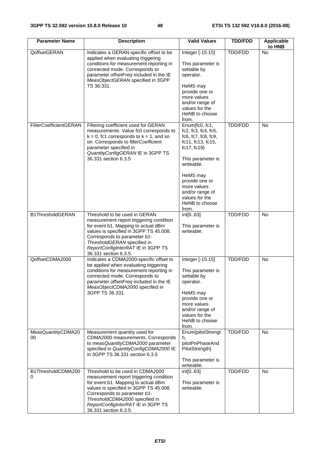| <b>Parameter Name</b>    | <b>Description</b>                                                                                                                                                                                                                                                                            | <b>Valid Values</b>                                                                                                                                                                                                                                           | <b>TDD/FDD</b> | Applicable<br>to HNB |
|--------------------------|-----------------------------------------------------------------------------------------------------------------------------------------------------------------------------------------------------------------------------------------------------------------------------------------------|---------------------------------------------------------------------------------------------------------------------------------------------------------------------------------------------------------------------------------------------------------------|----------------|----------------------|
| QoffsetGERAN             | Indicates a GERAN-specific offset to be<br>applied when evaluating triggering<br>conditions for measurement reporting in<br>connected mode. Corresponds to<br>parameter offsetFreq included in the IE<br>MeasObjectGERAN specified in 3GPP<br>TS 36.331.                                      | Integer [-15:15]<br>This parameter is<br>settable by<br>operator.<br>HeMS may<br>provide one or<br>more values<br>and/or range of<br>values for the<br>HeNB to choose<br>from.                                                                                | TDD/FDD        | <b>No</b>            |
| FilterCoefficientGERAN   | Filtering coefficient used for GERAN<br>measurements. Value fc0 corresponds to<br>$k = 0$ , fc1 corresponds to $k = 1$ , and so<br>on. Corresponds to filterCoefficient<br>parameter specified in<br>QuantityConfigGERAN IE in 3GPP TS<br>36.331 section 6.3.5                                | Enum{fc0, fc1,<br>$fc2$ , $fc3$ , $fc4$ , $fc5$ ,<br>fc6, fc7, fc8, fc9,<br>fc11, fc13, fc15,<br>fc17, $fc19$<br>This parameter is<br>writeable.<br>HeMS may<br>provide one or<br>more values<br>and/or range of<br>values for the<br>HeNB to choose<br>from. | TDD/FDD        | <b>No</b>            |
| <b>B1ThresholdGERAN</b>  | Threshold to be used in GERAN<br>measurement report triggering condition<br>for event b1. Mapping to actual dBm<br>values is specified in 3GPP TS 45.008.<br>Corresponds to parameter b1-<br>ThresholdGERAN specified in<br>ReportConfigInterRAT IE in 3GPP TS<br>36.331 section 6.3.5.       | int[063]<br>This parameter is<br>writeable.                                                                                                                                                                                                                   | TDD/FDD        | No                   |
| QoffsetCDMA2000          | Indicates a CDMA2000-specific offset to<br>be applied when evaluating triggering<br>conditions for measurement reporting in<br>connected mode. Corresponds to<br>parameter offsetFreq included in the IE<br>MeasObjectCDMA2000 specified in<br>3GPP TS 36.331.                                | Integer [-15:15]<br>This parameter is<br>settable by<br>operator.<br>HeMS may<br>provide one or<br>more values<br>and/or range of<br>values for the<br>HeNB to choose<br>from.                                                                                | <b>TDD/FDD</b> | <b>No</b>            |
| MeasQuantityCDMA20<br>00 | Measurement quantity used for<br>CDMA2000 measurements. Corresponds<br>to measQuantityCDMA2000 parameter<br>specified in QuantityConfigCDMA2000 IE<br>in 3GPP TS 36.331 section 6.3.5                                                                                                         | Enum{pilotStrengt<br>h,<br>pilotPnPhaseAnd<br>PilotStrength}<br>This parameter is<br>writeable.                                                                                                                                                               | TDD/FDD        | <b>No</b>            |
| B1ThresholdCDMA200<br>0  | Threshold to be used in CDMA2000<br>measurement report triggering condition<br>for event b1. Mapping to actual dBm<br>values is specified in 3GPP TS 45.008.<br>Corresponds to parameter b1-<br>ThresholdCDMA2000 specified in<br>ReportConfigInterRAT IE in 3GPP TS<br>36.331 section 6.3.5. | int[063]<br>This parameter is<br>writeable.                                                                                                                                                                                                                   | TDD/FDD        | <b>No</b>            |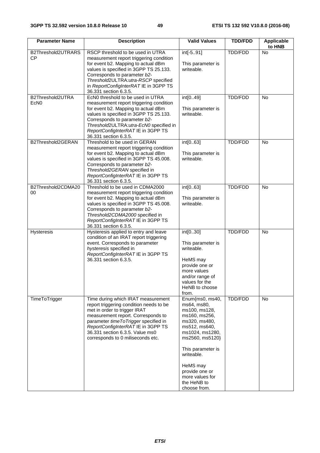| <b>Parameter Name</b>                | <b>Description</b>                                                                                                                                                                                                                                                                                        | <b>Valid Values</b>                                                                                                                                                                                                                                         | <b>TDD/FDD</b> | Applicable<br>to HNB |
|--------------------------------------|-----------------------------------------------------------------------------------------------------------------------------------------------------------------------------------------------------------------------------------------------------------------------------------------------------------|-------------------------------------------------------------------------------------------------------------------------------------------------------------------------------------------------------------------------------------------------------------|----------------|----------------------|
| B2Threshold2UTRARS<br><b>CP</b>      | RSCP threshold to be used in UTRA<br>measurement report triggering condition<br>for event b2. Mapping to actual dBm<br>values is specified in 3GPP TS 25.133.<br>Corresponds to parameter b2-<br>Threshold2ULTRA:utra-RSCP specified<br>in ReportConfigInterRAT IE in 3GPP TS<br>36.331 section 6.3.5.    | int[-591]<br>This parameter is<br>writeable.                                                                                                                                                                                                                | TDD/FDD        | No                   |
| B2Threshold2UTRA<br>EcN <sub>0</sub> | EcN0 threshold to be used in UTRA<br>measurement report triggering condition<br>for event b2. Mapping to actual dBm<br>values is specified in 3GPP TS 25.133.<br>Corresponds to parameter b2-<br>Threshold2ULTRA:utra-EcN0 specified in<br>ReportConfigInterRAT IE in 3GPP TS<br>36.331 section 6.3.5.    | int[049]<br>This parameter is<br>writeable.                                                                                                                                                                                                                 | TDD/FDD        | <b>No</b>            |
| B2Threshold2GERAN                    | Threshold to be used in GERAN<br>measurement report triggering condition<br>for event b2. Mapping to actual dBm<br>values is specified in 3GPP TS 45.008.<br>Corresponds to parameter b2-<br>Threshold2GERAN specified in<br>ReportConfigInterRAT IE in 3GPP TS<br>36.331 section 6.3.5.                  | int[063]<br>This parameter is<br>writeable.                                                                                                                                                                                                                 | TDD/FDD        | <b>No</b>            |
| B2Threshold2CDMA20<br>00             | Threshold to be used in CDMA2000<br>measurement report triggering condition<br>for event b2. Mapping to actual dBm<br>values is specified in 3GPP TS 45.008.<br>Corresponds to parameter b2-<br>Threshold2CDMA2000 specified in<br>ReportConfigInterRAT IE in 3GPP TS<br>36.331 section 6.3.5.            | int[063]<br>This parameter is<br>writeable.                                                                                                                                                                                                                 | <b>TDD/FDD</b> | No                   |
| <b>Hysteresis</b>                    | Hysteresis applied to entry and leave<br>condition of an IRAT report triggering<br>event. Corresponds to parameter<br>hysteresis specified in<br>ReportConfigInterRAT IE in 3GPP TS<br>36.331 section 6.3.5.                                                                                              | int[030]<br>This parameter is<br>writeable.<br>HeMS may<br>provide one or<br>more values<br>and/or range of<br>values for the<br>HeNB to choose<br>from.                                                                                                    | TDD/FDD        | No                   |
| TimeToTrigger                        | Time during which IRAT measurement<br>report triggering condition needs to be<br>met in order to trigger IRAT<br>measurement report. Corresponds to<br>parameter timeToTrigger specified in<br>ReportConfigInterRAT IE in 3GPP TS<br>36.331 section 6.3.5. Value ms0<br>corresponds to 0 miliseconds etc. | Enum{ms0, ms40,<br>ms64, ms80,<br>ms100, ms128,<br>ms160, ms256,<br>ms320, ms480,<br>ms512, ms640,<br>ms1024, ms1280,<br>ms2560, ms5120}<br>This parameter is<br>writeable.<br>HeMS may<br>provide one or<br>more values for<br>the HeNB to<br>choose from. | <b>TDD/FDD</b> | No                   |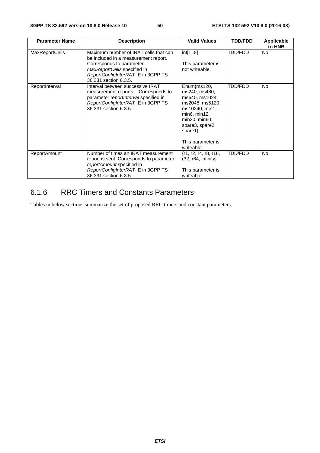| <b>Parameter Name</b> | <b>Description</b>                                                                                                                                                                                      | <b>Valid Values</b>                                                                                                                                                                       | <b>TDD/FDD</b> | Applicable<br>to HNB |
|-----------------------|---------------------------------------------------------------------------------------------------------------------------------------------------------------------------------------------------------|-------------------------------------------------------------------------------------------------------------------------------------------------------------------------------------------|----------------|----------------------|
| <b>MaxReportCells</b> | Maximum number of IRAT cells that can<br>be included in a measurement report.<br>Corresponds to parameter<br>maxReportCells specified in<br>ReportConfigInterRAT IE in 3GPP TS<br>36.331 section 6.3.5. | int[18]<br>This parameter is<br>not writeable.                                                                                                                                            | TDD/FDD        | <b>No</b>            |
| ReportInterval        | Interval between successive IRAT<br>measurement reports. Corresponds to<br>parameter reportInterval specified in<br>ReportConfigInterRATIE in 3GPP TS<br>36.331 section 6.3.5.                          | Enum{ms120,<br>ms240, ms480,<br>ms640, ms1024,<br>ms2048, ms5120,<br>ms10240, min1,<br>min6, min12,<br>min30, min60,<br>spare3, spare2,<br>spare1 $\}$<br>This parameter is<br>writeable. | TDD/FDD        | <b>No</b>            |
| ReportAmount          | Number of times an IRAT measurement<br>report is sent. Corresponds to parameter<br>reportAmount specified in<br>ReportConfigInterRATIE in 3GPP TS<br>36.331 section 6.3.5.                              | $\{r1, r2, r4, r8, r16,$<br>$r32, r64,$ infinity}<br>This parameter is<br>writeable.                                                                                                      | <b>TDD/FDD</b> | <b>No</b>            |

# 6.1.6 RRC Timers and Constants Parameters

Tables in below sections summarize the set of proposed RRC timers and constant parameters.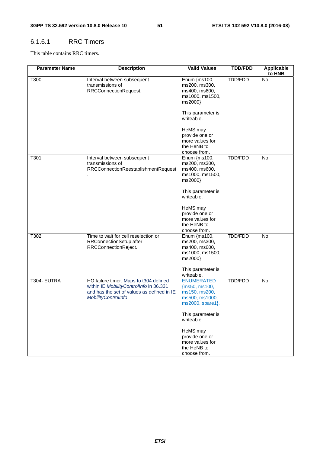#### 6.1.6.1 RRC Timers

This table contains RRC timers.

| <b>Parameter Name</b> | <b>Description</b>                                                                                                                                     | <b>Valid Values</b>                                                                         | <b>TDD/FDD</b> | <b>Applicable</b><br>to HNB |
|-----------------------|--------------------------------------------------------------------------------------------------------------------------------------------------------|---------------------------------------------------------------------------------------------|----------------|-----------------------------|
| T300                  | Interval between subsequent<br>transmissions of<br>RRCConnectionRequest.                                                                               | Enum {ms100,<br>ms200, ms300,<br>ms400, ms600,<br>ms1000, ms1500,<br>ms2000}                | TDD/FDD        | No                          |
|                       |                                                                                                                                                        | This parameter is<br>writeable.                                                             |                |                             |
|                       |                                                                                                                                                        | HeMS may<br>provide one or<br>more values for<br>the HeNB to<br>choose from.                |                |                             |
| T301                  | Interval between subsequent<br>transmissions of<br>RRCConnectionReestablishmentRequest                                                                 | Enum {ms100,<br>ms200, ms300,<br>ms400, ms600,<br>ms1000, ms1500,<br>ms2000}                | <b>TDD/FDD</b> | No                          |
|                       |                                                                                                                                                        | This parameter is<br>writeable.                                                             |                |                             |
|                       |                                                                                                                                                        | HeMS may<br>provide one or<br>more values for<br>the HeNB to<br>choose from.                |                |                             |
| T302                  | Time to wait for cell reselection or<br>RRConnectionSetup after<br>RRCConnectionReject.                                                                | Enum {ms100,<br>ms200, ms300,<br>ms400, ms600,<br>ms1000, ms1500,<br>ms2000}                | <b>TDD/FDD</b> | No                          |
|                       |                                                                                                                                                        | This parameter is<br>writeable.                                                             |                |                             |
| T304- EUTRA           | HO failure timer. Maps to t304 defined<br>within IE MobilityControlInfo in 36.331<br>and has the set of values as defined in IE<br>MobilityControlInfo | <b>ENUMERATED</b><br>${ms50, ms100}$<br>ms150, ms200,<br>ms500, ms1000,<br>ms2000, spare1}, | <b>TDD/FDD</b> | No                          |
|                       |                                                                                                                                                        | This parameter is<br>writeable.                                                             |                |                             |
|                       |                                                                                                                                                        | HeMS may<br>provide one or<br>more values for<br>the HeNB to<br>choose from.                |                |                             |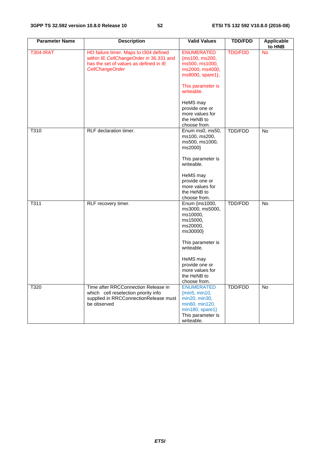| <b>Parameter Name</b> | <b>Description</b>                                                                                                                             | <b>Valid Values</b>                                                                                                        | <b>TDD/FDD</b> | <b>Applicable</b><br>to HNB |
|-----------------------|------------------------------------------------------------------------------------------------------------------------------------------------|----------------------------------------------------------------------------------------------------------------------------|----------------|-----------------------------|
| <b>T304-IRAT</b>      | HO failure timer. Maps to t304 defined<br>within IE CellChangeOrder in 36.331 and<br>has the set of values as defined in IE<br>CellChangeOrder | <b>ENUMERATED</b><br>{ms100, ms200,<br>ms500, ms1000,<br>ms2000, ms4000,<br>ms8000, spare1},                               | <b>TDD/FDD</b> | <b>No</b>                   |
|                       |                                                                                                                                                | This parameter is<br>writeable.                                                                                            |                |                             |
|                       |                                                                                                                                                | HeMS may<br>provide one or<br>more values for<br>the HeNB to<br>choose from.                                               |                |                             |
| T310                  | RLF declaration timer.                                                                                                                         | Enum ms0, ms50,<br>ms100, ms200,<br>ms500, ms1000,<br>ms2000}                                                              | TDD/FDD        | No                          |
|                       |                                                                                                                                                | This parameter is<br>writeable.                                                                                            |                |                             |
|                       |                                                                                                                                                | HeMS may<br>provide one or<br>more values for<br>the HeNB to<br>choose from.                                               |                |                             |
| T311                  | RLF recovery timer.                                                                                                                            | Enum {ms1000,<br>ms3000, ms5000,<br>ms10000,<br>ms15000,<br>ms20000,<br>ms30000}                                           | TDD/FDD        | No                          |
|                       |                                                                                                                                                | This parameter is<br>writeable.                                                                                            |                |                             |
|                       |                                                                                                                                                | HeMS may<br>provide one or<br>more values for<br>the HeNB to<br>choose from.                                               |                |                             |
| T320                  | Time after RRCConnection Release in<br>which cell reselection priority info<br>supplied in RRCConnectionRelease must<br>be observed            | <b>ENUMERATED</b><br>{min5, min10,<br>min20, min30,<br>min60, min120,<br>min180, spare1<br>This parameter is<br>writeable. | TDD/FDD        | No                          |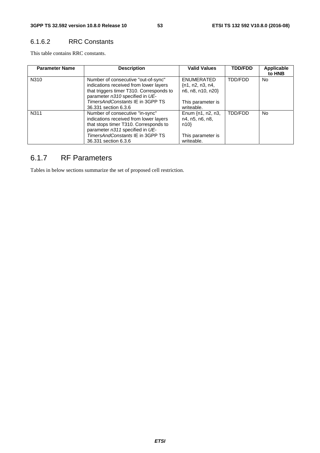#### 6.1.6.2 RRC Constants

This table contains RRC constants.

| <b>Parameter Name</b> | <b>Description</b>                                                                                                                                           | <b>Valid Values</b>                                           | <b>TDD/FDD</b> | Applicable<br>to HNB |
|-----------------------|--------------------------------------------------------------------------------------------------------------------------------------------------------------|---------------------------------------------------------------|----------------|----------------------|
| N310                  | Number of consecutive "out-of-sync"<br>indications received from lower layers<br>that triggers timer T310. Corresponds to<br>parameter n310 specified in UE- | <b>ENUMERATED</b><br>$\{n1, n2, n3, n4,$<br>n6, n8, n10, n20} | TDD/FDD        | No.                  |
|                       | TimersAndConstants IE in 3GPP TS<br>36.331 section 6.3.6                                                                                                     | This parameter is<br>writeable.                               |                |                      |
| N311                  | Number of consecutive "in-sync"<br>indications received from lower layers<br>that stops timer T310. Corresponds to<br>parameter n311 specified in UE-        | Enum $\{n1, n2, n3,$<br>n4, n5, n6, n8,<br>n10                | TDD/FDD        | <b>No</b>            |
|                       | TimersAndConstants IE in 3GPP TS<br>36,331 section 6.3.6                                                                                                     | This parameter is<br>writeable.                               |                |                      |

## 6.1.7 RF Parameters

Tables in below sections summarize the set of proposed cell restriction.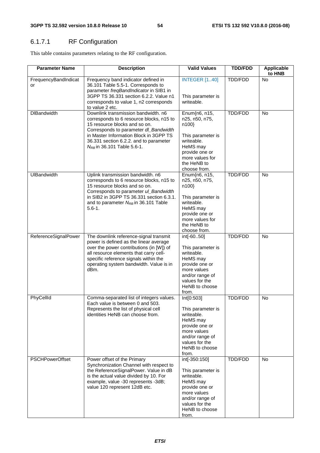# 6.1.7.1 RF Configuration

This table contains parameters relating to the RF configuration.

| <b>Parameter Name</b>      | <b>Description</b>                                                                                                                                                                                                                                                               | <b>Valid Values</b>                                                                                                                                           | <b>TDD/FDD</b> | <b>Applicable</b><br>to HNB |
|----------------------------|----------------------------------------------------------------------------------------------------------------------------------------------------------------------------------------------------------------------------------------------------------------------------------|---------------------------------------------------------------------------------------------------------------------------------------------------------------|----------------|-----------------------------|
| FrequencyBandIndicat<br>or | Frequency band indicator defined in<br>36.101 Table 5.5-1. Corresponds to<br>parameter freqBandIndicator in SIB1 in<br>3GPP TS 36.331 section 6.2.2. Value n1<br>corresponds to value 1, n2 corresponds<br>to value 2 etc.                                                       | <b>INTEGER [140]</b><br>This parameter is<br>writeable.                                                                                                       | TDD/FDD        | No                          |
| <b>DIBandwidth</b>         | Downlink transmission bandwidth. n6<br>corresponds to 6 resource blocks, n15 to<br>15 resource blocks and so on.<br>Corresponds to parameter dl_Bandwidth<br>in Master Information Block in 3GPP TS<br>36.331 section 6.2.2. and to parameter<br>$N_{RB}$ in 36.101 Table 5.6-1. | Enum{n6, n15,<br>n25, n50, n75,<br>n100}<br>This parameter is<br>writeable.<br>HeMS may<br>provide one or<br>more values for<br>the HeNB to<br>choose from.   | TDD/FDD        | <b>No</b>                   |
| <b>UIBandwidth</b>         | Uplink transmission bandwidth. n6<br>corresponds to 6 resource blocks, n15 to<br>15 resource blocks and so on.<br>Corresponds to parameter ul_Bandwidth<br>in SIB2 in 3GPP TS 36.331 section 6.3.1.<br>and to parameter N <sub>RB</sub> in 36.101 Table<br>$5.6 - 1.$            | Enum{n6, n15,<br>n25, n50, n75,<br>n100}<br>This parameter is<br>writeable.<br>HeMS may<br>provide one or<br>more values for<br>the HeNB to<br>choose from.   | TDD/FDD        | No                          |
| ReferenceSignalPower       | The downlink reference-signal transmit<br>power is defined as the linear average<br>over the power contributions (in [W]) of<br>all resource elements that carry cell-<br>specific reference signals within the<br>operating system bandwidth. Value is in<br>dBm.               | int[-6050]<br>This parameter is<br>writeable.<br>HeMS may<br>provide one or<br>more values<br>and/or range of<br>values for the<br>HeNB to choose<br>from.    | TDD/FDD        | <b>No</b>                   |
| PhyCellId                  | Comma-separated list of integers values.<br>Each value is between 0 and 503.<br>Represents the list of physical cell<br>identities HeNB can choose from.                                                                                                                         | Int[0:503]<br>This parameter is<br>writeable.<br>HeMS may<br>provide one or<br>more values<br>and/or range of<br>values for the<br>HeNB to choose<br>from.    | <b>TDD/FDD</b> | No                          |
| <b>PSCHPowerOffset</b>     | Power offset of the Primary<br>Synchronization Channel with respect to<br>the ReferenceSignalPower. Value in dB<br>is the actual value divided by 10. For<br>example, value -30 represents -3dB;<br>value 120 represent 12dB etc.                                                | int[-350:150]<br>This parameter is<br>writeable.<br>HeMS may<br>provide one or<br>more values<br>and/or range of<br>values for the<br>HeNB to choose<br>from. | <b>TDD/FDD</b> | No                          |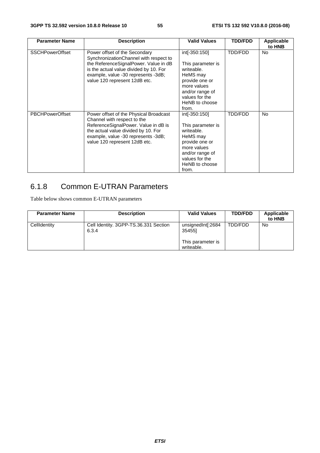| <b>Parameter Name</b>  | <b>Description</b>                                                                                                                                                                                                                 | <b>Valid Values</b>                                                                                                                                           | <b>TDD/FDD</b> | <b>Applicable</b><br>to HNB |
|------------------------|------------------------------------------------------------------------------------------------------------------------------------------------------------------------------------------------------------------------------------|---------------------------------------------------------------------------------------------------------------------------------------------------------------|----------------|-----------------------------|
| <b>SSCHPowerOffset</b> | Power offset of the Secondary<br>SynchronizationChannel with respect to<br>the ReferenceSignalPower. Value in dB<br>is the actual value divided by 10. For<br>example, value -30 represents -3dB;<br>value 120 represent 12dB etc. | int[-350:150]<br>This parameter is<br>writeable.<br>HeMS may<br>provide one or<br>more values<br>and/or range of<br>values for the<br>HeNB to choose<br>from. | TDD/FDD        | <b>No</b>                   |
| <b>PBCHPowerOffset</b> | Power offset of the Physical Broadcast<br>Channel with respect to the<br>ReferenceSignalPower. Value in dB is<br>the actual value divided by 10. For<br>example, value -30 represents -3dB;<br>value 120 represent 12dB etc.       | int[-350:150]<br>This parameter is<br>writeable.<br>HeMS may<br>provide one or<br>more values<br>and/or range of<br>values for the<br>HeNB to choose<br>from. | TDD/FDD        | <b>No</b>                   |

# 6.1.8 Common E-UTRAN Parameters

Table below shows common E-UTRAN parameters

| <b>Parameter Name</b> | <b>Description</b>                             | <b>Valid Values</b>                                            | <b>TDD/FDD</b> | Applicable<br>to HNB |
|-----------------------|------------------------------------------------|----------------------------------------------------------------|----------------|----------------------|
| CellIdentity          | Cell Identity. 3GPP-TS.36.331 Section<br>6.3.4 | unsignedInt[:2684<br>354551<br>This parameter is<br>writeable. | TDD/FDD        | No                   |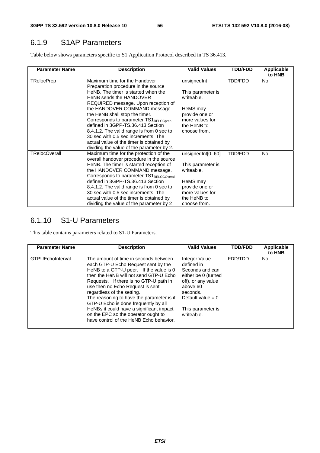# 6.1.9 S1AP Parameters

Table below shows parameters specific to S1 Application Protocol described in TS 36.413.

| <b>Parameter Name</b> | <b>Description</b>                                                                                                               | <b>Valid Values</b>                              | <b>TDD/FDD</b> | Applicable<br>to HNB |
|-----------------------|----------------------------------------------------------------------------------------------------------------------------------|--------------------------------------------------|----------------|----------------------|
| <b>TRelocPrep</b>     | Maximum time for the Handover<br>Preparation procedure in the source                                                             | unsignedInt                                      | TDD/FDD        | No.                  |
|                       | HeNB. The timer is started when the<br>HeNB sends the HANDOVER<br>REQUIRED message. Upon reception of                            | This parameter is<br>writeable.                  |                |                      |
|                       | the HANDOVER COMMAND message<br>the HeNB shall stop the timer.                                                                   | HeMS may<br>provide one or                       |                |                      |
|                       | Corresponds to parameter TS1RELOCprep<br>defined in 3GPP-TS.36.413 Section                                                       | more values for<br>the HeNB to                   |                |                      |
|                       | 8.4.1.2. The valid range is from 0 sec to<br>30 sec with 0.5 sec increments. The                                                 | choose from.                                     |                |                      |
|                       | actual value of the timer is obtained by<br>dividing the value of the parameter by 2.                                            |                                                  |                |                      |
| <b>TRelocOverall</b>  | Maximum time for the protection of the<br>overall handover procedure in the source                                               | unsignedInt[060]                                 | TDD/FDD        | No.                  |
|                       | HeNB. The timer is started reception of<br>the HANDOVER COMMAND message.<br>Corresponds to parameter TS1 <sub>RELOCOverall</sub> | This parameter is<br>writeable.                  |                |                      |
|                       | defined in 3GPP-TS.36.413 Section                                                                                                | HeMS may                                         |                |                      |
|                       | 8.4.1.2. The valid range is from 0 sec to<br>30 sec with 0.5 sec increments. The<br>actual value of the timer is obtained by     | provide one or<br>more values for<br>the HeNB to |                |                      |
|                       | dividing the value of the parameter by 2                                                                                         | choose from.                                     |                |                      |

## 6.1.10 S1-U Parameters

This table contains parameters related to S1-U Parameters.

| <b>Parameter Name</b> | <b>Description</b>                                                                                                                                                                                                                                                                                                                                                                                                                                                                               | <b>Valid Values</b>                                                                                                                                                           | <b>TDD/FDD</b> | Applicable<br>to HNB |
|-----------------------|--------------------------------------------------------------------------------------------------------------------------------------------------------------------------------------------------------------------------------------------------------------------------------------------------------------------------------------------------------------------------------------------------------------------------------------------------------------------------------------------------|-------------------------------------------------------------------------------------------------------------------------------------------------------------------------------|----------------|----------------------|
| GTPUEchoInterval      | The amount of time in seconds between<br>each GTP-U Echo Request sent by the<br>HeNB to a GTP-U peer. If the value is 0<br>then the HeNB will not send GTP-U Echo<br>Requests. If there is no GTP-U path in<br>use then no Echo Request is sent<br>regardless of the setting.<br>The reasoning to have the parameter is if<br>GTP-U Echo is done frequently by all<br>HeNBs it could have a significant impact<br>on the EPC so the operator ought to<br>have control of the HeNB Echo behavior. | Integer Value<br>defined in<br>Seconds and can<br>either be 0 (turned<br>off), or any value<br>above 60<br>seconds.<br>Default value = $0$<br>This parameter is<br>writeable. | FDD/TDD        | No.                  |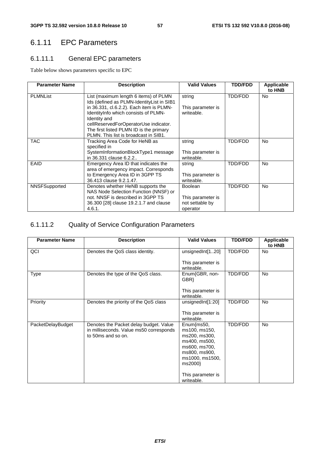# 6.1.11 EPC Parameters

## 6.1.11.1 General EPC parameters

Table below shows parameters specific to EPC

| <b>Parameter Name</b> | <b>Description</b>                                                                 | <b>Valid Values</b>             | <b>TDD/FDD</b> | <b>Applicable</b><br>to HNB |
|-----------------------|------------------------------------------------------------------------------------|---------------------------------|----------------|-----------------------------|
| <b>PLMNList</b>       | List (maximum length 6 items) of PLMN<br>Ids (defined as PLMN-IdentityList in SIB1 | string                          | TDD/FDD        | No                          |
|                       | in 36.331, cl.6.2.2). Each item is PLMN-<br>IdentityInfo which consists of PLMN-   | This parameter is<br>writeable. |                |                             |
|                       | Identity and                                                                       |                                 |                |                             |
|                       | cellReservedForOperatorUse indicator.<br>The first listed PLMN ID is the primary   |                                 |                |                             |
|                       | PLMN. This list is broadcast in SIB1.                                              |                                 |                |                             |
| <b>TAC</b>            | Tracking Area Code for HeNB as                                                     | string                          | TDD/FDD        | <b>No</b>                   |
|                       | specified in                                                                       |                                 |                |                             |
|                       | SystemInformationBlockType1 message                                                | This parameter is               |                |                             |
|                       | in 36.331 clause 6.2.2                                                             | writeable.                      |                |                             |
| <b>EAID</b>           | Emergency Area ID that indicates the                                               | string                          | TDD/FDD        | <b>No</b>                   |
|                       | area of emergency impact. Corresponds                                              |                                 |                |                             |
|                       | to Emergency Area ID in 3GPP TS                                                    | This parameter is               |                |                             |
|                       | 36.413 clause 9.2.1.47.                                                            | writeable.                      |                |                             |
| NNSFSupported         | Denotes whether HeNB supports the                                                  | <b>Boolean</b>                  | TDD/FDD        | <b>No</b>                   |
|                       | NAS Node Selection Function (NNSF) or                                              |                                 |                |                             |
|                       | not. NNSF is described in 3GPP TS                                                  | This parameter is               |                |                             |
|                       | 36.300 [28] clause 19.2.1.7 and clause                                             | not settable by                 |                |                             |
|                       | 4.6.1.                                                                             | operator                        |                |                             |

## 6.1.11.2 Quality of Service Configuration Parameters

| <b>Parameter Name</b> | <b>Description</b>                                                                                      | <b>Valid Values</b>                             | <b>TDD/FDD</b> | <b>Applicable</b><br>to HNB |
|-----------------------|---------------------------------------------------------------------------------------------------------|-------------------------------------------------|----------------|-----------------------------|
| QCI                   | Denotes the QoS class identity.                                                                         | unsignedInt[120]                                | TDD/FDD        | <b>No</b>                   |
|                       |                                                                                                         | This parameter is<br>writeable.                 |                |                             |
| <b>Type</b>           | Denotes the type of the QoS class.                                                                      | Enum{GBR, non-<br>GBR                           | TDD/FDD        | <b>No</b>                   |
|                       |                                                                                                         | This parameter is<br>writeable.                 |                |                             |
| Priority              | Denotes the priority of the QoS class                                                                   | unsignedInt[1:20]                               | TDD/FDD        | No.                         |
|                       |                                                                                                         | This parameter is<br>writeable.                 |                |                             |
| PacketDelayBudget     | Denotes the Packet delay budget. Value<br>in milliseconds. Value ms50 corresponds<br>to 50ms and so on. | $Enum$ {ms50,<br>ms100, ms150,                  | TDD/FDD        | No.                         |
|                       |                                                                                                         | ms200, ms300,<br>ms400, ms500,<br>ms600, ms700, |                |                             |
|                       |                                                                                                         | ms800, ms900,                                   |                |                             |
|                       |                                                                                                         | ms1000, ms1500,<br>ms2000}                      |                |                             |
|                       |                                                                                                         | This parameter is<br>writeable.                 |                |                             |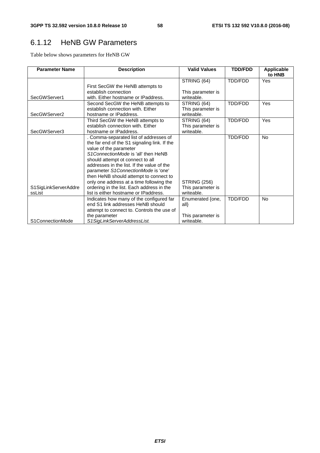# 6.1.12 HeNB GW Parameters

Table below shows parameters for HeNB GW

| <b>Parameter Name</b> | <b>Description</b>                           | <b>Valid Values</b> | <b>TDD/FDD</b> | Applicable<br>to HNB |
|-----------------------|----------------------------------------------|---------------------|----------------|----------------------|
|                       |                                              | STRING (64)         | TDD/FDD        | Yes                  |
|                       | First SecGW the HeNB attempts to             |                     |                |                      |
|                       | establish connection                         | This parameter is   |                |                      |
| SecGWServer1          | with. Either hostname or IPaddress.          | writeable.          |                |                      |
|                       | Second SecGW the HeNB attempts to            | STRING (64)         | <b>TDD/FDD</b> | Yes                  |
|                       | establish connection with. Either            | This parameter is   |                |                      |
| SecGWServer2          | hostname or IPaddress.                       | writeable.          |                |                      |
|                       | Third SecGW the HeNB attempts to             | STRING (64)         | TDD/FDD        | <b>Yes</b>           |
|                       | establish connection with. Either            | This parameter is   |                |                      |
| SecGWServer3          | hostname or IPaddress.                       | writeable.          |                |                      |
|                       | . Comma-separated list of addresses of       |                     | TDD/FDD        | <b>No</b>            |
|                       | the far end of the S1 signaling link. If the |                     |                |                      |
|                       | value of the parameter                       |                     |                |                      |
|                       | S1ConnectionMode is 'all' then HeNB          |                     |                |                      |
|                       | should attempt ot connect to all             |                     |                |                      |
|                       | addresses in the list. If the value of the   |                     |                |                      |
|                       | parameter S1ConnectionMode is 'one'          |                     |                |                      |
|                       | then HeNB should attempt to connect to       |                     |                |                      |
|                       | only one address at a time following the     | <b>STRING (256)</b> |                |                      |
| S1SigLinkServerAddre  | ordering in the list. Each address in the    | This parameter is   |                |                      |
| ssList                | list is either hostname or IPaddress.        | writeable.          |                |                      |
|                       | Indicates how many of the configured far     | Enumerated {one,    | TDD/FDD        | <b>No</b>            |
|                       | end S1 link addresses HeNB should            | all                 |                |                      |
|                       | attempt to connect to. Controls the use of   |                     |                |                      |
|                       | the parameter                                | This parameter is   |                |                      |
| S1ConnectionMode      | S1SigLinkServerAddressList.                  | writeable.          |                |                      |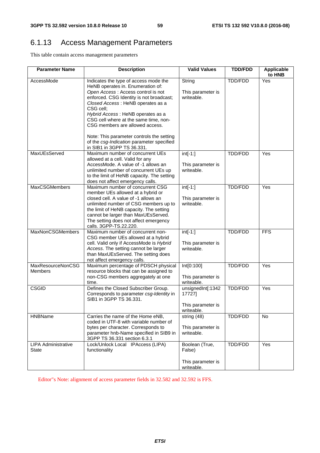# 6.1.13 Access Management Parameters

This table contain access management parameters

| <b>Parameter Name</b>               | <b>Description</b>                                                                                                                                                                                                                                                                                                                                                                                                                                      | <b>Valid Values</b>                                            | <b>TDD/FDD</b> | <b>Applicable</b><br>to HNB |
|-------------------------------------|---------------------------------------------------------------------------------------------------------------------------------------------------------------------------------------------------------------------------------------------------------------------------------------------------------------------------------------------------------------------------------------------------------------------------------------------------------|----------------------------------------------------------------|----------------|-----------------------------|
| AccessMode                          | Indicates the type of access mode the<br>HeNB operates in. Enumeration of:<br>Open Access: Access control is not<br>enforced. CSG Identity is not broadcast;<br>Closed Access: HeNB operates as a<br>CSG cell;<br>Hybrid Access: HeNB operates as a<br>CSG cell where at the same time, non-<br>CSG members are allowed access.<br>Note: This parameter controls the setting<br>of the csg-Indication parameter specified<br>in SIB1 in 3GPP TS 36.331. | String<br>This parameter is<br>writeable.                      | TDD/FDD        | Yes                         |
| MaxUEsServed                        | Maximum number of concurrent UEs<br>allowed at a cell. Valid for any<br>AccessMode. A value of -1 allows an<br>unlimited number of concurrent UEs up<br>to the limit of HeNB capacity. The setting<br>does not affect emergency calls.                                                                                                                                                                                                                  | $int[-1:]$<br>This parameter is<br>writeable.                  | TDD/FDD        | Yes                         |
| <b>MaxCSGMembers</b>                | Maximum number of concurrent CSG<br>member UEs allowed at a hybrid or<br>closed cell. A value of -1 allows an<br>unlimited number of CSG members up to<br>the limit of HeNB capacity. The setting<br>cannot be larger than MaxUEsServed.<br>The setting does not affect emergency<br>calls. 3GPP-TS.22.220.                                                                                                                                             | $int[-1:]$<br>This parameter is<br>writeable.                  | TDD/FDD        | Yes                         |
| MaxNonCSGMembers                    | Maximum number of concurrent non-<br>CSG member UEs allowed at a hybrid<br>cell. Valid only if AccessMode is Hybrid<br>Access. The setting cannot be larger<br>than MaxUEsServed. The setting does<br>not affect emergency calls.                                                                                                                                                                                                                       | $int[-1:]$<br>This parameter is<br>writeable.                  | TDD/FDD        | <b>FFS</b>                  |
| MaxResourceNonCSG<br><b>Members</b> | Maximum percentage of PDSCH physical<br>resource blocks that can be assigned to<br>non-CSG members aggregately at one<br>time.                                                                                                                                                                                                                                                                                                                          | Int[0:100]<br>This parameter is<br>writeable.                  | TDD/FDD        | Yes                         |
| <b>CSGID</b>                        | Defines the Closed Subscriber Group.<br>Corresponds to parameter csg-Identity in<br>SIB1 in 3GPP TS 36.331.                                                                                                                                                                                                                                                                                                                                             | unsignedInt[:1342<br>17727]<br>This parameter is<br>writeable. | TDD/FDD        | Yes                         |
| <b>HNBName</b>                      | Carries the name of the Home eNB,<br>coded in UTF-8 with variable number of<br>bytes per character. Corresponds to<br>parameter hnb-Name specified in SIB9 in<br>3GPP TS 36.331 section 6.3.1                                                                                                                                                                                                                                                           | string (48)<br>This parameter is<br>writeable.                 | TDD/FDD        | <b>No</b>                   |
| <b>LIPA Administrative</b><br>State | Lock/Unlock Local IPAccess (LIPA)<br>functionality                                                                                                                                                                                                                                                                                                                                                                                                      | Boolean (True,<br>False)<br>This parameter is<br>writeable.    | TDD/FDD        | Yes                         |

Editor"s Note: alignment of access parameter fields in 32.582 and 32.592 is FFS.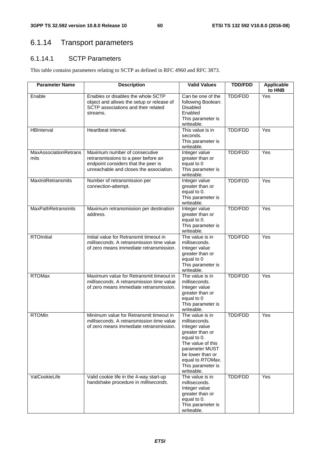# 6.1.14 Transport parameters

## 6.1.14.1 SCTP Parameters

This table contains parameters relating to SCTP as defined in RFC 4960 and RFC 3873.

| <b>Parameter Name</b>         | <b>Description</b>                                                                                                                                     | <b>Valid Values</b>                                                                                                                                                                                   | <b>TDD/FDD</b> | Applicable<br>to HNB |
|-------------------------------|--------------------------------------------------------------------------------------------------------------------------------------------------------|-------------------------------------------------------------------------------------------------------------------------------------------------------------------------------------------------------|----------------|----------------------|
| Enable                        | Enables or disables the whole SCTP<br>object and allows the setup or release of<br>SCTP associations and their related<br>streams.                     | Can be one of the<br>following Boolean:<br><b>Disabled</b><br>Enabled<br>This parameter is<br>writeable.                                                                                              | TDD/FDD        | Yes                  |
| HBInterval                    | Heartbeat interval.                                                                                                                                    | This value is in<br>seconds.<br>This parameter is<br>writeable.                                                                                                                                       | TDD/FDD        | Yes                  |
| MaxAssociationRetrans<br>mits | Maximum number of consecutive<br>retransmissions to a peer before an<br>endpoint considers that the peer is<br>unreachable and closes the association. | Integer value<br>greater than or<br>equal to 0<br>This parameter is<br>writeable.                                                                                                                     | TDD/FDD        | Yes                  |
| MaxInitRetransmits            | Number of retransmission per<br>connection-attempt.                                                                                                    | Integer value<br>greater than or<br>equal to 0.<br>This parameter is<br>writeable.                                                                                                                    | <b>TDD/FDD</b> | Yes                  |
| <b>MaxPathRetransmits</b>     | Maximum retransmission per destination<br>address.                                                                                                     | Integer value<br>greater than or<br>equal to 0.<br>This parameter is<br>writeable.                                                                                                                    | <b>TDD/FDD</b> | Yes                  |
| <b>RTOInitial</b>             | Initial value for Retransmit timeout in<br>milliseconds. A retransmission time value<br>of zero means immediate retransmission.                        | The value is in<br>milliseconds.<br>Integer value<br>greater than or<br>equal to 0<br>This parameter is<br>writeable.                                                                                 | TDD/FDD        | Yes                  |
| <b>RTOMax</b>                 | Maximum value for Retransmit timeout in<br>milliseconds. A retransmission time value<br>of zero means immediate retransmission.                        | The value is in<br>milliseconds.<br>Integer value<br>greater than or<br>equal to 0<br>This parameter is<br>writeable.                                                                                 | <b>TDD/FDD</b> | Yes                  |
| <b>RTOMin</b>                 | Minimum value for Retransmit timeout in<br>milliseconds. A retransmission time value<br>of zero means immediate retransmission.                        | The value is in<br>milliseconds.<br>Integer value<br>greater than or<br>equal to 0.<br>The value of this<br>parameter MUST<br>be lower than or<br>equal to RTOMax.<br>This parameter is<br>writeable. | TDD/FDD        | Yes                  |
| ValCookieLife                 | Valid cookie life in the 4-way start-up<br>handshake procedure in milliseconds.                                                                        | The value is in<br>milliseconds.<br>Integer value<br>greater than or<br>equal to 0.<br>This parameter is<br>writeable.                                                                                | TDD/FDD        | Yes                  |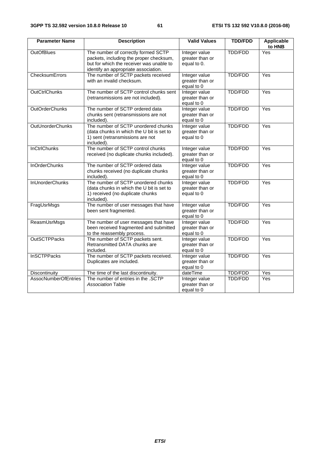| <b>Parameter Name</b>       | <b>Description</b>                                                                                                                                                 | <b>Valid Values</b>                             | <b>TDD/FDD</b> | <b>Applicable</b><br>to HNB |
|-----------------------------|--------------------------------------------------------------------------------------------------------------------------------------------------------------------|-------------------------------------------------|----------------|-----------------------------|
| <b>OutOfBlues</b>           | The number of correctly formed SCTP<br>packets, including the proper checksum,<br>but for which the receiver was unable to<br>identify an appropriate association. | Integer value<br>greater than or<br>equal to 0. | <b>TDD/FDD</b> | Yes                         |
| ChecksumErrors              | The number of SCTP packets received<br>with an invalid checksum.                                                                                                   | Integer value<br>greater than or<br>equal to 0  | <b>TDD/FDD</b> | Yes                         |
| <b>OutCtrlChunks</b>        | The number of SCTP control chunks sent<br>(retransmissions are not included).                                                                                      | Integer value<br>greater than or<br>equal to 0  | <b>TDD/FDD</b> | Yes                         |
| <b>OutOrderChunks</b>       | The number of SCTP ordered data<br>chunks sent (retransmissions are not<br>included).                                                                              | Integer value<br>greater than or<br>equal to 0  | <b>TDD/FDD</b> | Yes                         |
| <b>OutUnorderChunks</b>     | The number of SCTP unordered chunks<br>(data chunks in which the U bit is set to<br>1) sent (retransmissions are not<br>included).                                 | Integer value<br>greater than or<br>equal to 0  | <b>TDD/FDD</b> | Yes                         |
| <b>InCtrlChunks</b>         | The number of SCTP control chunks<br>received (no duplicate chunks included).                                                                                      | Integer value<br>greater than or<br>equal to 0  | <b>TDD/FDD</b> | $\overline{Yes}$            |
| <b>InOrderChunks</b>        | The number of SCTP ordered data<br>chunks received (no duplicate chunks<br>included).                                                                              | Integer value<br>greater than or<br>equal to 0  | <b>TDD/FDD</b> | Yes                         |
| <b>InUnorderChunks</b>      | The number of SCTP unordered chunks<br>(data chunks in which the U bit is set to<br>1) received (no duplicate chunks<br>included).                                 | Integer value<br>greater than or<br>equal to 0  | <b>TDD/FDD</b> | Yes                         |
| FragUsrMsgs                 | The number of user messages that have<br>been sent fragmented.                                                                                                     | Integer value<br>greater than or<br>equal to 0  | <b>TDD/FDD</b> | Yes                         |
| <b>ReasmUsrMsgs</b>         | The number of user messages that have<br>been received fragmented and submitted<br>to the reassembly process.                                                      | Integer value<br>greater than or<br>equal to 0  | <b>TDD/FDD</b> | Yes                         |
| <b>OutSCTPPacks</b>         | The number of SCTP packets sent.<br>Retransmitted DATA chunks are<br>included.                                                                                     | Integer value<br>greater than or<br>equal to 0  | <b>TDD/FDD</b> | Yes                         |
| <b>InSCTPPacks</b>          | The number of SCTP packets received.<br>Duplicates are included.                                                                                                   | Integer value<br>greater than or<br>equal to 0  | <b>TDD/FDD</b> | Yes                         |
| Discontinuity               | The time of the last discontinuity.                                                                                                                                | dateTime                                        | <b>TDD/FDD</b> | Yes                         |
| <b>AssocNumberOfEntries</b> | The number of entries in the .SCTP<br><b>Association Table</b>                                                                                                     | Integer value<br>greater than or<br>equal to 0  | <b>TDD/FDD</b> | Yes                         |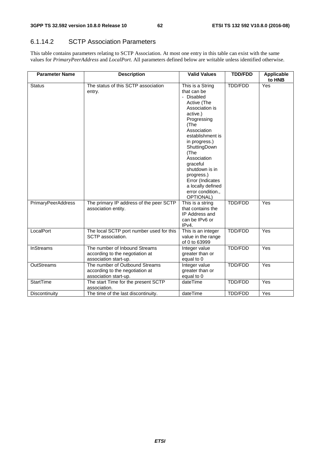#### 6.1.14.2 SCTP Association Parameters

This table contains parameters relating to SCTP Association. At most one entry in this table can exist with the same values for *PrimaryPeerAddress* and *LocalPort*. All parameters defined below are writable unless identified otherwise.

| <b>Parameter Name</b> | <b>Description</b>                                                                         | <b>Valid Values</b>                                                                                                                                                                                                                                                                                                                 | <b>TDD/FDD</b> | Applicable<br>to HNB |
|-----------------------|--------------------------------------------------------------------------------------------|-------------------------------------------------------------------------------------------------------------------------------------------------------------------------------------------------------------------------------------------------------------------------------------------------------------------------------------|----------------|----------------------|
| <b>Status</b>         | The status of this SCTP association<br>entry.                                              | This is a String<br>that can be<br>- Disabled<br>Active (The<br>Association is<br>active.)<br>Progressing<br>(The<br>Association<br>establishment is<br>in progress.)<br>ShuttingDown<br>(The<br>Association<br>graceful<br>shutdown is in<br>progress.)<br>Error (Indicates<br>a locally defined<br>error condition.,<br>OPTIONAL) | TDD/FDD        | Yes                  |
| PrimaryPeerAddress    | The primary IP address of the peer SCTP<br>association entity.                             | This is a string<br>that contains the<br>IP Address and<br>can be IPv6 or<br>IPv4.                                                                                                                                                                                                                                                  | <b>TDD/FDD</b> | Yes                  |
| LocalPort             | The local SCTP port number used for this<br>SCTP association.                              | This is an integer<br>value in the range<br>of 0 to 63999                                                                                                                                                                                                                                                                           | <b>TDD/FDD</b> | Yes                  |
| <b>InStreams</b>      | The number of Inbound Streams<br>according to the negotiation at<br>association start-up.  | Integer value<br>greater than or<br>equal to 0                                                                                                                                                                                                                                                                                      | TDD/FDD        | Yes                  |
| OutStreams            | The number of Outbound Streams<br>according to the negotiation at<br>association start-up. | Integer value<br>greater than or<br>equal to 0                                                                                                                                                                                                                                                                                      | TDD/FDD        | Yes                  |
| <b>StartTime</b>      | The start Time for the present SCTP<br>association.                                        | dateTime                                                                                                                                                                                                                                                                                                                            | <b>TDD/FDD</b> | Yes                  |
| Discontinuity         | The time of the last discontinuity.                                                        | dateTime                                                                                                                                                                                                                                                                                                                            | <b>TDD/FDD</b> | Yes                  |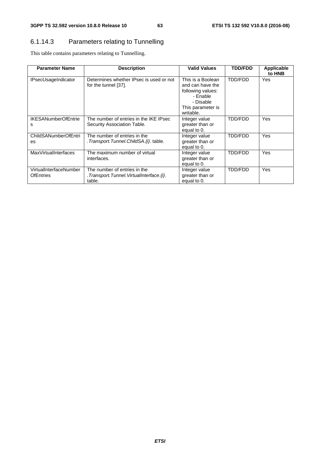## 6.1.14.3 Parameters relating to Tunnelling

This table contains parameters relating to Tunnelling.

| <b>Parameter Name</b>                      | <b>Description</b>                                                                | <b>Valid Values</b>                                                                                                   | <b>TDD/FDD</b> | Applicable<br>to HNB |
|--------------------------------------------|-----------------------------------------------------------------------------------|-----------------------------------------------------------------------------------------------------------------------|----------------|----------------------|
| <b>IPsecUsageIndicator</b>                 | Determines whether IPsec is used or not<br>for the tunnel [37].                   | This is a Boolean<br>and can have the<br>following values:<br>- Enable<br>- Disable<br>This parameter is<br>writable. | <b>TDD/FDD</b> | Yes                  |
| <b>IKESANumberOfEntrie</b><br>s            | The number of entries in the IKE IPsec<br>Security Association Table.             | Integer value<br>greater than or<br>equal to 0.                                                                       | TDD/FDD        | Yes                  |
| ChildSANumberOfEntri<br>es                 | The number of entries in the<br>. Transport. Tunnel. ChildSA. {i}. table.         | Integer value<br>greater than or<br>equal to 0.                                                                       | TDD/FDD        | Yes                  |
| <b>MaxVirtualInterfaces</b>                | The maximum number of virtual<br>interfaces.                                      | Integer value<br>greater than or<br>equal to 0.                                                                       | TDD/FDD        | Yes                  |
| VirtualInterfaceNumber<br><b>OfEntries</b> | The number of entries in the<br>.Transport.Tunnel.VirtualInterface.{i}.<br>table. | Integer value<br>greater than or<br>equal to 0.                                                                       | TDD/FDD        | Yes                  |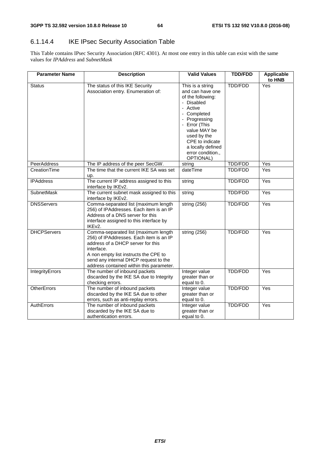## 6.1.14.4 IKE IPsec Security Association Table

This Table contains IPsec Security Association (RFC 4301). At most one entry in this table can exist with the same values for *IPAddress* and *SubnetMask* 

| <b>Parameter Name</b> | <b>Description</b>                                                                                                                                                                                                                                               | <b>Valid Values</b>                                                                                                                                                                                                                           | <b>TDD/FDD</b> | <b>Applicable</b><br>to HNB |
|-----------------------|------------------------------------------------------------------------------------------------------------------------------------------------------------------------------------------------------------------------------------------------------------------|-----------------------------------------------------------------------------------------------------------------------------------------------------------------------------------------------------------------------------------------------|----------------|-----------------------------|
| <b>Status</b>         | The status of this IKE Security<br>Association entry. Enumeration of:                                                                                                                                                                                            | This is a string<br>and can have one<br>of the following:<br>- Disabled<br>- Active<br>- Completed<br>- Progressing<br>- Error (This<br>value MAY be<br>used by the<br>CPE to indicate<br>a locally defined<br>error condition.,<br>OPTIONAL) | <b>TDD/FDD</b> | Yes                         |
| <b>PeerAddress</b>    | The IP address of the peer SecGW.                                                                                                                                                                                                                                | string                                                                                                                                                                                                                                        | <b>TDD/FDD</b> | Yes                         |
| CreationTime          | The time that the current IKE SA was set<br>up.                                                                                                                                                                                                                  | dateTime                                                                                                                                                                                                                                      | <b>TDD/FDD</b> | Yes                         |
| <b>IPAddress</b>      | The current IP address assigned to this<br>interface by IKEv2.                                                                                                                                                                                                   | string                                                                                                                                                                                                                                        | <b>TDD/FDD</b> | $\overline{Y}$ es           |
| <b>SubnetMask</b>     | The current subnet mask assigned to this<br>interface by IKEv2.                                                                                                                                                                                                  | string                                                                                                                                                                                                                                        | <b>TDD/FDD</b> | Yes                         |
| <b>DNSServers</b>     | Comma-separated list (maximum length<br>256) of IPAddresses. Each item is an IP<br>Address of a DNS server for this<br>interface assigned to this interface by<br>IKEv2.                                                                                         | string (256)                                                                                                                                                                                                                                  | <b>TDD/FDD</b> | Yes                         |
| <b>DHCPServers</b>    | Comma-separated list (maximum length<br>256) of IPAddresses. Each item is an IP<br>address of a DHCP server for this<br>interface.<br>A non empty list instructs the CPE to<br>send any internal DHCP request to the<br>address contained within this parameter. | string (256)                                                                                                                                                                                                                                  | TDD/FDD        | Yes                         |
| IntegrityErrors       | The number of inbound packets<br>discarded by the IKE SA due to Integrity<br>checking errors.                                                                                                                                                                    | Integer value<br>greater than or<br>equal to 0.                                                                                                                                                                                               | TDD/FDD        | Yes                         |
| <b>OtherErrors</b>    | The number of inbound packets<br>discarded by the IKE SA due to other<br>errors, such as anti-replay errors.                                                                                                                                                     | Integer value<br>greater than or<br>equal to 0.                                                                                                                                                                                               | <b>TDD/FDD</b> | $\overline{Yes}$            |
| AuthErrors            | The number of inbound packets<br>discarded by the IKE SA due to<br>authentication errors.                                                                                                                                                                        | Integer value<br>greater than or<br>equal to 0.                                                                                                                                                                                               | TDD/FDD        | Yes                         |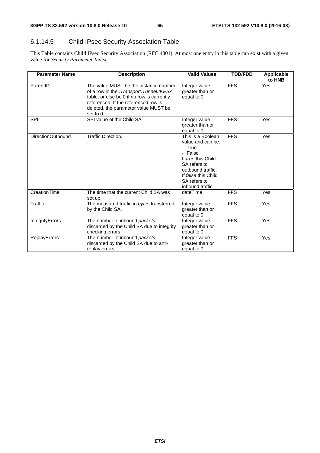## 6.1.14.5 Child IPsec Security Association Table

This Table contains Child IPsec Security Association (RFC 4301). At most one entry in this table can exist with a given value for *Security Parameter Index*.

| <b>Parameter Name</b> | <b>Description</b>                                                                                                                                                                                                             | <b>Valid Values</b>                                                                                                                                                              | <b>TDD/FDD</b>   | Applicable<br>to HNB |
|-----------------------|--------------------------------------------------------------------------------------------------------------------------------------------------------------------------------------------------------------------------------|----------------------------------------------------------------------------------------------------------------------------------------------------------------------------------|------------------|----------------------|
| ParentID              | The value MUST be the instance number<br>of a row in the . Transport. Tunnel. IKESA<br>table, or else be 0 if no row is currently<br>referenced. If the referenced row is<br>deleted, the parameter value MUST be<br>set to 0. | Integer value<br>greater than or<br>equal to 0                                                                                                                                   | <b>FFS</b>       | Yes                  |
| <b>SPI</b>            | SPI value of the Child SA.                                                                                                                                                                                                     | Integer value<br>greater than or<br>equal to 0                                                                                                                                   | <b>FFS</b>       | Yes                  |
| DirectionOutbound     | Traffic Direction.                                                                                                                                                                                                             | This is a Boolean<br>value and can be:<br>- True<br>- False<br>If true this Child<br>SA refers to<br>outbound traffic.<br>If false this Child<br>SA refers to<br>inbound traffic | <b>FFS</b>       | Yes                  |
| CreationTime          | The time that the current Child SA was<br>set up.                                                                                                                                                                              | dateTime                                                                                                                                                                         | <b>FFS</b>       | Yes                  |
| <b>Traffic</b>        | The measured traffic in bytes transferred<br>by the Child SA.                                                                                                                                                                  | Integer value<br>greater than or<br>equal to 0                                                                                                                                   | <b>FFS</b>       | Yes                  |
| IntegrityErrors       | The number of inbound packets<br>discarded by the Child SA due to integrity<br>checking errors.                                                                                                                                | Integer value<br>greater than or<br>equal to 0                                                                                                                                   | <b>FFS</b>       | Yes                  |
| ReplayErrors          | The number of inbound packets<br>discarded by the Child SA due to anti-<br>replay errors.                                                                                                                                      | Integer value<br>greater than or<br>equal to 0                                                                                                                                   | $\overline{FFS}$ | Yes                  |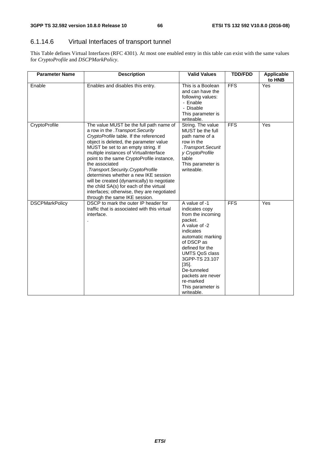## 6.1.14.6 Virtual Interfaces of transport tunnel

This Table defines Virtual Interfaces (RFC 4301). At most one enabled entry in this table can exist with the same values for *CryptoProfile* and *DSCPMarkPolicy*.

| <b>Parameter Name</b> | <b>Description</b>                                                                                                                                                                                                                                                                                                                                                                                                                                                                                                                                                       | <b>Valid Values</b>                                                                                                                                                                                                                                                                            | <b>TDD/FDD</b> | Applicable<br>to HNB |
|-----------------------|--------------------------------------------------------------------------------------------------------------------------------------------------------------------------------------------------------------------------------------------------------------------------------------------------------------------------------------------------------------------------------------------------------------------------------------------------------------------------------------------------------------------------------------------------------------------------|------------------------------------------------------------------------------------------------------------------------------------------------------------------------------------------------------------------------------------------------------------------------------------------------|----------------|----------------------|
| Enable                | Enables and disables this entry.                                                                                                                                                                                                                                                                                                                                                                                                                                                                                                                                         | This is a Boolean<br>and can have the<br>following values:<br>- Enable<br>- Disable<br>This parameter is<br>writeable.                                                                                                                                                                         | <b>FFS</b>     | Yes                  |
| CryptoProfile         | The value MUST be the full path name of<br>a row in the . Transport. Security<br>CryptoProfile table. If the referenced<br>object is deleted, the parameter value<br>MUST be set to an empty string. If<br>multiple instances of VirtualInterface<br>point to the same CryptoProfile instance,<br>the associated<br>. Transport. Security. CryptoProfile<br>determines whether a new IKE session<br>will be created (dynamically) to negotiate<br>the child SA(s) for each of the virtual<br>interfaces; otherwise, they are negotiated<br>through the same IKE session. | String. The value<br>MUST be the full<br>path name of a<br>row in the<br>.Transport.Securit<br>y CryptoProfile<br>table<br>This parameter is<br>writeable.                                                                                                                                     | <b>FFS</b>     | Yes                  |
| <b>DSCPMarkPolicy</b> | DSCP to mark the outer IP header for<br>traffic that is associated with this virtual<br>interface.                                                                                                                                                                                                                                                                                                                                                                                                                                                                       | A value of -1<br>indicates copy<br>from the incoming<br>packet.<br>A value of -2<br>indicates<br>automatic marking<br>of DSCP as<br>defined for the<br><b>UMTS QoS class</b><br>3GPP-TS 23.107<br>$[35]$ .<br>De-tunneled<br>packets are never<br>re-marked<br>This parameter is<br>writeable. | <b>FFS</b>     | Yes                  |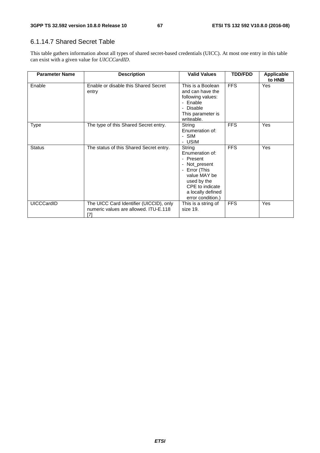#### 6.1.14.7 Shared Secret Table

This table gathers information about all types of shared secret-based credentials (UICC). At most one entry in this table can exist with a given value for *UICCCardID*.

| <b>Parameter Name</b> | <b>Description</b>                                                                        | <b>Valid Values</b>                                                                                                                                                                                            | <b>TDD/FDD</b> | <b>Applicable</b><br>to HNB |
|-----------------------|-------------------------------------------------------------------------------------------|----------------------------------------------------------------------------------------------------------------------------------------------------------------------------------------------------------------|----------------|-----------------------------|
| Enable                | Enable or disable this Shared Secret<br>entry                                             | This is a Boolean<br>and can have the<br>following values:<br>- Enable<br>- Disable<br>This parameter is<br>writeable.                                                                                         | <b>FFS</b>     | Yes                         |
| Type                  | The type of this Shared Secret entry.                                                     | String<br>Enumeration of:<br>- SIM<br>- USIM                                                                                                                                                                   | <b>FFS</b>     | Yes                         |
| <b>Status</b>         | The status of this Shared Secret entry.                                                   | String<br>Enumeration of:<br>- Present<br>Not_present<br>$\overline{\phantom{a}}$<br>Error (This<br>$\blacksquare$<br>value MAY be<br>used by the<br>CPE to indicate<br>a locally defined<br>error condition.) | <b>FFS</b>     | Yes                         |
| UICCCardID            | The UICC Card Identifier (UICCID), only<br>numeric values are allowed. ITU-E.118<br>$[7]$ | This is a string of<br>size 19.                                                                                                                                                                                | <b>FFS</b>     | Yes                         |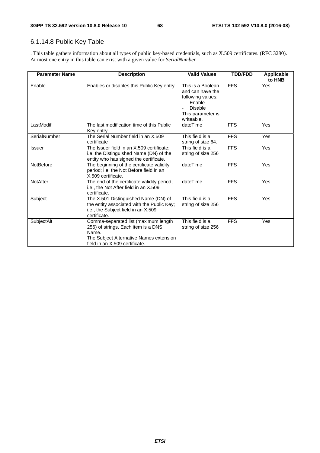## 6.1.14.8 Public Key Table

. This table gathers information about all types of public key-based credentials, such as X.509 certificates. (RFC 3280). At most one entry in this table can exist with a given value for *SerialNumber* 

| <b>Parameter Name</b> | <b>Description</b>                                                                                                                                                | <b>Valid Values</b>                                                                                                       | <b>TDD/FDD</b> | Applicable<br>to HNB |
|-----------------------|-------------------------------------------------------------------------------------------------------------------------------------------------------------------|---------------------------------------------------------------------------------------------------------------------------|----------------|----------------------|
| Enable                | Enables or disables this Public Key entry.                                                                                                                        | This is a Boolean<br>and can have the<br>following values:<br>Enable<br><b>Disable</b><br>This parameter is<br>writeable. | <b>FFS</b>     | Yes                  |
| LastModif             | The last modification time of this Public<br>Key entry.                                                                                                           | dateTime                                                                                                                  | <b>FFS</b>     | Yes                  |
| SerialNumber          | The Serial Number field in an X.509<br>certificate                                                                                                                | This field is a<br>string of size 64.                                                                                     | <b>FFS</b>     | Yes                  |
| <b>Issuer</b>         | The Issuer field in an X.509 certificate:<br>i.e. the Distinguished Name (DN) of the<br>entity who has signed the certificate.                                    | This field is a<br>string of size 256                                                                                     | <b>FFS</b>     | Yes                  |
| NotBefore             | The beginning of the certificate validity<br>period; i.e. the Not Before field in an<br>X.509 certificate.                                                        | dateTime                                                                                                                  | <b>FFS</b>     | Yes                  |
| NotAfter              | The end of the certificate validity period;<br>i.e., the Not After field in an X.509<br>certificate.                                                              | dateTime                                                                                                                  | <b>FFS</b>     | Yes                  |
| Subject               | The X.501 Distinguished Name (DN) of<br>the entity associated with the Public Key;<br>i.e., the Subject field in an X.509<br>certificate.                         | This field is a<br>string of size 256                                                                                     | <b>FFS</b>     | Yes                  |
| SubjectAlt            | Comma-separated list (maximum length<br>256) of strings. Each item is a DNS<br>Name.<br>The Subject Alternative Names extension<br>field in an X.509 certificate. | This field is a<br>string of size 256                                                                                     | <b>FFS</b>     | Yes                  |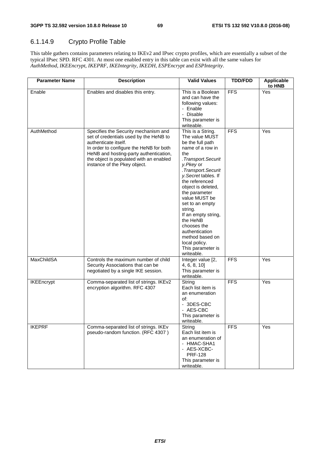## 6.1.14.9 Crypto Profile Table

This table gathers contains parameters relating to IKEv2 and IPsec crypto profiles, which are essentially a subset of the typical IPsec SPD. RFC 4301. At most one enabled entry in this table can exist with all the same values for *AuthMethod*, *IKEEncrypt*, *IKEPRF*, *IKEIntegrity*, *IKEDH*, *ESPEncrypt* and *ESPIntegrity*.

| <b>Parameter Name</b> | <b>Description</b>                                                                                                                                                                                                                                                     | <b>Valid Values</b>                                                                                                                                                                                                                                                                                                                                                                                                    | <b>TDD/FDD</b>   | Applicable<br>to HNB |
|-----------------------|------------------------------------------------------------------------------------------------------------------------------------------------------------------------------------------------------------------------------------------------------------------------|------------------------------------------------------------------------------------------------------------------------------------------------------------------------------------------------------------------------------------------------------------------------------------------------------------------------------------------------------------------------------------------------------------------------|------------------|----------------------|
| Enable                | Enables and disables this entry.                                                                                                                                                                                                                                       | This is a Boolean<br>and can have the<br>following values:<br>- Enable<br>- Disable<br>This parameter is<br>writeable.                                                                                                                                                                                                                                                                                                 | <b>FFS</b>       | Yes                  |
| AuthMethod            | Specifies the Security mechanism and<br>set of credentials used by the HeNB to<br>authenticate itself.<br>In order to configure the HeNB for both<br>HeNB and hosting-party authentication,<br>the object is populated with an enabled<br>instance of the Pkey object. | This is a String.<br>The value MUST<br>be the full path<br>name of a row in<br>the<br>.Transport.Securit<br>y.Pkey or<br>.Transport.Securit<br>y. Secret tables. If<br>the referenced<br>object is deleted,<br>the parameter<br>value MUST be<br>set to an empty<br>string.<br>If an empty string,<br>the HeNB<br>chooses the<br>authentication<br>method based on<br>local policy.<br>This parameter is<br>writeable. | $\overline{FFS}$ | Yes                  |
| MaxChildSA            | Controls the maximum number of child<br>Security Associations that can be<br>negotiated by a single IKE session.                                                                                                                                                       | Integer value [2,<br>4, 6, 8, 10<br>This parameter is<br>writeable.                                                                                                                                                                                                                                                                                                                                                    | <b>FFS</b>       | Yes                  |
| <b>IKEEncrypt</b>     | Comma-separated list of strings. IKEv2<br>encryption algorithm. RFC 4307                                                                                                                                                                                               | String<br>Each list item is<br>an enumeration<br>of:<br>- 3DES-CBC<br>- AES-CBC<br>This parameter is<br>writeable.                                                                                                                                                                                                                                                                                                     | <b>FFS</b>       | Yes                  |
| <b>IKEPRF</b>         | Comma-separated list of strings. IKEv<br>pseudo-random function. (RFC 4307)                                                                                                                                                                                            | String<br>Each list item is<br>an enumeration of<br>- HMAC-SHA1<br>- AES-XCBC-<br><b>PRF-128</b><br>This parameter is<br>writeable.                                                                                                                                                                                                                                                                                    | <b>FFS</b>       | Yes                  |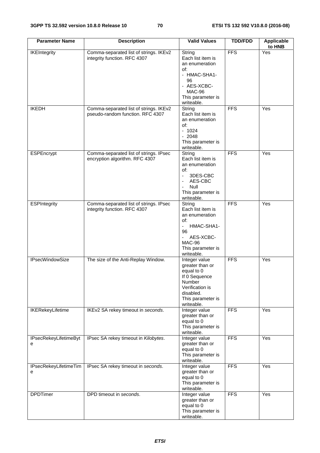| <b>Parameter Name</b>             | <b>Description</b>                                                         | <b>Valid Values</b>                                                                                                                                                              | <b>TDD/FDD</b>   | <b>Applicable</b><br>to HNB |
|-----------------------------------|----------------------------------------------------------------------------|----------------------------------------------------------------------------------------------------------------------------------------------------------------------------------|------------------|-----------------------------|
| <b>IKEIntegrity</b>               | Comma-separated list of strings. IKEv2<br>integrity function. RFC 4307     | String<br>Each list item is<br>an enumeration<br>of:                                                                                                                             | $\overline{FFS}$ | Yes                         |
|                                   |                                                                            | - HMAC-SHA1-<br>96<br>- AES-XCBC-<br>MAC-96                                                                                                                                      |                  |                             |
|                                   |                                                                            | This parameter is<br>writeable.                                                                                                                                                  |                  |                             |
| <b>IKEDH</b>                      | Comma-separated list of strings. IKEv2<br>pseudo-random function. RFC 4307 | String<br>Each list item is<br>an enumeration<br>of:<br>$-1024$<br>$-2048$<br>This parameter is                                                                                  | <b>FFS</b>       | Yes                         |
|                                   |                                                                            | writeable.                                                                                                                                                                       |                  |                             |
| ESPEncrypt                        | Comma-separated list of strings. IPsec<br>encryption algorithm. RFC 4307   | String<br>Each list item is<br>an enumeration<br>of:<br>3DES-CBC<br>$\blacksquare$<br>AES-CBC<br>$\blacksquare$<br>Null<br>$\blacksquare$<br>This parameter is<br>writeable.     | <b>FFS</b>       | Yes                         |
| <b>ESPIntegrity</b>               | Comma-separated list of strings. IPsec<br>integrity function. RFC 4307     | String<br>Each list item is<br>an enumeration<br>of:<br>HMAC-SHA1-<br>$\blacksquare$<br>96<br>AES-XCBC-<br>$\overline{\phantom{a}}$<br>MAC-96<br>This parameter is<br>writeable. | $\overline{FFS}$ | Yes                         |
| <b>IPsecWindowSize</b>            | The size of the Anti-Replay Window.                                        | Integer value<br>greater than or<br>equal to 0<br>If 0 Sequence<br>Number<br>Verification is<br>disabled.<br>This parameter is<br>writeable.                                     | <b>FFS</b>       | $\overline{Yes}$            |
| <b>IKERekeyLifetime</b>           | IKEv2 SA rekey timeout in seconds.                                         | Integer value<br>greater than or<br>equal to 0<br>This parameter is<br>writeable.                                                                                                | <b>FFS</b>       | Yes                         |
| <b>IPsecRekeyLifetimeByt</b><br>е | IPsec SA rekey timeout in Kilobytes.                                       | Integer value<br>greater than or<br>equal to 0<br>This parameter is<br>writeable.                                                                                                | <b>FFS</b>       | Yes                         |
| IPsecRekeyLifetimeTim<br>е        | IPsec SA rekey timeout in seconds.                                         | Integer value<br>greater than or<br>equal to 0<br>This parameter is<br>writeable.                                                                                                | <b>FFS</b>       | Yes                         |
| <b>DPDTimer</b>                   | DPD timeout in seconds.                                                    | Integer value<br>greater than or<br>equal to 0<br>This parameter is<br>writeable.                                                                                                | $\overline{FFS}$ | Yes                         |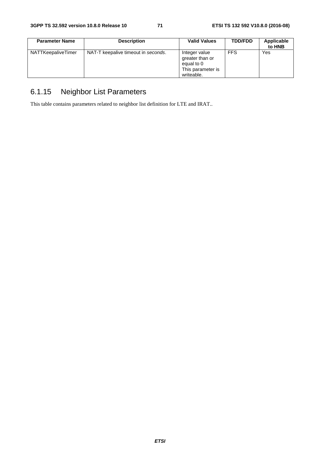| <b>Parameter Name</b> | <b>Description</b>                  | <b>Valid Values</b>                                                               | <b>TDD/FDD</b> | Applicable<br>to HNB |
|-----------------------|-------------------------------------|-----------------------------------------------------------------------------------|----------------|----------------------|
| NATTKeepaliveTimer    | NAT-T keepalive timeout in seconds. | Integer value<br>greater than or<br>equal to 0<br>This parameter is<br>writeable. | <b>FFS</b>     | Yes                  |

# 6.1.15 Neighbor List Parameters

This table contains parameters related to neighbor list definition for LTE and IRAT..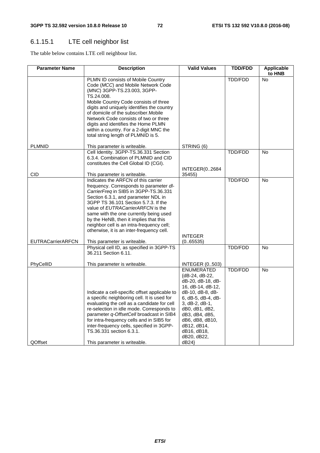## 6.1.15.1 LTE cell neighbor list

The table below contains LTE cell neighbour list.

| <b>Parameter Name</b>    | <b>Description</b>                                                                                                                                                                                                                                                                                                                                                                                                                                        | <b>Valid Values</b>                                                                                                                                                                                                                                         | <b>TDD/FDD</b> | <b>Applicable</b><br>to HNB |
|--------------------------|-----------------------------------------------------------------------------------------------------------------------------------------------------------------------------------------------------------------------------------------------------------------------------------------------------------------------------------------------------------------------------------------------------------------------------------------------------------|-------------------------------------------------------------------------------------------------------------------------------------------------------------------------------------------------------------------------------------------------------------|----------------|-----------------------------|
|                          | PLMN ID consists of Mobile Country<br>Code (MCC) and Mobile Network Code<br>(MNC) 3GPP-TS.23.003, 3GPP-<br>TS.24.008.<br>Mobile Country Code consists of three<br>digits and uniquely identifies the country<br>of domicile of the subscriber. Mobile<br>Network Code consists of two or three<br>digits and identifies the Home PLMN<br>within a country. For a 2-digit MNC the<br>total string length of PLMNID is 5.                                   |                                                                                                                                                                                                                                                             | <b>TDD/FDD</b> | <b>No</b>                   |
| <b>PLMNID</b>            | This parameter is writeable.                                                                                                                                                                                                                                                                                                                                                                                                                              | STRING (6)                                                                                                                                                                                                                                                  |                |                             |
|                          | Cell Identity. 3GPP-TS.36.331 Section<br>6.3.4. Combination of PLMNID and CID<br>constitutes the Cell Global ID (CGI).                                                                                                                                                                                                                                                                                                                                    | <b>INTEGER(02684</b>                                                                                                                                                                                                                                        | TDD/FDD        | <b>No</b>                   |
| CID                      | This parameter is writeable.                                                                                                                                                                                                                                                                                                                                                                                                                              | 35455)                                                                                                                                                                                                                                                      |                |                             |
| <b>EUTRACarrierARFCN</b> | Indicates the ARFCN of this carrier<br>frequency. Corresponds to parameter dl-<br>CarrierFreq in SIB5 in 3GPP-TS.36.331<br>Section 6.3.1, and parameter NDL in<br>3GPP TS 36.101 Section 5.7.3. If the<br>value of EUTRACarrierARFCN is the<br>same with the one currently being used<br>by the HeNB, then it implies that this<br>neighbor cell is an intra-frequency cell;<br>otherwise, it is an inter-frequency cell.<br>This parameter is writeable. | <b>INTEGER</b><br>(0.65535)                                                                                                                                                                                                                                 | <b>TDD/FDD</b> | No                          |
|                          | Physical cell ID, as specified in 3GPP-TS                                                                                                                                                                                                                                                                                                                                                                                                                 |                                                                                                                                                                                                                                                             | <b>TDD/FDD</b> | <b>No</b>                   |
| PhyCellID                | 36.211 Section 6.11.<br>This parameter is writeable.                                                                                                                                                                                                                                                                                                                                                                                                      | <b>INTEGER (0503)</b>                                                                                                                                                                                                                                       |                |                             |
| QOffset                  | Indicate a cell-specific offset applicable to<br>a specific neighboring cell. It is used for<br>evaluating the cell as a candidate for cell<br>re-selection in idle mode. Corresponds to<br>parameter <i>q-OffsetCell</i> broadcast in SIB4<br>for intra-frequency cells and in SIB5 for<br>inter-frequency cells, specified in 3GPP-<br>TS.36.331 section 6.3.1.<br>This parameter is writeable.                                                         | <b>ENUMERATED</b><br>${dB-24, dB-22}$<br>dB-20, dB-18, dB-<br>16, dB-14, dB-12,<br>dB-10, dB-8, dB-<br>6, dB-5, dB-4, dB-<br>3, dB-2, dB-1,<br>dB0, dB1, dB2,<br>dB3, dB4, dB5,<br>dB6, dB8, dB10,<br>dB12, dB14,<br>dB16, dB18,<br>dB20, dB22,<br>$dB24$ } | <b>TDD/FDD</b> | No                          |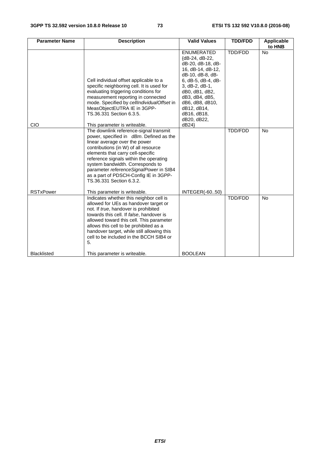| <b>Parameter Name</b> | <b>Description</b>                                                                                                                                                                                                                                                                                                                                                                                                           | <b>Valid Values</b>                                                                                                                                                                                                                            | <b>TDD/FDD</b> | Applicable<br>to HNB |
|-----------------------|------------------------------------------------------------------------------------------------------------------------------------------------------------------------------------------------------------------------------------------------------------------------------------------------------------------------------------------------------------------------------------------------------------------------------|------------------------------------------------------------------------------------------------------------------------------------------------------------------------------------------------------------------------------------------------|----------------|----------------------|
| <b>CIO</b>            | Cell individual offset applicable to a<br>specific neighboring cell. It is used for<br>evaluating triggering conditions for<br>measurement reporting in connected<br>mode. Specified by cellIndividualOffset in<br>MeasObjectEUTRA IE in 3GPP-<br>TS.36.331 Section 6.3.5.<br>This parameter is writeable.                                                                                                                   | ENUMERATED<br>{dB-24, dB-22,<br>dB-20, dB-18, dB-<br>16, dB-14, dB-12,<br>dB-10, dB-8, dB-<br>6, dB-5, dB-4, dB-<br>3, dB-2, dB-1,<br>dB0, dB1, dB2,<br>dB3, dB4, dB5,<br>dB6, dB8, dB10,<br>dB12, dB14,<br>dB16, dB18,<br>dB20, dB22,<br>dB24 | TDD/FDD        | <b>No</b>            |
| <b>RSTxPower</b>      | The downlink reference-signal transmit<br>power, specified in dBm. Defined as the<br>linear average over the power<br>contributions (in W) of all resource<br>elements that carry cell-specific<br>reference signals within the operating<br>system bandwidth. Corresponds to<br>parameter referenceSignalPower in SIB4<br>as a part of PDSCH-Config IE in 3GPP-<br>TS.36.331 Section 6.3.2.<br>This parameter is writeable. | <b>INTEGER(-6050)</b>                                                                                                                                                                                                                          | <b>TDD/FDD</b> | <b>No</b>            |
|                       | Indicates whether this neighbor cell is<br>allowed for UEs as handover target or<br>not. If true, handover is prohibited<br>towards this cell. If false, handover is<br>allowed toward this cell. This parameter<br>allows this cell to be prohibited as a<br>handover target, while still allowing this<br>cell to be included in the BCCH SIB4 or<br>5.                                                                    |                                                                                                                                                                                                                                                | <b>TDD/FDD</b> | <b>No</b>            |
| <b>Blacklisted</b>    | This parameter is writeable.                                                                                                                                                                                                                                                                                                                                                                                                 | <b>BOOLEAN</b>                                                                                                                                                                                                                                 |                |                      |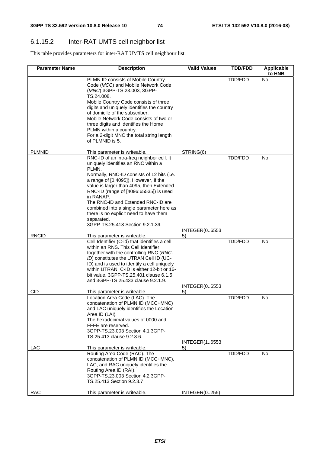## 6.1.15.2 Inter-RAT UMTS cell neighbor list

This table provides parameters for inter-RAT UMTS cell neighbour list.

| <b>Parameter Name</b> | <b>Description</b>                                                                                                                                                                                                                                                                                                                                                                                                                                                | <b>Valid Values</b>        | <b>TDD/FDD</b> | <b>Applicable</b><br>to HNB |
|-----------------------|-------------------------------------------------------------------------------------------------------------------------------------------------------------------------------------------------------------------------------------------------------------------------------------------------------------------------------------------------------------------------------------------------------------------------------------------------------------------|----------------------------|----------------|-----------------------------|
|                       | PLMN ID consists of Mobile Country<br>Code (MCC) and Mobile Network Code<br>(MNC) 3GPP-TS.23.003, 3GPP-<br>TS.24.008.<br>Mobile Country Code consists of three<br>digits and uniquely identifies the country<br>of domicile of the subscriber.<br>Mobile Network Code consists of two or                                                                                                                                                                          |                            | TDD/FDD        | <b>No</b>                   |
|                       | three digits and identifies the Home<br>PLMN within a country.<br>For a 2-digit MNC the total string length<br>of PLMNID is 5.                                                                                                                                                                                                                                                                                                                                    |                            |                |                             |
| <b>PLMNID</b>         | This parameter is writeable.                                                                                                                                                                                                                                                                                                                                                                                                                                      | STRING(6)                  |                |                             |
|                       | RNC-ID of an intra-freq neighbor cell. It<br>uniquely identifies an RNC within a<br>PLMN.<br>Normally, RNC-ID consists of 12 bits (i.e.<br>a range of [0:4095]). However, if the<br>value is larger than 4095, then Extended<br>RNC-ID (range of [4096:65535]) is used<br>in RANAP.<br>The RNC-ID and Extended RNC-ID are<br>combined into a single parameter here as<br>there is no explicit need to have them<br>separated.<br>3GPP-TS.25.413 Section 9.2.1.39. | INTEGER(06553              | TDD/FDD        | <b>No</b>                   |
| <b>RNCID</b>          | This parameter is writeable.                                                                                                                                                                                                                                                                                                                                                                                                                                      | 5)                         |                |                             |
|                       | Cell Identifier (C-id) that identifies a cell<br>within an RNS. This Cell Identifier<br>together with the controlling RNC (RNC-<br>ID) constitutes the UTRAN Cell ID (UC-<br>ID) and is used to identify a cell uniquely<br>within UTRAN, C-ID is either 12-bit or 16-<br>bit value. 3GPP-TS.25.401 clause 6.1.5<br>and 3GPP-TS 25.433 clause 9.2.1.9.                                                                                                            | <b>INTEGER(06553</b>       | TDD/FDD        | No                          |
| CID                   | This parameter is writeable.<br>Location Area Code (LAC). The<br>concatenation of PLMN ID (MCC+MNC)<br>and LAC uniquely identifies the Location<br>Area ID (LAI).<br>The hexadecimal values of 0000 and<br>FFFE are reserved.<br>3GPP-TS.23.003 Section 4.1 3GPP-<br>TS.25.413 clause 9.2.3.6.                                                                                                                                                                    | 5)<br><b>INTEGER(16553</b> | <b>TDD/FDD</b> | No                          |
| LAC                   | This parameter is writeable.                                                                                                                                                                                                                                                                                                                                                                                                                                      | 5)                         |                |                             |
|                       | Routing Area Code (RAC). The<br>concatenation of PLMN ID (MCC+MNC),<br>LAC, and RAC uniquely identifies the<br>Routing Area ID (RAI).<br>3GPP-TS.23.003 Section 4.2 3GPP-<br>TS.25.413 Section 9.2.3.7                                                                                                                                                                                                                                                            |                            | TDD/FDD        | <b>No</b>                   |
| <b>RAC</b>            | This parameter is writeable.                                                                                                                                                                                                                                                                                                                                                                                                                                      | <b>INTEGER(0255)</b>       |                |                             |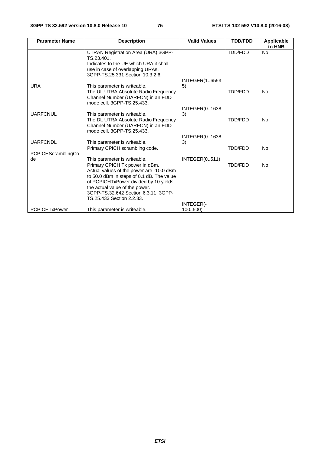| <b>Parameter Name</b>     | <b>Description</b>                                                | <b>Valid Values</b>  | <b>TDD/FDD</b> | Applicable<br>to HNB |
|---------------------------|-------------------------------------------------------------------|----------------------|----------------|----------------------|
|                           | UTRAN Registration Area (URA) 3GPP-                               |                      | <b>TDD/FDD</b> | <b>No</b>            |
|                           | TS.23.401.                                                        |                      |                |                      |
|                           | Indicates to the UE which URA it shall                            |                      |                |                      |
|                           | use in case of overlapping URAs.                                  |                      |                |                      |
|                           | 3GPP-TS.25.331 Section 10.3.2.6.                                  |                      |                |                      |
|                           |                                                                   | <b>INTEGER(16553</b> |                |                      |
| <b>URA</b>                | This parameter is writeable.                                      | 5)                   |                |                      |
|                           | The UL UTRA Absolute Radio Frequency                              |                      | <b>TDD/FDD</b> | <b>No</b>            |
|                           | Channel Number (UARFCN) in an FDD                                 |                      |                |                      |
|                           | mode cell. 3GPP-TS.25.433.                                        |                      |                |                      |
|                           |                                                                   | <b>INTEGER(01638</b> |                |                      |
| <b>UARFCNUL</b>           | This parameter is writeable.                                      | 3)                   |                |                      |
|                           | The DL UTRA Absolute Radio Frequency                              |                      | <b>TDD/FDD</b> | <b>No</b>            |
|                           | Channel Number (UARFCN) in an FDD                                 |                      |                |                      |
|                           | mode cell. 3GPP-TS.25.433.                                        |                      |                |                      |
|                           |                                                                   | <b>INTEGER(01638</b> |                |                      |
| <b>UARFCNDL</b>           | This parameter is writeable.                                      | 3)                   |                |                      |
|                           | Primary CPICH scrambling code.                                    |                      | <b>TDD/FDD</b> | <b>No</b>            |
| <b>PCPICHScramblingCo</b> |                                                                   |                      |                |                      |
| de                        | This parameter is writeable.                                      | INTEGR(0511)         |                |                      |
|                           | Primary CPICH Tx power in dBm.                                    |                      | <b>TDD/FDD</b> | <b>No</b>            |
|                           | Actual values of the power are -10.0 dBm                          |                      |                |                      |
|                           | to 50.0 dBm in steps of 0.1 dB. The value                         |                      |                |                      |
|                           | of PCPICHTxPower divided by 10 yields                             |                      |                |                      |
|                           | the actual value of the power.                                    |                      |                |                      |
|                           | 3GPP-TS.32.642 Section 6.3.11, 3GPP-<br>TS.25.433 Section 2.2.33. |                      |                |                      |
|                           |                                                                   | INTEGER(-            |                |                      |
| <b>PCPICHTxPower</b>      | This parameter is writeable.                                      | 100500               |                |                      |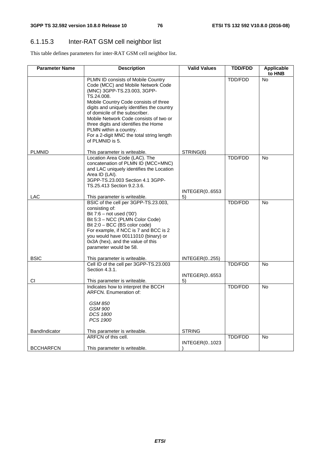## 6.1.15.3 Inter-RAT GSM cell neighbor list

This table defines parameters for inter-RAT GSM cell neighbor list.

| <b>Parameter Name</b> | <b>Description</b>                                                                                                                                                                                                                                                                                                                                                                                                         | <b>Valid Values</b>        | <b>TDD/FDD</b> | <b>Applicable</b><br>to HNB |
|-----------------------|----------------------------------------------------------------------------------------------------------------------------------------------------------------------------------------------------------------------------------------------------------------------------------------------------------------------------------------------------------------------------------------------------------------------------|----------------------------|----------------|-----------------------------|
|                       | PLMN ID consists of Mobile Country<br>Code (MCC) and Mobile Network Code<br>(MNC) 3GPP-TS.23.003, 3GPP-<br>TS.24.008.<br>Mobile Country Code consists of three<br>digits and uniquely identifies the country<br>of domicile of the subscriber.<br>Mobile Network Code consists of two or<br>three digits and identifies the Home<br>PLMN within a country.<br>For a 2-digit MNC the total string length<br>of PLMNID is 5. |                            | TDD/FDD        | <b>No</b>                   |
| <b>PLMNID</b>         | This parameter is writeable.                                                                                                                                                                                                                                                                                                                                                                                               | STRING(6)                  |                |                             |
| <b>LAC</b>            | Location Area Code (LAC). The<br>concatenation of PLMN ID (MCC+MNC)<br>and LAC uniquely identifies the Location<br>Area ID (LAI).<br>3GPP-TS.23.003 Section 4.1 3GPP-<br>TS.25.413 Section 9.2.3.6.<br>This parameter is writeable.                                                                                                                                                                                        | <b>INTEGER(06553</b><br>5) | TDD/FDD        | <b>No</b>                   |
| <b>BSIC</b>           | BSIC of the cell per 3GPP-TS.23.003,<br>consisting of:<br>Bit $7:6 - not used('00')$<br>Bit 5:3 - NCC (PLMN Color Code)<br>Bit 2:0 - BCC (BS color code)<br>For example, if NCC is 7 and BCC is 2<br>you would have 00111010 (binary) or<br>0x3A (hex), and the value of this<br>parameter would be 58.<br>This parameter is writeable.                                                                                    | <b>INTEGER(0255)</b>       | TDD/FDD        | <b>No</b>                   |
|                       | Cell ID of the cell per 3GPP-TS.23.003                                                                                                                                                                                                                                                                                                                                                                                     |                            | TDD/FDD        | <b>No</b>                   |
| СI                    | Section 4.3.1.<br>This parameter is writeable.                                                                                                                                                                                                                                                                                                                                                                             | INTEGER(06553<br>5)        |                |                             |
| BandIndicator         | Indicates how to interpret the BCCH<br><b>ARFCN.</b> Enumeration of:<br><b>GSM 850</b><br><b>GSM 900</b><br><b>DCS 1800</b><br>PCS 1900<br>This parameter is writeable.                                                                                                                                                                                                                                                    | <b>STRING</b>              | TDD/FDD        | <b>No</b>                   |
|                       | ARFCN of this cell.                                                                                                                                                                                                                                                                                                                                                                                                        |                            | <b>TDD/FDD</b> | No                          |
| <b>BCCHARFCN</b>      | This parameter is writeable.                                                                                                                                                                                                                                                                                                                                                                                               | <b>INTEGER(01023</b>       |                |                             |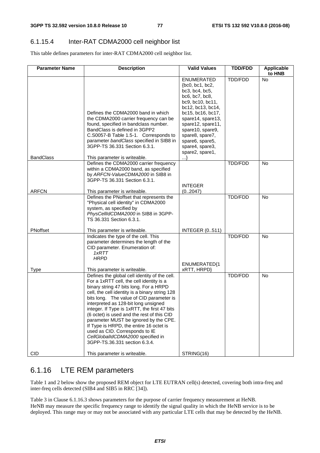#### 6.1.15.4 Inter-RAT CDMA2000 cell neighbor list

This table defines parameters for inter-RAT CDMA2000 cell neighbor list.

| <b>Parameter Name</b> | <b>Description</b>                                                                                                                                                                                                                                                                                                                                                                                                                                                                                                                                                                                  | <b>Valid Values</b>                                                                                                                                                                                                                                                             | <b>TDD/FDD</b> | Applicable<br>to HNB |
|-----------------------|-----------------------------------------------------------------------------------------------------------------------------------------------------------------------------------------------------------------------------------------------------------------------------------------------------------------------------------------------------------------------------------------------------------------------------------------------------------------------------------------------------------------------------------------------------------------------------------------------------|---------------------------------------------------------------------------------------------------------------------------------------------------------------------------------------------------------------------------------------------------------------------------------|----------------|----------------------|
| <b>BandClass</b>      | Defines the CDMA2000 band in which<br>the CDMA2000 carrier frequency can be<br>found, specified in bandclass number.<br>BandClass is defined in 3GPP2<br>C.S0057-B Table 1.5-1. Corresponds to<br>parameter bandClass specified in SIB8 in<br>3GPP-TS 36.331 Section 6.3.1.<br>This parameter is writeable.                                                                                                                                                                                                                                                                                         | ENUMERATED<br>{bc0, bc1, bc2,<br>bc3, bc4, bc5,<br>bc6, bc7, bc8,<br>bc9, bc10, bc11,<br>bc12, bc13, bc14,<br>bc15, bc16, bc17,<br>spare14, spare13,<br>spare12, spare11,<br>spare10, spare9,<br>spare8, spare7,<br>spare6, spare5,<br>spare4, spare3,<br>spare2, spare1,<br>…} | TDD/FDD        | <b>No</b>            |
|                       | Defines the CDMA2000 carrier frequency<br>within a CDMA2000 band, as specified<br>by ARFCN-ValueCDMA2000 in SIB8 in<br>3GPP-TS 36.331 Section 6.3.1.                                                                                                                                                                                                                                                                                                                                                                                                                                                | <b>INTEGER</b>                                                                                                                                                                                                                                                                  | TDD/FDD        | <b>No</b>            |
| <b>ARFCN</b>          | This parameter is writeable.                                                                                                                                                                                                                                                                                                                                                                                                                                                                                                                                                                        | (02047)                                                                                                                                                                                                                                                                         |                |                      |
|                       | Defines the PNoffset that represents the<br>"Physical cell identity" in CDMA2000<br>system, as specified by<br>PhysCellIdCDMA2000 in SIB8 in 3GPP-<br>TS 36.331 Section 6.3.1.                                                                                                                                                                                                                                                                                                                                                                                                                      |                                                                                                                                                                                                                                                                                 | TDD/FDD        | <b>No</b>            |
| PNoffset              | This parameter is writeable.                                                                                                                                                                                                                                                                                                                                                                                                                                                                                                                                                                        | <b>INTEGER (0511)</b>                                                                                                                                                                                                                                                           |                |                      |
| Type                  | Indicates the type of the cell. This<br>parameter determines the length of the<br>CID parameter. Enumeration of:<br>1xRTT<br><b>HRPD</b><br>This parameter is writeable.                                                                                                                                                                                                                                                                                                                                                                                                                            | ENUMERATED{1<br>xRTT, HRPD}                                                                                                                                                                                                                                                     | TDD/FDD        | <b>No</b>            |
| <b>CID</b>            | Defines the global cell identity of the cell.<br>For a 1xRTT cell, the cell identity is a<br>binary string 47 bits long. For a HRPD<br>cell, the cell identity is a binary string 128<br>bits long. The value of CID parameter is<br>interpreted as 128-bit long unsigned<br>integer. If Type is 1xRTT, the first 47 bits<br>(6 octet) is used and the rest of this CID<br>parameter MUST be ignored by the CPE.<br>If Type is HRPD, the entire 16 octet is<br>used as CID. Corresponds to IE<br>CellGlobalIdCDMA2000 specified in<br>3GPP-TS.36.331 section 6.3.4.<br>This parameter is writeable. | STRING(16)                                                                                                                                                                                                                                                                      | TDD/FDD        | No                   |

## 6.1.16 LTE REM parameters

Table 1 and 2 below show the proposed REM object for LTE EUTRAN cell(s) detected, covering both intra-freq and inter-freq cells detected (SIB4 and SIB5 in RRC [34]).

Table 3 in Clause 6.1.16.3 shows parameters for the purpose of carrier frequency measurement at HeNB. HeNB may measure the specific frequency range to identify the signal quality in which the HeNB service is to be deployed. This range may or may not be associated with any particular LTE cells that may be detected by the HeNB.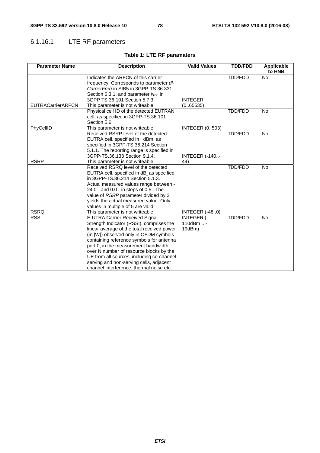## 6.1.16.1 LTE RF parameters

| <b>Parameter Name</b>    | <b>Description</b>                                                                                                                                                                                                                                                                                                                                                                                                                            | <b>Valid Values</b>                      | <b>TDD/FDD</b> | <b>Applicable</b><br>to HNB |
|--------------------------|-----------------------------------------------------------------------------------------------------------------------------------------------------------------------------------------------------------------------------------------------------------------------------------------------------------------------------------------------------------------------------------------------------------------------------------------------|------------------------------------------|----------------|-----------------------------|
|                          | Indicates the ARFCN of this carrier<br>frequency. Corresponds to parameter dl-<br>CarrierFreq in SIB5 in 3GPP-TS.36.331<br>Section 6.3.1, and parameter $N_{DL}$ in                                                                                                                                                                                                                                                                           |                                          | TDD/FDD        | <b>No</b>                   |
| <b>EUTRACarrierARFCN</b> | 3GPP TS 36.101 Section 5.7.3.<br>This parameter is not writeable.                                                                                                                                                                                                                                                                                                                                                                             | <b>INTEGER</b><br>(0.65535)              |                |                             |
|                          | Physical cell ID of the detected EUTRAN<br>cell, as specified in 3GPP-TS.36.101<br>Section 5.6.                                                                                                                                                                                                                                                                                                                                               |                                          | TDD/FDD        | No                          |
| PhyCellID                | This parameter is not writeable.                                                                                                                                                                                                                                                                                                                                                                                                              | <b>INTEGER (0503)</b>                    |                |                             |
| <b>RSRP</b>              | Received RSRP level of the detected<br>EUTRA cell, specified in dBm, as<br>specified in 3GPP-TS.36.214 Section<br>5.1.1. The reporting range is specified in<br>3GPP-TS.36.133 Section 9.1.4.<br>This parameter is not writeable.                                                                                                                                                                                                             | <b>INTEGER (-140-</b><br>44)             | TDD/FDD        | <b>No</b>                   |
| <b>RSRQ</b>              | Received RSRQ level of the detected<br>EUTRA cell, specified in dB, as specified<br>in 3GPP-TS.36.214 Section 5.1.3.<br>Actual measured values range between -<br>24.0 and 0.0 in steps of 0.5. The<br>value of RSRP parameter divided by 2<br>yields the actual measured value. Only<br>values in multiple of 5 are valid.<br>This parameter is not writeable.                                                                               | <b>INTEGER (-480)</b>                    | TDD/FDD        | <b>No</b>                   |
| <b>RSSI</b>              | <b>E-UTRA Carrier Received Signal</b><br>Strength Indicator (RSSI), comprises the<br>linear average of the total received power<br>(in [W]) observed only in OFDM symbols<br>containing reference symbols for antenna<br>port 0, in the measurement bandwidth,<br>over N number of resource blocks by the<br>UE from all sources, including co-channel<br>serving and non-serving cells, adjacent<br>channel interference, thermal noise etc. | <b>INTEGER (-</b><br>110dBm  -<br>19dBm) | TDD/FDD        | <b>No</b>                   |

## **Table 1: LTE RF paramaters**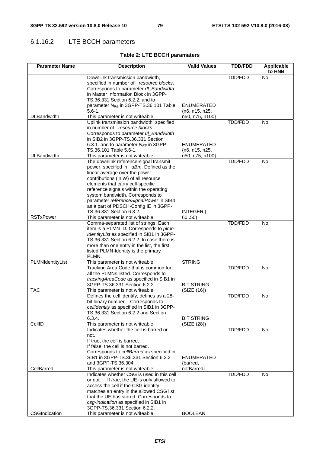## 6.1.16.2 LTE BCCH parameters

## **Table 2: LTE BCCH paramaters**

| <b>Parameter Name</b> | <b>Description</b>                                                              | <b>Valid Values</b>        | <b>TDD/FDD</b> | <b>Applicable</b><br>to HNB |
|-----------------------|---------------------------------------------------------------------------------|----------------------------|----------------|-----------------------------|
|                       | Downlink transmission bandwidth,                                                |                            | TDD/FDD        | No                          |
|                       | specified in number of resource blocks.                                         |                            |                |                             |
|                       | Corresponds to parameter dl_Bandwidth<br>in Master Information Block in 3GPP-   |                            |                |                             |
|                       | TS.36.331 Section 6.2.2. and to                                                 |                            |                |                             |
|                       | parameter N <sub>RB</sub> in 3GPP-TS.36.101 Table                               | <b>ENUMERATED</b>          |                |                             |
|                       | $5.6 - 1.$                                                                      | $\{n6, n15, n25,$          |                |                             |
| <b>DLBandwidth</b>    | This parameter is not writeable.                                                | n50, n75, n100}            |                |                             |
|                       | Uplink transmission bandwidth, specified                                        |                            | TDD/FDD        | <b>No</b>                   |
|                       | in number of resource blocks.<br>Corresponds to parameter ul_Bandwidth          |                            |                |                             |
|                       | in SIB2 in 3GPP-TS.36.331 Section                                               |                            |                |                             |
|                       | 6.3.1. and to parameter $N_{RB}$ in 3GPP-                                       | <b>ENUMERATED</b>          |                |                             |
|                       | TS.36.101 Table 5.6-1.                                                          | {n6, n15, n25,             |                |                             |
| ULBandwidth           | This parameter is not writeable.                                                | n50, n75, n100}            |                |                             |
|                       | The downlink reference-signal transmit                                          |                            | TDD/FDD        | No                          |
|                       | power, specified in dBm. Defined as the<br>linear average over the power        |                            |                |                             |
|                       | contributions (in W) of all resource                                            |                            |                |                             |
|                       | elements that carry cell-specific                                               |                            |                |                             |
|                       | reference signals within the operating                                          |                            |                |                             |
|                       | system bandwidth. Corresponds to                                                |                            |                |                             |
|                       | parameter referenceSignalPower in SIB4                                          |                            |                |                             |
|                       | as a part of PDSCH-Config IE in 3GPP-                                           |                            |                |                             |
| <b>RSTxPower</b>      | TS.36.331 Section 6.3.2.<br>This parameter is not writeable.                    | <b>INTEGER (-</b><br>6050) |                |                             |
|                       | Comma-separated list of strings. Each                                           |                            | <b>TDD/FDD</b> | <b>No</b>                   |
|                       | item is a PLMN ID. Corresponds to plmn-                                         |                            |                |                             |
|                       | IdentityList as specified in SIB1 in 3GPP-                                      |                            |                |                             |
|                       | TS.36.331 Section 6.2.2. In case there is                                       |                            |                |                             |
|                       | more than one entry in the list, the first                                      |                            |                |                             |
|                       | listed PLMN-Identity is the primary<br>PLMN.                                    |                            |                |                             |
| PLMNIdentityList      | This parameter is not writeable.                                                | <b>STRING</b>              |                |                             |
|                       | Tracking Area Code that is common for                                           |                            | TDD/FDD        | <b>No</b>                   |
|                       | all the PLMNs listed. Corresponds to                                            |                            |                |                             |
|                       | trackingAreaCode as specified in SIB1 in                                        |                            |                |                             |
|                       | 3GPP-TS.36.331 Section 6.2.2.                                                   | <b>BIT STRING</b>          |                |                             |
| <b>TAC</b>            | This parameter is not writeable.<br>Defines the cell identify, defines as a 28- | (SIZE (16))                | <b>TDD/FDD</b> | <b>No</b>                   |
|                       | bit binary number. Corresponds to                                               |                            |                |                             |
|                       | cellIdentity as specified in SIB1 in 3GPP-                                      |                            |                |                             |
|                       | TS.36.331 Section 6.2.2 and Section                                             |                            |                |                             |
|                       | 6.3.4.                                                                          | <b>BIT STRING</b>          |                |                             |
| CellID                | This parameter is not writeable.                                                | (SIZE (28))                |                |                             |
|                       | Indicates whether the cell is barred or<br>not.                                 |                            | TDD/FDD        | <b>No</b>                   |
|                       | If true, the cell is barred.                                                    |                            |                |                             |
|                       | If false, the cell is not barred.                                               |                            |                |                             |
|                       | Corresponds to cellBarred as specified in                                       |                            |                |                             |
|                       | SIB1 in 3GPP-TS.36.331 Section 6.2.2                                            | <b>ENUMERATED</b>          |                |                             |
|                       | and 3GPP-TS.36.304.                                                             | {barred,                   |                |                             |
| CellBarred            | This parameter is not writeable.<br>Indicates whether CSG is used in this cell  | notBarred}                 | TDD/FDD        | <b>No</b>                   |
|                       | If true, the UE is only allowed to<br>or not.                                   |                            |                |                             |
|                       | access the cell if the CSG identity                                             |                            |                |                             |
|                       | matches an entry in the allowed CSG list                                        |                            |                |                             |
|                       | that the UE has stored. Corresponds to                                          |                            |                |                             |
|                       | csg-Indication as specified in SIB1 in                                          |                            |                |                             |
|                       | 3GPP-TS.36.331 Section 6.2.2.                                                   |                            |                |                             |
| <b>CSGIndication</b>  | This parameter is not writeable.                                                | <b>BOOLEAN</b>             |                |                             |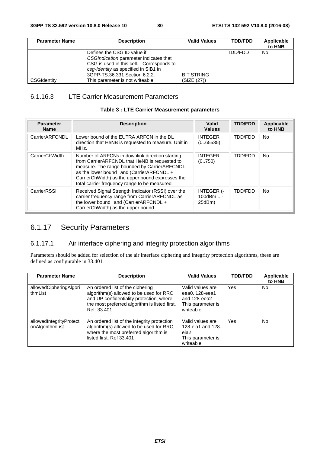| <b>Parameter Name</b> | <b>Description</b>                                                                                                                                                                                                             | <b>Valid Values</b>              | <b>TDD/FDD</b> | Applicable<br>to HNB |
|-----------------------|--------------------------------------------------------------------------------------------------------------------------------------------------------------------------------------------------------------------------------|----------------------------------|----------------|----------------------|
| CSGIdentity           | Defines the CSG ID value if<br>CSGIndication parameter indicates that<br>CSG is used in this cell. Corresponds to<br>csq-Identity as specified in SIB1 in<br>3GPP-TS.36.331 Section 6.2.2.<br>This parameter is not writeable. | <b>BIT STRING</b><br>(SIZE (27)) | TDD/FDD        | No                   |

## 6.1.16.3 LTE Carrier Measurement Parameters

#### **Table 3 : LTE Carrier Measurement parameters**

| <b>Parameter</b><br><b>Name</b> | <b>Description</b>                                                                                                                                                                                                                                                                                | Valid<br><b>Values</b>                   | <b>TDD/FDD</b> | Applicable<br>to HNB |
|---------------------------------|---------------------------------------------------------------------------------------------------------------------------------------------------------------------------------------------------------------------------------------------------------------------------------------------------|------------------------------------------|----------------|----------------------|
| CarrierARFCNDL                  | Lower bound of the EUTRA ARFCN in the DL<br>direction that HeNB is requested to measure. Unit in<br>MHz.                                                                                                                                                                                          | <b>INTEGER</b><br>(0.65535)              | TDD/FDD        | No.                  |
| CarrierChWidth                  | Number of ARFCNs in downlink direction starting<br>from CarrierARFCNDL that HeNB is requested to<br>measure. The range bounded by CarrierARFCNDL<br>as the lower bound and (CarrierARFCNDL +<br>CarrierChWidth) as the upper bound expresses the<br>total carrier frequency range to be measured. | <b>INTEGER</b><br>(0750)                 | <b>TDD/FDD</b> | <b>No</b>            |
| CarrierRSSI                     | Received Signal Strength Indicator (RSSI) over the<br>carrier frequency range from CarrierARFCNDL as<br>the lower bound and (CarrierARFCNDL +<br>CarrierChWidth) as the upper bound.                                                                                                              | <b>INTEGER (-</b><br>100 $dBm$<br>25dBm) | TDD/FDD        | <b>No</b>            |

## 6.1.17 Security Parameters

#### 6.1.17.1 Air interface ciphering and integrity protection algorithms

Parameters should be added for selection of the air interface ciphering and integrity protection algorithms, these are defined as configurable in 33.401

| <b>Parameter Name</b>                       | <b>Description</b>                                                                                                                                                                      | <b>Valid Values</b>                                                                           | <b>TDD/FDD</b> | Applicable<br>to HNB |
|---------------------------------------------|-----------------------------------------------------------------------------------------------------------------------------------------------------------------------------------------|-----------------------------------------------------------------------------------------------|----------------|----------------------|
| allowedCipheringAlgori<br>thmList           | An ordered list of the ciphering<br>algorithm(s) allowed to be used for RRC<br>and UP confidentiality protection, where<br>the most preferred algorithm is listed first.<br>Ref: 33.401 | Valid values are<br>eea0, 128-eea1<br>and 128-eea2<br>This parameter is<br>writeable.         | Yes            | No.                  |
| allowedIntegrityProtecti<br>onAlgorithmList | An ordered list of the integrity protection<br>algorithm(s) allowed to be used for RRC,<br>where the most preferred algorithm is<br>listed first. Ref 33.401                            | Valid values are<br>128-eia1 and 128-<br>eia <sub>2</sub> .<br>This parameter is<br>writeable | Yes            | No.                  |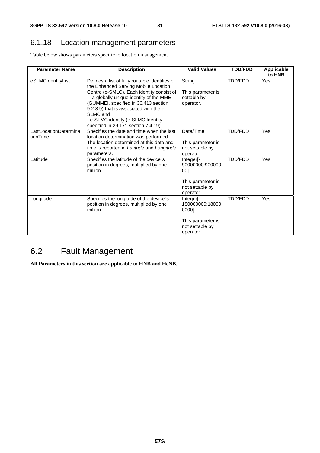## 6.1.18 Location management parameters

Table below shows parameters specific to location management

| <b>Parameter Name</b>             | <b>Description</b>                                                                                                                                                                                                                                                                                                                                          | <b>Valid Values</b>                                                                                       | <b>TDD/FDD</b> | <b>Applicable</b><br>to HNB |
|-----------------------------------|-------------------------------------------------------------------------------------------------------------------------------------------------------------------------------------------------------------------------------------------------------------------------------------------------------------------------------------------------------------|-----------------------------------------------------------------------------------------------------------|----------------|-----------------------------|
| eSLMCIdentityList                 | Defines a list of fully routable identities of<br>the Enhanced Serving Mobile Location<br>Centre (e-SMLC). Each identity consist of<br>- a globally unique identity of the MME<br>(GUMMEI, specified in 36.413 section<br>9.2.3.9) that is associated with the e-<br>SLMC and<br>- e-SLMC identity (e-SLMC Identity,<br>specified in 29.171 section 7.4.19) | String<br>This parameter is<br>settable by<br>operator.                                                   | TDD/FDD        | Yes                         |
| LastLocationDetermina<br>tionTime | Specifies the date and time when the last<br>location determination was performed.<br>The location determined at this date and<br>time is reported in Latitude and Longitude<br>parameters.                                                                                                                                                                 | Date/Time<br>This parameter is<br>not settable by<br>operator.                                            | TDD/FDD        | <b>Yes</b>                  |
| Latitude                          | Specifies the latitude of the device"s<br>position in degrees, multiplied by one<br>million.                                                                                                                                                                                                                                                                | Integer <sup>[-</sup><br>90000000:900000<br>001<br>This parameter is<br>not settable by<br>operator.      | TDD/FDD        | <b>Yes</b>                  |
| Longitude                         | Specifies the longitude of the device"s<br>position in degrees, multiplied by one<br>million.                                                                                                                                                                                                                                                               | Integer <sup>[-1</sup> ]<br>180000000:18000<br>0000]<br>This parameter is<br>not settable by<br>operator. | <b>TDD/FDD</b> | Yes                         |

## 6.2 Fault Management

**All Parameters in this section are applicable to HNB and HeNB**.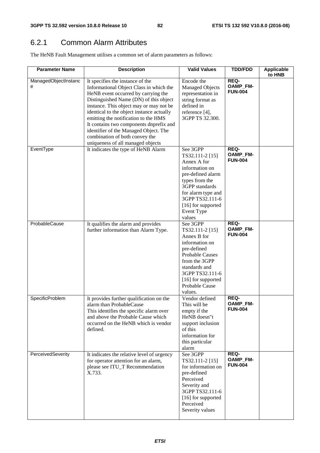## 6.2.1 Common Alarm Attributes

The HeNB Fault Management utilises a common set of alarm parameters as follows:

| <b>Parameter Name</b>     | <b>Description</b>                                                                                                                                                                                                                                                                                                                                                                                                                                      | <b>Valid Values</b>                                                                                                                                                                                                 | <b>TDD/FDD</b>                     | <b>Applicable</b><br>to HNB |
|---------------------------|---------------------------------------------------------------------------------------------------------------------------------------------------------------------------------------------------------------------------------------------------------------------------------------------------------------------------------------------------------------------------------------------------------------------------------------------------------|---------------------------------------------------------------------------------------------------------------------------------------------------------------------------------------------------------------------|------------------------------------|-----------------------------|
| ManagedObjectInstanc<br>е | It specifies the instance of the<br>Informational Object Class in which the<br>HeNB event occurred by carrying the<br>Distinguished Name (DN) of this object<br>instance. This object may or may not be<br>identical to the object instance actually<br>emitting the notification to the HMS<br>It contains two components dnprefix and<br>identifier of the Managed Object. The<br>combination of both convey the<br>uniqueness of all managed objects | Encode the<br><b>Managed Objects</b><br>representation in<br>string format as<br>defined in<br>reference [4],<br>3GPP TS 32.300.                                                                                    | REQ-<br>OAMP_FM-<br><b>FUN-004</b> |                             |
| EventType                 | It indicates the type of HeNB Alarm                                                                                                                                                                                                                                                                                                                                                                                                                     | See 3GPP<br>TS32.111-2 [15]<br>Annex A for<br>information on<br>pre-defined alarm<br>types from the<br>3GPP standards<br>for alarm type and<br>3GPP TS32.111-6<br>[16] for supported<br><b>Event Type</b><br>values | REQ-<br>OAMP_FM-<br><b>FUN-004</b> |                             |
| ProbableCause             | It qualifies the alarm and provides<br>further information than Alarm Type.                                                                                                                                                                                                                                                                                                                                                                             | See 3GPP<br>TS32.111-2 [15]<br>Annex B for<br>information on<br>pre-defined<br><b>Probable Causes</b><br>from the 3GPP<br>standards and<br>3GPP TS32.111-6<br>[16] for supported<br>Probable Cause<br>values.       | REQ-<br>OAMP_FM-<br><b>FUN-004</b> |                             |
| SpecificProblem           | It provides further qualification on the<br>alarm than ProbableCause<br>This identifies the specific alarm over<br>and above the Probable Cause which<br>occurred on the HeNB which is vendor<br>defined.                                                                                                                                                                                                                                               | Vendor defined<br>This will be<br>empty if the<br>HeNB doesn"t<br>support inclusion<br>of this<br>information for<br>this particular<br>alarm                                                                       | REQ-<br>OAMP_FM-<br><b>FUN-004</b> |                             |
| PerceivedSeverity         | It indicates the relative level of urgency<br>for operator attention for an alarm,<br>please see ITU_T Recommendation<br>X.733.                                                                                                                                                                                                                                                                                                                         | See 3GPP<br>TS32.111-2 [15]<br>for information on<br>pre-defined<br>Perceived<br>Severity and<br>3GPP TS32.111-6<br>[16] for supported<br>Perceived<br>Severity values                                              | REQ-<br>OAMP_FM-<br><b>FUN-004</b> |                             |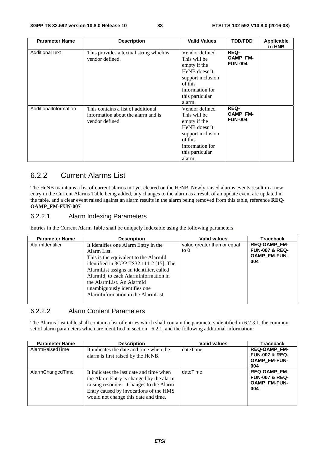| <b>Parameter Name</b> | <b>Description</b>                                                                         | <b>Valid Values</b>                                                                                                                           | <b>TDD/FDD</b>                            | Applicable<br>to HNB |
|-----------------------|--------------------------------------------------------------------------------------------|-----------------------------------------------------------------------------------------------------------------------------------------------|-------------------------------------------|----------------------|
| AdditionalText        | This provides a textual string which is<br>vendor defined.                                 | Vendor defined<br>This will be<br>empty if the<br>HeNB doesn"t<br>support inclusion<br>of this<br>information for<br>this particular<br>alarm | <b>REQ-</b><br>OAMP_FM-<br><b>FUN-004</b> |                      |
| AdditionalInformation | This contains a list of additional<br>information about the alarm and is<br>vendor defined | Vendor defined<br>This will be<br>empty if the<br>HeNB doesn"t<br>support inclusion<br>of this<br>information for<br>this particular<br>alarm | REQ-<br>OAMP_FM-<br><b>FUN-004</b>        |                      |

## 6.2.2 Current Alarms List

The HeNB maintains a list of current alarms not yet cleared on the HeNB. Newly raised alarms events result in a new entry in the Current Alarms Table being added, any changes to the alarm as a result of an update event are updated in the table, and a clear event raised against an alarm results in the alarm being removed from this table, reference **REQ-OAMP\_FM-FUN-007**

#### 6.2.2.1 Alarm Indexing Parameters

Entries in the Current Alarm Table shall be uniquely indexable using the following parameters:

| <b>Parameter Name</b> | <b>Description</b>                      | <b>Valid values</b>         | <b>Traceback</b>          |
|-----------------------|-----------------------------------------|-----------------------------|---------------------------|
| AlarmIdentifier       | It identifies one Alarm Entry in the    | value greater than or equal | <b>REQ-OAMP FM-</b>       |
|                       | Alarm List.                             | to 0                        | <b>FUN-007 &amp; REQ-</b> |
|                       | This is the equivalent to the AlarmId   |                             | <b>OAMP FM-FUN-</b>       |
|                       | identified in 3GPP TS32.111-2 [15]. The |                             | 004                       |
|                       | AlarmList assigns an identifier, called |                             |                           |
|                       | AlarmId, to each AlarmInformation in    |                             |                           |
|                       | the AlarmList. An AlarmId               |                             |                           |
|                       | unambiguously identifies one            |                             |                           |
|                       | AlarmInformation in the AlarmList       |                             |                           |
|                       |                                         |                             |                           |

#### 6.2.2.2 Alarm Content Parameters

The Alarms List table shall contain a list of entries which shall contain the parameters identified in 6.2.3.1, the common set of alarm parameters which are identified in section 6.2.1, and the following additional information:

| <b>Parameter Name</b> | <b>Description</b>                                                                                                                                                                                              | <b>Valid values</b> | <b>Traceback</b>                                                               |
|-----------------------|-----------------------------------------------------------------------------------------------------------------------------------------------------------------------------------------------------------------|---------------------|--------------------------------------------------------------------------------|
| AlarmRaisedTime       | It indicates the date and time when the<br>alarm is first raised by the HeNB.                                                                                                                                   | dateTime            | <b>REQ-OAMP FM-</b><br><b>FUN-007 &amp; REQ-</b><br><b>OAMP_FM-FUN-</b><br>004 |
| AlarmChangedTime      | It indicates the last date and time when<br>the Alarm Entry is changed by the alarm<br>raising resource. Changes to the Alarm<br>Entry caused by invocations of the HMS<br>would not change this date and time. | dateTime            | <b>REQ-OAMP FM-</b><br><b>FUN-007 &amp; REQ-</b><br><b>OAMP FM-FUN-</b><br>004 |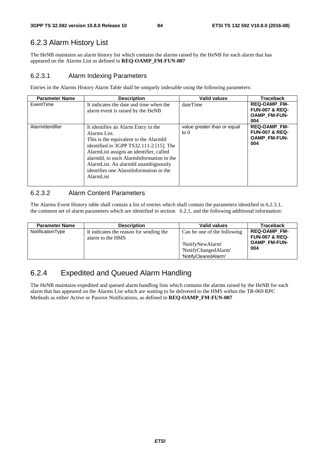## 6.2.3 Alarm History List

The HeNB maintains an alarm history list which contains the alarms raised by the HeNB for each alarm that has appeared on the Alarms List as defined in **REQ-OAMP\_FM-FUN-007** 

#### 6.2.3.1 Alarm Indexing Parameters

Entries in the Alarms History Alarm Table shall be uniquely indexable using the following parameters:

| <b>Parameter Name</b> | <b>Description</b>                                                                                                                                                                                                                                                                                                                  | <b>Valid values</b>                   | <b>Traceback</b>                                                               |
|-----------------------|-------------------------------------------------------------------------------------------------------------------------------------------------------------------------------------------------------------------------------------------------------------------------------------------------------------------------------------|---------------------------------------|--------------------------------------------------------------------------------|
| EventTime             | It indicates the date and time when the<br>alarm event is raised by the HeNB                                                                                                                                                                                                                                                        | dateTime                              | <b>REQ-OAMP FM-</b><br><b>FUN-007 &amp; REQ-</b><br><b>OAMP FM-FUN-</b><br>004 |
| AlarmIdentifier       | It identifies an Alarm Entry in the<br>Alarms List.<br>This is the equivalent to the AlarmId<br>identified in 3GPP TS32.111-2 [15]. The<br>AlarmList assigns an identifier, called<br>alarmId, to each AlarmInformation in the<br>AlarmList. An alarmId unambiguously<br>identifies one AlarmInformation in the<br><b>AlarmList</b> | value greater than or equal<br>to $0$ | <b>REQ-OAMP FM-</b><br><b>FUN-007 &amp; REQ-</b><br><b>OAMP FM-FUN-</b><br>004 |

## 6.2.3.2 Alarm Content Parameters

The Alarms Event History table shall contain a list of entries which shall contain the parameters identified in 6.2.3.1, the common set of alarm parameters which are identified in section 6.2.1, and the following additional information:

| <b>Parameter Name</b> | <b>Description</b>                                          | <b>Valid values</b>                                              | Traceback                                                               |
|-----------------------|-------------------------------------------------------------|------------------------------------------------------------------|-------------------------------------------------------------------------|
| NotificationType      | It indicates the reason for sending the<br>alarm to the HMS | Can be one of the following                                      | <b>REQ-OAMP FM-</b><br><b>FUN-007 &amp; REQ-</b><br><b>OAMP FM-FUN-</b> |
|                       |                                                             | 'NotifyNewAlarm'<br>'NotifyChangedAlarm'<br>'NotifyClearedAlarm' | 004                                                                     |

## 6.2.4 Expedited and Queued Alarm Handling

The HeNB maintains expedited and queued alarm handling lists which contains the alarms raised by the HeNB for each alarm that has appeared on the Alarms List which are waiting to be delivered to the HMS within the TR-069 RPC Methods as either Active or Passive Notifications, as defined in **REQ-OAMP\_FM-FUN-007**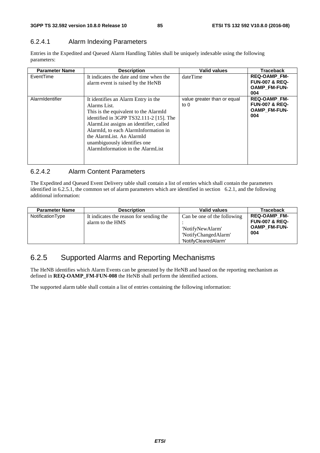## 6.2.4.1 Alarm Indexing Parameters

Entries in the Expedited and Queued Alarm Handling Tables shall be uniquely indexable using the following parameters:

| <b>Parameter Name</b> | <b>Description</b>                                                                                                                                                                                                                                                                                                           | <b>Valid values</b>                   | <b>Traceback</b>                                                               |
|-----------------------|------------------------------------------------------------------------------------------------------------------------------------------------------------------------------------------------------------------------------------------------------------------------------------------------------------------------------|---------------------------------------|--------------------------------------------------------------------------------|
| EventTime             | It indicates the date and time when the<br>alarm event is raised by the HeNB                                                                                                                                                                                                                                                 | dateTime                              | <b>REQ-OAMP FM-</b><br><b>FUN-007 &amp; REQ-</b><br><b>OAMP FM-FUN-</b><br>004 |
| AlarmIdentifier       | It identifies an Alarm Entry in the<br>Alarms List.<br>This is the equivalent to the AlarmId<br>identified in 3GPP TS32.111-2 [15]. The<br>AlarmList assigns an identifier, called<br>AlarmId, to each AlarmInformation in<br>the AlarmList. An AlarmId<br>unambiguously identifies one<br>AlarmInformation in the AlarmList | value greater than or equal<br>to $0$ | <b>REQ-OAMP FM-</b><br><b>FUN-007 &amp; REQ-</b><br><b>OAMP FM-FUN-</b><br>004 |

## 6.2.4.2 Alarm Content Parameters

The Expedited and Queued Event Delivery table shall contain a list of entries which shall contain the parameters identified in 6.2.5.1, the common set of alarm parameters which are identified in section 6.2.1, and the following additional information:

| <b>Parameter Name</b> | <b>Description</b>                                          | <b>Valid values</b>                                                                             | Traceback                                                                      |
|-----------------------|-------------------------------------------------------------|-------------------------------------------------------------------------------------------------|--------------------------------------------------------------------------------|
| NotificationType      | It indicates the reason for sending the<br>alarm to the HMS | Can be one of the following<br>'NotifyNewAlarm'<br>'NotifyChangedAlarm'<br>'NotifyClearedAlarm' | <b>REQ-OAMP FM-</b><br><b>FUN-007 &amp; REQ-</b><br><b>OAMP FM-FUN-</b><br>004 |

## 6.2.5 Supported Alarms and Reporting Mechanisms

The HeNB identifies which Alarm Events can be generated by the HeNB and based on the reporting mechanism as defined in **REQ-OAMP\_FM-FUN-008** the HeNB shall perform the identified actions.

The supported alarm table shall contain a list of entries containing the following information: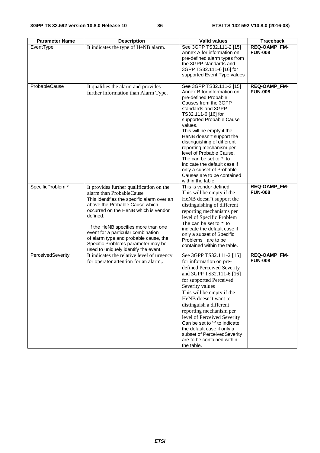| <b>Parameter Name</b> | <b>Description</b>                                                                 | <b>Valid values</b>                         | <b>Traceback</b>    |
|-----------------------|------------------------------------------------------------------------------------|---------------------------------------------|---------------------|
| EventType             | It indicates the type of HeNB alarm.                                               | See 3GPP TS32.111-2 [15]                    | REQ-OAMP_FM-        |
|                       |                                                                                    | Annex A for information on                  | <b>FUN-008</b>      |
|                       |                                                                                    | pre-defined alarm types from                |                     |
|                       |                                                                                    | the 3GPP standards and                      |                     |
|                       |                                                                                    | 3GPP TS32.111-6 [16] for                    |                     |
|                       |                                                                                    | supported Event Type values                 |                     |
| ProbableCause         | It qualifies the alarm and provides                                                | See 3GPP TS32.111-2 [15]                    | REQ-OAMP_FM-        |
|                       | further information than Alarm Type.                                               | Annex B for information on                  | <b>FUN-008</b>      |
|                       |                                                                                    | pre-defined Probable                        |                     |
|                       |                                                                                    | Causes from the 3GPP                        |                     |
|                       |                                                                                    | standards and 3GPP                          |                     |
|                       |                                                                                    | TS32.111-6 [16] for                         |                     |
|                       |                                                                                    | supported Probable Cause                    |                     |
|                       |                                                                                    | values.<br>This will be empty if the        |                     |
|                       |                                                                                    | HeNB doesn"t support the                    |                     |
|                       |                                                                                    | distinguishing of different                 |                     |
|                       |                                                                                    | reporting mechanism per                     |                     |
|                       |                                                                                    | level of Probable Cause.                    |                     |
|                       |                                                                                    | The can be set to "*' to                    |                     |
|                       |                                                                                    | indicate the default case if                |                     |
|                       |                                                                                    | only a subset of Probable                   |                     |
|                       |                                                                                    | Causes are to be contained                  |                     |
| SpecificProblem *     | It provides further qualification on the                                           | within the table<br>This is vendor defined. | <b>REQ-OAMP_FM-</b> |
|                       | alarm than ProbableCause                                                           | This will be empty if the                   | <b>FUN-008</b>      |
|                       | This identifies the specific alarm over an                                         | HeNB doesn"t support the                    |                     |
|                       | above the Probable Cause which                                                     | distinguishing of different                 |                     |
|                       | occurred on the HeNB which is vendor                                               | reporting mechanisms per                    |                     |
|                       | defined.                                                                           | level of Specific Problem                   |                     |
|                       |                                                                                    | The can be set to "*' to                    |                     |
|                       | If the HeNB specifies more than one                                                | indicate the default case if                |                     |
|                       | event for a particular combination                                                 | only a subset of Specific                   |                     |
|                       | of alarm type and probable cause, the                                              | Problems are to be                          |                     |
|                       | Specific Problems parameter may be                                                 | contained within the table.                 |                     |
| PerceivedSeverity     | used to uniquely identify the event.<br>It indicates the relative level of urgency | See 3GPP TS32.111-2 [15]                    | REQ-OAMP_FM-        |
|                       | for operator attention for an alarm,.                                              | for information on pre-                     | <b>FUN-008</b>      |
|                       |                                                                                    | defined Perceived Severity                  |                     |
|                       |                                                                                    | and 3GPP TS32.111-6 [16]                    |                     |
|                       |                                                                                    | for supported Perceived                     |                     |
|                       |                                                                                    | Severity values                             |                     |
|                       |                                                                                    | This will be empty if the                   |                     |
|                       |                                                                                    | HeNB doesn"t want to                        |                     |
|                       |                                                                                    | distinguish a different                     |                     |
|                       |                                                                                    | reporting mechanism per                     |                     |
|                       |                                                                                    | level of Perceived Severity                 |                     |
|                       |                                                                                    | Can be set to "*' to indicate               |                     |
|                       |                                                                                    | the default case if only a                  |                     |
|                       |                                                                                    | subset of PerceivedSeverity                 |                     |
|                       |                                                                                    | are to be contained within                  |                     |
|                       |                                                                                    | the table.                                  |                     |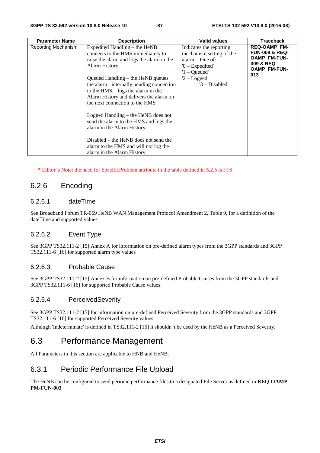| <b>Parameter Name</b> | <b>Description</b>                                                                                                                                                                                                                                                                                                                                                                                                                                                                                                                                                    | <b>Valid values</b>                                                                                                                              | <b>Traceback</b>                                                                                      |
|-----------------------|-----------------------------------------------------------------------------------------------------------------------------------------------------------------------------------------------------------------------------------------------------------------------------------------------------------------------------------------------------------------------------------------------------------------------------------------------------------------------------------------------------------------------------------------------------------------------|--------------------------------------------------------------------------------------------------------------------------------------------------|-------------------------------------------------------------------------------------------------------|
| Reporting Mechanism   | Expedited Handling – the HeNB<br>connects to the HMS immediately to<br>raise the alarm and logs the alarm in the<br>Alarm History.<br>Queued Handling – the HeNB queues<br>the alarm internally pending connection<br>to the HMS, logs the alarm in the<br>Alarm History and delivers the alarm on<br>the next connection to the HMS<br>Logged Handling – the HeNB does not<br>send the alarm to the HMS and logs the<br>alarm in the Alarm History.<br>Disabled – the HeNB does not send the<br>alarm to the HMS and will not log the<br>alarm in the Alarm History. | Indicates the reporting<br>mechanism setting of the<br>alarm. One of:<br>$0$ – Expedited'<br>$'1 -$ Queued'<br>$2 - Logged'$<br>$'3$ – Disabled' | <b>REQ-OAMP FM-</b><br><b>FUN-008 &amp; REQ-</b><br>OAMP_FM-FUN-<br>009 & REQ-<br>OAMP_FM-FUN-<br>013 |

\* Editor"s Note: the need for SpecificProblem attribute in the table defined in 5.2.5 is FFS.

## 6.2.6 Encoding

#### 6.2.6.1 dateTime

See Broadband Forum TR-069 HeNB WAN Management Protocol Amendment 2, Table 9, for a definition of the dateTime and supported values.

#### 6.2.6.2 Event Type

See 3GPP TS32.111-2 [15] Annex A for information on pre-defined alarm types from the 3GPP standards and 3GPP TS32.111-6 [16] for supported alarm type values

#### 6.2.6.3 Probable Cause

See 3GPP TS32.111-2 [15] Annex B for information on pre-defined Probable Causes from the 3GPP standards and 3GPP TS32.111-6 [16] for supported Probable Cause values.

#### 6.2.6.4 PerceivedSeverity

See 3GPP TS32.111-2 [15] for information on pre-defined Perceived Severity from the 3GPP standards and 3GPP TS32.111-6 [16] for supported Perceived Severity values

Although 'Indeterminate' is defined in TS32.111-2 [15] it shouldn"t be used by the HeNB as a Perceived Severity.

## 6.3 Performance Management

All Parameters in this section are applicable to HNB and HeNB.

#### 6.3.1 Periodic Performance File Upload

The HeNB can be configured to send periodic performance files to a designated File Server as defined in **REQ-OAMP-PM-FUN-003**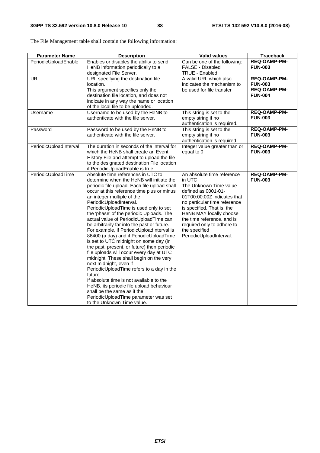| <b>Parameter Name</b>  | <b>Description</b>                                                                                                                                                                                                                                                                                                                                                                                                                                                                                                                                                                                                                                                                                                                                                                                                                                                                                                                                                           | <b>Valid values</b>                                                                                                                                                                                                                                                                                                   | <b>Traceback</b>                                                        |
|------------------------|------------------------------------------------------------------------------------------------------------------------------------------------------------------------------------------------------------------------------------------------------------------------------------------------------------------------------------------------------------------------------------------------------------------------------------------------------------------------------------------------------------------------------------------------------------------------------------------------------------------------------------------------------------------------------------------------------------------------------------------------------------------------------------------------------------------------------------------------------------------------------------------------------------------------------------------------------------------------------|-----------------------------------------------------------------------------------------------------------------------------------------------------------------------------------------------------------------------------------------------------------------------------------------------------------------------|-------------------------------------------------------------------------|
| PeriodicUploadEnable   | Enables or disables the ability to send<br>HeNB information periodically to a<br>designated File Server.                                                                                                                                                                                                                                                                                                                                                                                                                                                                                                                                                                                                                                                                                                                                                                                                                                                                     | Can be one of the following:<br>FALSE - Disabled<br><b>TRUE - Enabled</b>                                                                                                                                                                                                                                             | REQ-OAMP-PM-<br><b>FUN-003</b>                                          |
| <b>URL</b>             | URL specifying the destination file<br>location.<br>This argument specifies only the<br>destination file location, and does not<br>indicate in any way the name or location<br>of the local file to be uploaded.                                                                                                                                                                                                                                                                                                                                                                                                                                                                                                                                                                                                                                                                                                                                                             | A valid URL which also<br>indicates the mechanism to<br>be used for file transfer                                                                                                                                                                                                                                     | <b>REQ-OAMP-PM-</b><br><b>FUN-003</b><br>REQ-OAMP-PM-<br><b>FUN-004</b> |
| Username               | Username to be used by the HeNB to<br>authenticate with the file server.                                                                                                                                                                                                                                                                                                                                                                                                                                                                                                                                                                                                                                                                                                                                                                                                                                                                                                     | This string is set to the<br>empty string if no<br>authentication is required.                                                                                                                                                                                                                                        | <b>REQ-OAMP-PM-</b><br><b>FUN-003</b>                                   |
| Password               | Password to be used by the HeNB to<br>authenticate with the file server.                                                                                                                                                                                                                                                                                                                                                                                                                                                                                                                                                                                                                                                                                                                                                                                                                                                                                                     | This string is set to the<br>empty string if no<br>authentication is required.                                                                                                                                                                                                                                        | REQ-OAMP-PM-<br><b>FUN-003</b>                                          |
| PeriodicUploadInterval | The duration in seconds of the interval for<br>which the HeNB shall create an Event<br>History File and attempt to upload the file<br>to the designated destination File location<br>if PeriodicUploadEnable is true.                                                                                                                                                                                                                                                                                                                                                                                                                                                                                                                                                                                                                                                                                                                                                        | Integer value greater than or<br>equal to 0                                                                                                                                                                                                                                                                           | <b>REQ-OAMP-PM-</b><br><b>FUN-003</b>                                   |
| PeriodicUploadTime     | Absolute time references in UTC to<br>determine when the HeNB will initiate the<br>periodic file upload. Each file upload shall<br>occur at this reference time plus or minus<br>an integer multiple of the<br>PeriodicUploadInterval.<br>PeriodicUploadTime is used only to set<br>the 'phase' of the periodic Uploads. The<br>actual value of PeriodicUploadTime can<br>be arbitrarily far into the past or future.<br>For example, if PeriodicUploadInterval is<br>86400 (a day) and if PeriodicUploadTime<br>is set to UTC midnight on some day (in<br>the past, present, or future) then periodic<br>file uploads will occur every day at UTC<br>midnight. These shall begin on the very<br>next midnight, even if<br>PeriodicUploadTime refers to a day in the<br>future.<br>If absolute time is not available to the<br>HeNB, its periodic file upload behaviour<br>shall be the same as if the<br>PeriodicUploadTime parameter was set<br>to the Unknown Time value. | An absolute time reference<br>in UTC<br>The Unknown Time value<br>defined as 0001-01-<br>01T00:00:00Z indicates that<br>no particular time reference<br>is specified. That is, the<br>HeNB MAY locally choose<br>the time reference, and is<br>required only to adhere to<br>the specified<br>PeriodicUploadInterval. | <b>REQ-OAMP-PM-</b><br><b>FUN-003</b>                                   |

The File Management table shall contain the following information: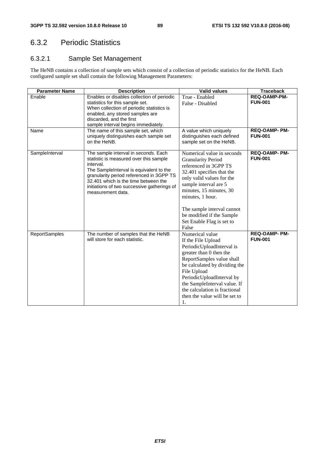## 6.3.2 Periodic Statistics

## 6.3.2.1 Sample Set Management

The HeNB contains a collection of sample sets which consist of a collection of periodic statistics for the HeNB. Each configured sample set shall contain the following Management Parameters:

| <b>Parameter Name</b> | <b>Description</b>                                                                                                                                                                                                                                                                              | <b>Valid values</b>                                                                                                                                                                                                                                                                                                 | <b>Traceback</b>                       |
|-----------------------|-------------------------------------------------------------------------------------------------------------------------------------------------------------------------------------------------------------------------------------------------------------------------------------------------|---------------------------------------------------------------------------------------------------------------------------------------------------------------------------------------------------------------------------------------------------------------------------------------------------------------------|----------------------------------------|
| Enable                | Enables or disables collection of periodic<br>statistics for this sample set.<br>When collection of periodic statistics is<br>enabled, any stored samples are<br>discarded, and the first<br>sample interval begins immediately.                                                                | True - Enabled<br>False - Disabled                                                                                                                                                                                                                                                                                  | <b>REQ-OAMP-PM-</b><br><b>FUN-001</b>  |
| Name                  | The name of this sample set, which<br>uniquely distinguishes each sample set<br>on the HeNB.                                                                                                                                                                                                    | A value which uniquely<br>distinguishes each defined<br>sample set on the HeNB.                                                                                                                                                                                                                                     | <b>REQ-OAMP- PM-</b><br><b>FUN-001</b> |
| SampleInterval        | The sample interval in seconds. Each<br>statistic is measured over this sample<br>interval.<br>The Sample Interval is equivalent to the<br>granularity period referenced in 3GPP TS<br>32.401 which is the time between the<br>initiations of two successive gatherings of<br>measurement data. | Numerical value in seconds<br><b>Granularity Period</b><br>referenced in 3GPP TS<br>32.401 specifies that the<br>only valid values for the<br>sample interval are 5<br>minutes, 15 minutes, 30<br>minutes, 1 hour.<br>The sample interval cannot<br>be modified if the Sample<br>Set Enable Flag is set to<br>False | <b>REQ-OAMP- PM-</b><br><b>FUN-001</b> |
| <b>ReportSamples</b>  | The number of samples that the HeNB<br>will store for each statistic.                                                                                                                                                                                                                           | Numerical value<br>If the File Upload<br>PeriodicUploadInterval is<br>greater than 0 then the<br>ReportSamples value shall<br>be calculated by dividing the<br>File Upload<br>PeriodicUploadInterval by<br>the SampleInterval value. If<br>the calculation is fractional<br>then the value will be set to<br>1.     | <b>REQ-OAMP- PM-</b><br><b>FUN-001</b> |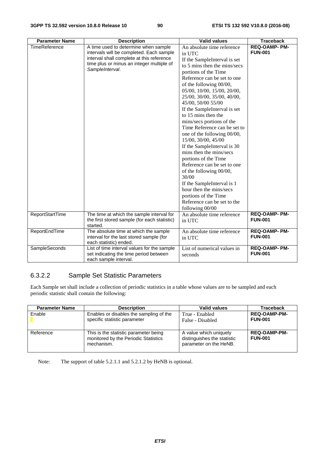| <b>Parameter Name</b> | <b>Description</b>                                                                                                                                                                            | <b>Valid values</b>                                                                                                                                                                                                                                                                                                                                                                                                                                                                                                                                                                                                                                                                                                                          | <b>Traceback</b>                       |
|-----------------------|-----------------------------------------------------------------------------------------------------------------------------------------------------------------------------------------------|----------------------------------------------------------------------------------------------------------------------------------------------------------------------------------------------------------------------------------------------------------------------------------------------------------------------------------------------------------------------------------------------------------------------------------------------------------------------------------------------------------------------------------------------------------------------------------------------------------------------------------------------------------------------------------------------------------------------------------------------|----------------------------------------|
| TimeReference         | A time used to determine when sample<br>intervals will be completed. Each sample<br>interval shall complete at this reference<br>time plus or minus an integer multiple of<br>SampleInterval. | An absolute time reference<br>in UTC<br>If the SampleInterval is set<br>to 5 mins then the mins/secs<br>portions of the Time<br>Reference can be set to one<br>of the following 00/00,<br>05/00, 10/00, 15/00, 20/00,<br>25/00, 30/00, 35/00, 40/00,<br>45/00, 50/00 55/00<br>If the SampleInterval is set<br>to 15 mins then the<br>mins/secs portions of the<br>Time Reference can be set to<br>one of the following 00/00,<br>15/00, 30/00, 45/00<br>If the SampleInterval is 30<br>mins then the mins/secs<br>portions of the Time<br>Reference can be set to one<br>of the following 00/00,<br>30/00<br>If the SampleInterval is 1<br>hour then the mins/secs<br>portions of the Time<br>Reference can be set to the<br>following 00/00 | <b>REQ-OAMP- PM-</b><br><b>FUN-001</b> |
| ReportStartTime       | The time at which the sample interval for<br>the first stored sample (for each statistic)<br>started.                                                                                         | An absolute time reference<br>in UTC                                                                                                                                                                                                                                                                                                                                                                                                                                                                                                                                                                                                                                                                                                         | <b>REQ-OAMP- PM-</b><br><b>FUN-001</b> |
| ReportEndTime         | The absolute time at which the sample<br>interval for the last stored sample (for<br>each statistic) ended.                                                                                   | An absolute time reference<br>in UTC                                                                                                                                                                                                                                                                                                                                                                                                                                                                                                                                                                                                                                                                                                         | <b>REQ-OAMP- PM-</b><br><b>FUN-001</b> |
| SampleSeconds         | List of time interval values for the sample<br>set indicating the time period between<br>each sample interval.                                                                                | List of numerical values in<br>seconds                                                                                                                                                                                                                                                                                                                                                                                                                                                                                                                                                                                                                                                                                                       | REQ-OAMP- PM-<br><b>FUN-001</b>        |

## 6.3.2.2 Sample Set Statistic Parameters

Each Sample set shall include a collection of periodic statistics in a table whose values are to be sampled and each periodic statistic shall contain the following:

| <b>Parameter Name</b> | <b>Description</b>                                                                          | <b>Valid values</b>                                                             | <b>Traceback</b>                      |
|-----------------------|---------------------------------------------------------------------------------------------|---------------------------------------------------------------------------------|---------------------------------------|
| Enable                | Enables or disables the sampling of the<br>specific statistic parameter                     | True - Enabled<br>False - Disabled                                              | <b>REQ-OAMP-PM-</b><br><b>FUN-001</b> |
| Reference             | This is the statistic parameter being<br>monitored by the Periodic Statistics<br>mechanism. | A value which uniquely<br>distinguishes the statistic<br>parameter on the HeNB. | <b>REQ-OAMP-PM-</b><br><b>FUN-001</b> |

Note: The support of table 5.2.1.1 and 5.2.1.2 by HeNB is optional.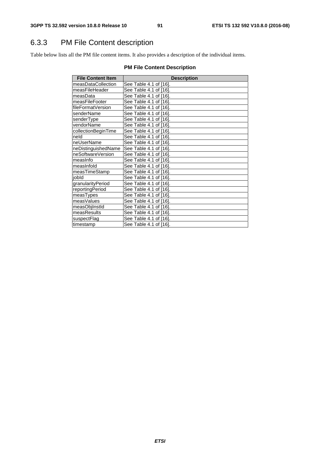## 6.3.3 PM File Content description

Table below lists all the PM file content items. It also provides a description of the individual items.

## **PM File Content Description**

| <b>File Content Item</b> | <b>Description</b>     |
|--------------------------|------------------------|
| measDataCollection       | See Table 4.1 of [16]. |
| measFileHeader           | See Table 4.1 of [16]. |
| measData                 | See Table 4.1 of [16]. |
| measFileFooter           | See Table 4.1 of [16]. |
| fileFormatVersion        | See Table 4.1 of [16]. |
| senderName               | See Table 4.1 of [16]. |
| senderType               | See Table 4.1 of [16]. |
| vendorName               | See Table 4.1 of [16]. |
| collectionBeginTime      | See Table 4.1 of [16]. |
| neld                     | See Table 4.1 of [16]. |
| neUserName               | See Table 4.1 of [16]. |
| neDistinguishedName      | See Table 4.1 of [16]. |
| neSoftwareVersion        | See Table 4.1 of [16]. |
| measinfo                 | See Table 4.1 of [16]. |
| measInfold               | See Table 4.1 of [16]. |
| measTimeStamp            | See Table 4.1 of [16]. |
| jobld                    | See Table 4.1 of [16]. |
| granularityPeriod        | See Table 4.1 of [16]. |
| reportingPeriod          | See Table 4.1 of [16]. |
| measTypes                | See Table 4.1 of [16]. |
| measValues               | See Table 4.1 of [16]. |
| measObjInstId            | See Table 4.1 of [16]. |
| measResults              | See Table 4.1 of [16]. |
| suspectFlag              | See Table 4.1 of [16]. |
| timestamp                | See Table 4.1 of [16]. |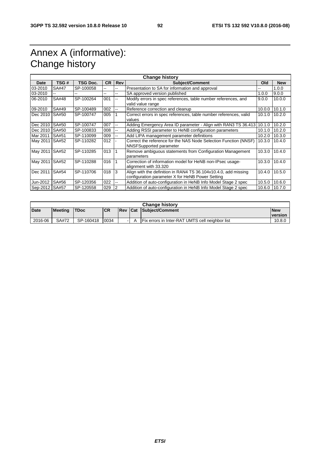## Annex A (informative): Change history

| <b>Change history</b> |              |           |           |                |                                                                                                                     |               |            |
|-----------------------|--------------|-----------|-----------|----------------|---------------------------------------------------------------------------------------------------------------------|---------------|------------|
| Date                  | TSG#         | TSG Doc.  | <b>CR</b> | Rev            | <b>Subject/Comment</b>                                                                                              |               | <b>New</b> |
| 03-2010               | <b>SA#47</b> | SP-100058 | н.        |                | Presentation to SA for information and approval                                                                     |               | 1.0.0      |
| 03-2010               | --           |           | --        | --             | SA approved version published                                                                                       | 1.0.0         | 9.0.0      |
| 06-2010               | SA#48        | SP-100264 | 001       |                | Modify errors in spec references, table number references, and                                                      | 9.0.0         | 10.0.0     |
|                       |              |           |           |                | valid value range                                                                                                   |               |            |
| 09-2010               | SA#49        | SP-100489 | 002       | н.             | Reference correction and cleanup                                                                                    | 10.0.0        | 10.1.0     |
| Dec 2010              | <b>SA#50</b> | SP-100747 | 005       |                | Correct errors in spec references, table number references, valid<br>values                                         | 10.1.0 10.2.0 |            |
| Dec 2010              | SA#50        | SP-100747 | 007       |                | Adding Emergency Area ID parameter - Align with RAN3 TS 36.413                                                      | 10.1.0        | 10.2.0     |
| Dec 2010              | SA#50        | SP-100833 | 008       | ۰.             | Adding RSSI parameter to HeNB configuration parameters                                                              | 10.1.0        | 10.2.0     |
| Mar 2011              | SA#51        | SP-110099 | 009       |                | Add LIPA management parameter definitions                                                                           | 10.2.0        | 10.3.0     |
| May 2011              | SA#52        | SP-110282 | 012       |                | Correct the reference for the NAS Node Selection Function (NNSF)<br>NNSFSupported parameter                         | 10.3.0        | 10.4.0     |
| May 2011 SA#52        |              | SP-110285 | 013       | -1             | Remove ambiguous statements from Configuration Management<br>parameters                                             | 10.3.0        | 10.4.0     |
| May 2011              | SA#52        | SP-110288 | 016       |                | Correction of information model for HeNB non-IPsec usage-<br>alignment with 33.320                                  | 10.3.0        | 10.4.0     |
| Dec 2011              | SA#54        | SP-110706 | 018       | 3              | Align with the definition in RAN4 TS 36.104v10.4.0, add missing<br>configuration parameter X for HeNB Power Setting | 10.4.0        | 10.5.0     |
| Jun-2012              | SA#56        | SP-120356 | 022       |                | Addition of auto-configuration in HeNB Info Model Stage 2 spec                                                      | 10.5.0        | 10.6.0     |
| Sep-2012 SA#57        |              | SP-120558 | 029       | $\overline{2}$ | Addition of auto-configuration in HeNB Info Model Stage 2 spec                                                      | 10.6.0 10.7.0 |            |

| <b>Change history</b> |                |             |            |                |  |                                                   |                              |
|-----------------------|----------------|-------------|------------|----------------|--|---------------------------------------------------|------------------------------|
| Date                  | <b>Meeting</b> | <b>TDoc</b> | <b>ICR</b> | <b>Rev Cat</b> |  | Subject/Comment                                   | <b>New</b><br><b>version</b> |
| 2016-06               | SA#72          | SP-160418   | 0034       | - 1            |  | I Fix errors in Inter-RAT UMTS cell neighbor list | 10.8.0                       |